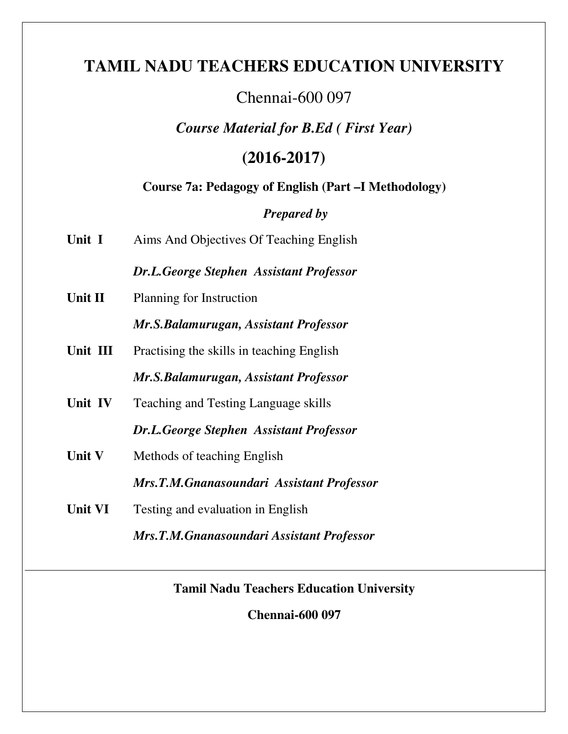# **TAMIL NADU TEACHERS EDUCATION UNIVERSITY**

# Chennai-600 097

# *Course Material for B.Ed ( First Year)*

# **(2016-2017)**

# **Course 7a: Pedagogy of English (Part –I Methodology)**

# *Prepared by*

| Unit I         | Aims And Objectives Of Teaching English        |
|----------------|------------------------------------------------|
|                | <b>Dr.L.George Stephen Assistant Professor</b> |
| Unit II        | Planning for Instruction                       |
|                | Mr.S.Balamurugan, Assistant Professor          |
| Unit III       | Practising the skills in teaching English      |
|                | Mr.S.Balamurugan, Assistant Professor          |
| Unit IV        | <b>Teaching and Testing Language skills</b>    |
|                | <b>Dr.L.George Stephen Assistant Professor</b> |
| <b>Unit V</b>  | Methods of teaching English                    |
|                | Mrs.T.M.Gnanasoundari Assistant Professor      |
| <b>Unit VI</b> | Testing and evaluation in English              |
|                | Mrs.T.M.Gnanasoundari Assistant Professor      |

**Tamil Nadu Teachers Education University** 

**Chennai-600 097**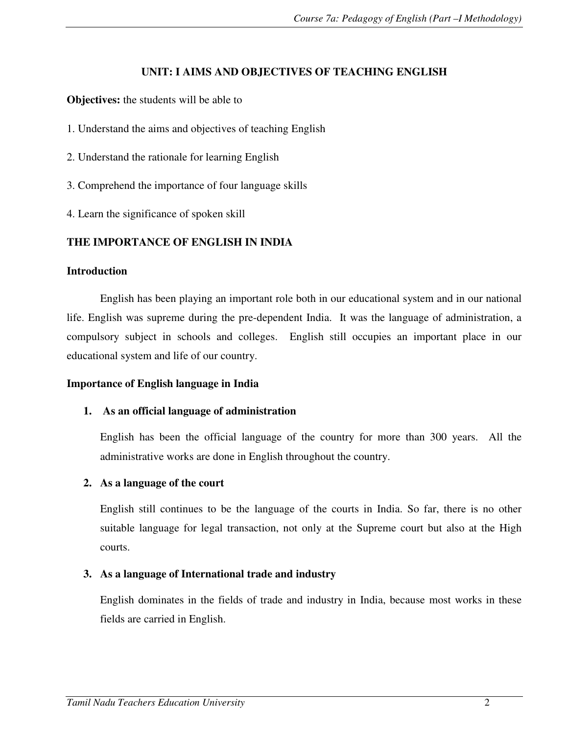# **UNIT: I AIMS AND OBJECTIVES OF TEACHING ENGLISH**

**Objectives:** the students will be able to

1. Understand the aims and objectives of teaching English

- 2. Understand the rationale for learning English
- 3. Comprehend the importance of four language skills
- 4. Learn the significance of spoken skill

# **THE IMPORTANCE OF ENGLISH IN INDIA**

#### **Introduction**

 English has been playing an important role both in our educational system and in our national life. English was supreme during the pre-dependent India. It was the language of administration, a compulsory subject in schools and colleges. English still occupies an important place in our educational system and life of our country.

#### **Importance of English language in India**

# **1. As an official language of administration**

English has been the official language of the country for more than 300 years. All the administrative works are done in English throughout the country.

# **2. As a language of the court**

English still continues to be the language of the courts in India. So far, there is no other suitable language for legal transaction, not only at the Supreme court but also at the High courts.

# **3. As a language of International trade and industry**

English dominates in the fields of trade and industry in India, because most works in these fields are carried in English.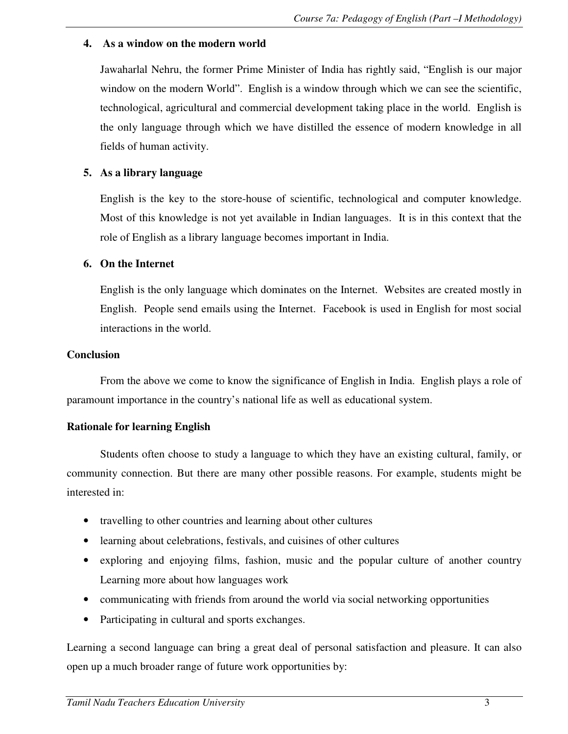# **4. As a window on the modern world**

Jawaharlal Nehru, the former Prime Minister of India has rightly said, "English is our major window on the modern World". English is a window through which we can see the scientific, technological, agricultural and commercial development taking place in the world. English is the only language through which we have distilled the essence of modern knowledge in all fields of human activity.

# **5. As a library language**

English is the key to the store-house of scientific, technological and computer knowledge. Most of this knowledge is not yet available in Indian languages. It is in this context that the role of English as a library language becomes important in India.

# **6. On the Internet**

English is the only language which dominates on the Internet. Websites are created mostly in English. People send emails using the Internet. Facebook is used in English for most social interactions in the world.

#### **Conclusion**

 From the above we come to know the significance of English in India. English plays a role of paramount importance in the country's national life as well as educational system.

# **Rationale for learning English**

 Students often choose to study a language to which they have an existing cultural, family, or community connection. But there are many other possible reasons. For example, students might be interested in:

- travelling to other countries and learning about other cultures
- learning about celebrations, festivals, and cuisines of other cultures
- exploring and enjoying films, fashion, music and the popular culture of another country Learning more about how languages work
- communicating with friends from around the world via social networking opportunities
- Participating in cultural and sports exchanges.

Learning a second language can bring a great deal of personal satisfaction and pleasure. It can also open up a much broader range of future work opportunities by: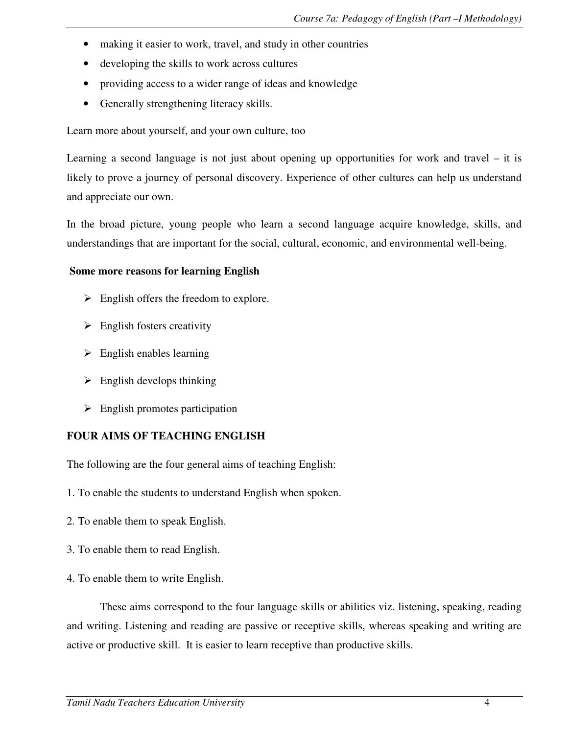- making it easier to work, travel, and study in other countries
- developing the skills to work across cultures
- providing access to a wider range of ideas and knowledge
- Generally strengthening literacy skills.

Learn more about yourself, and your own culture, too

Learning a second language is not just about opening up opportunities for work and travel  $-$  it is likely to prove a journey of personal discovery. Experience of other cultures can help us understand and appreciate our own.

In the broad picture, young people who learn a second language acquire knowledge, skills, and understandings that are important for the social, cultural, economic, and environmental well-being.

#### **Some more reasons for learning English**

- $\triangleright$  English offers the freedom to explore.
- $\triangleright$  English fosters creativity
- $\triangleright$  English enables learning
- $\triangleright$  English develops thinking
- $\triangleright$  English promotes participation

# **FOUR AIMS OF TEACHING ENGLISH**

The following are the four general aims of teaching English:

- 1. To enable the students to understand English when spoken.
- 2. To enable them to speak English.
- 3. To enable them to read English.
- 4. To enable them to write English.

These aims correspond to the four language skills or abilities viz. listening, speaking, reading and writing. Listening and reading are passive or receptive skills, whereas speaking and writing are active or productive skill. It is easier to learn receptive than productive skills.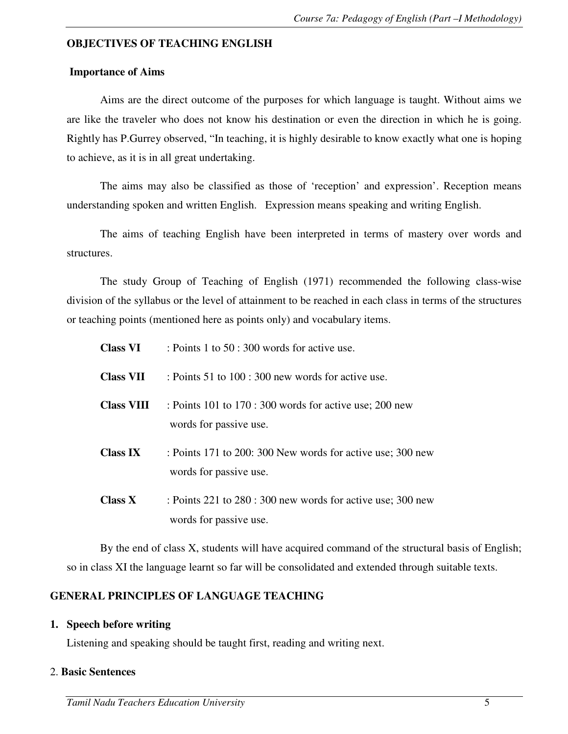# **OBJECTIVES OF TEACHING ENGLISH**

# **Importance of Aims**

 Aims are the direct outcome of the purposes for which language is taught. Without aims we are like the traveler who does not know his destination or even the direction in which he is going. Rightly has P.Gurrey observed, "In teaching, it is highly desirable to know exactly what one is hoping to achieve, as it is in all great undertaking.

The aims may also be classified as those of 'reception' and expression'. Reception means understanding spoken and written English. Expression means speaking and writing English.

The aims of teaching English have been interpreted in terms of mastery over words and structures.

The study Group of Teaching of English (1971) recommended the following class-wise division of the syllabus or the level of attainment to be reached in each class in terms of the structures or teaching points (mentioned here as points only) and vocabulary items.

| <b>Class VI</b>   | : Points 1 to $50:300$ words for active use.                                            |
|-------------------|-----------------------------------------------------------------------------------------|
| <b>Class VII</b>  | : Points 51 to 100 : 300 new words for active use.                                      |
| <b>Class VIII</b> | : Points 101 to $170:300$ words for active use; 200 new<br>words for passive use.       |
| <b>Class IX</b>   | : Points 171 to 200: 300 New words for active use; 300 new<br>words for passive use.    |
| Class X           | : Points $221$ to $280:300$ new words for active use; 300 new<br>words for passive use. |

By the end of class X, students will have acquired command of the structural basis of English; so in class XI the language learnt so far will be consolidated and extended through suitable texts.

# **GENERAL PRINCIPLES OF LANGUAGE TEACHING**

# **1. Speech before writing**

Listening and speaking should be taught first, reading and writing next.

# 2. **Basic Sentences**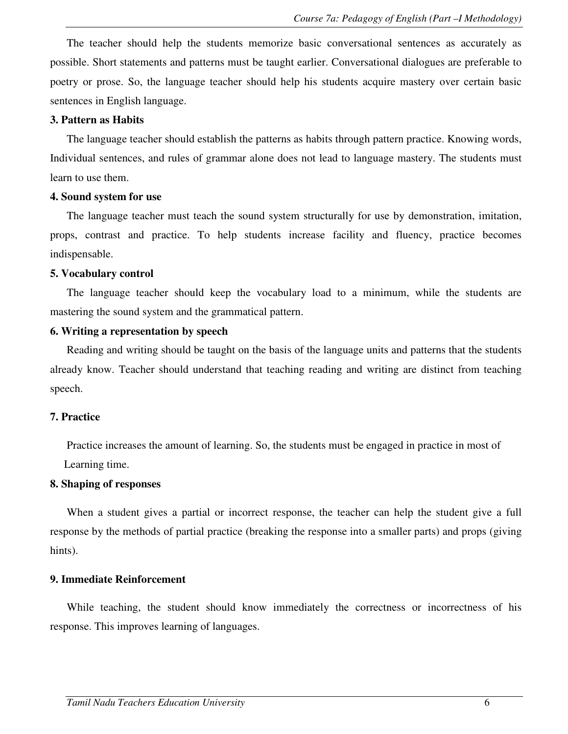The teacher should help the students memorize basic conversational sentences as accurately as possible. Short statements and patterns must be taught earlier. Conversational dialogues are preferable to poetry or prose. So, the language teacher should help his students acquire mastery over certain basic sentences in English language.

#### **3. Pattern as Habits**

 The language teacher should establish the patterns as habits through pattern practice. Knowing words, Individual sentences, and rules of grammar alone does not lead to language mastery. The students must learn to use them.

#### **4. Sound system for use**

 The language teacher must teach the sound system structurally for use by demonstration, imitation, props, contrast and practice. To help students increase facility and fluency, practice becomes indispensable.

#### **5. Vocabulary control**

 The language teacher should keep the vocabulary load to a minimum, while the students are mastering the sound system and the grammatical pattern.

#### **6. Writing a representation by speech**

 Reading and writing should be taught on the basis of the language units and patterns that the students already know. Teacher should understand that teaching reading and writing are distinct from teaching speech.

#### **7. Practice**

 Practice increases the amount of learning. So, the students must be engaged in practice in most of Learning time.

#### **8. Shaping of responses**

 When a student gives a partial or incorrect response, the teacher can help the student give a full response by the methods of partial practice (breaking the response into a smaller parts) and props (giving hints).

#### **9. Immediate Reinforcement**

 While teaching, the student should know immediately the correctness or incorrectness of his response. This improves learning of languages.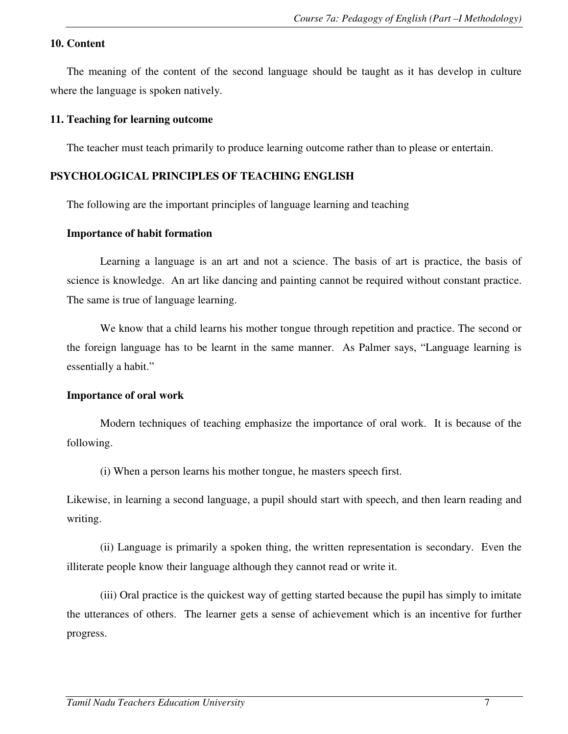#### **10. Content**

 The meaning of the content of the second language should be taught as it has develop in culture where the language is spoken natively.

#### **11. Teaching for learning outcome**

The teacher must teach primarily to produce learning outcome rather than to please or entertain.

#### **PSYCHOLOGICAL PRINCIPLES OF TEACHING ENGLISH**

The following are the important principles of language learning and teaching

#### **Importance of habit formation**

 Learning a language is an art and not a science. The basis of art is practice, the basis of science is knowledge. An art like dancing and painting cannot be required without constant practice. The same is true of language learning.

 We know that a child learns his mother tongue through repetition and practice. The second or the foreign language has to be learnt in the same manner. As Palmer says, "Language learning is essentially a habit."

#### **Importance of oral work**

 Modern techniques of teaching emphasize the importance of oral work. It is because of the following.

(i) When a person learns his mother tongue, he masters speech first.

Likewise, in learning a second language, a pupil should start with speech, and then learn reading and writing.

 (ii) Language is primarily a spoken thing, the written representation is secondary. Even the illiterate people know their language although they cannot read or write it.

 (iii) Oral practice is the quickest way of getting started because the pupil has simply to imitate the utterances of others. The learner gets a sense of achievement which is an incentive for further progress.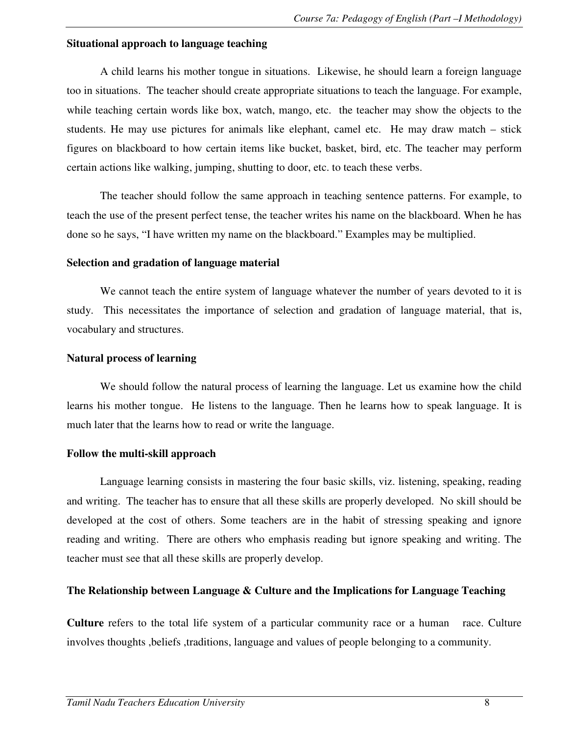#### **Situational approach to language teaching**

 A child learns his mother tongue in situations. Likewise, he should learn a foreign language too in situations. The teacher should create appropriate situations to teach the language. For example, while teaching certain words like box, watch, mango, etc. the teacher may show the objects to the students. He may use pictures for animals like elephant, camel etc. He may draw match – stick figures on blackboard to how certain items like bucket, basket, bird, etc. The teacher may perform certain actions like walking, jumping, shutting to door, etc. to teach these verbs.

 The teacher should follow the same approach in teaching sentence patterns. For example, to teach the use of the present perfect tense, the teacher writes his name on the blackboard. When he has done so he says, "I have written my name on the blackboard." Examples may be multiplied.

#### **Selection and gradation of language material**

 We cannot teach the entire system of language whatever the number of years devoted to it is study. This necessitates the importance of selection and gradation of language material, that is, vocabulary and structures.

#### **Natural process of learning**

 We should follow the natural process of learning the language. Let us examine how the child learns his mother tongue. He listens to the language. Then he learns how to speak language. It is much later that the learns how to read or write the language.

#### **Follow the multi-skill approach**

 Language learning consists in mastering the four basic skills, viz. listening, speaking, reading and writing. The teacher has to ensure that all these skills are properly developed. No skill should be developed at the cost of others. Some teachers are in the habit of stressing speaking and ignore reading and writing. There are others who emphasis reading but ignore speaking and writing. The teacher must see that all these skills are properly develop.

# **The Relationship between Language & Culture and the Implications for Language Teaching**

**Culture** refers to the total life system of a particular community race or a human race. Culture involves thoughts ,beliefs ,traditions, language and values of people belonging to a community.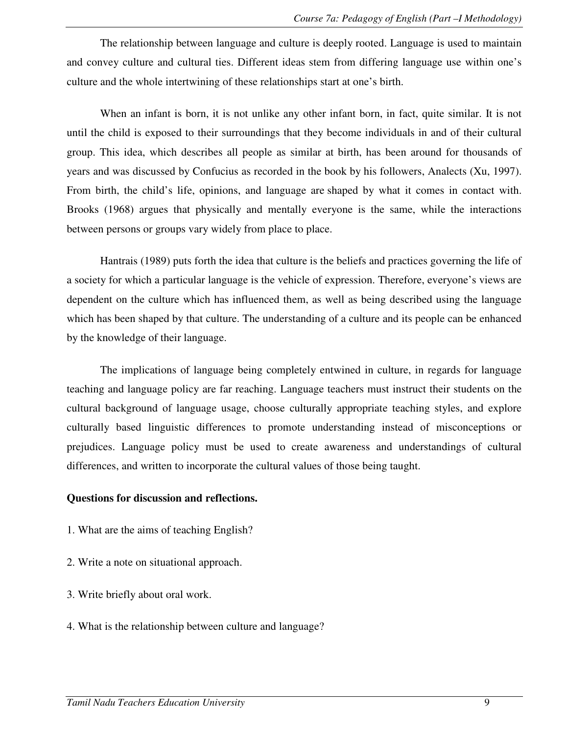The relationship between language and culture is deeply rooted. Language is used to maintain and convey culture and cultural ties. Different ideas stem from differing language use within one's culture and the whole intertwining of these relationships start at one's birth.

When an infant is born, it is not unlike any other infant born, in fact, quite similar. It is not until the child is exposed to their surroundings that they become individuals in and of their cultural group. This idea, which describes all people as similar at birth, has been around for thousands of years and was discussed by Confucius as recorded in the book by his followers, Analects (Xu, 1997). From birth, the child's life, opinions, and language are shaped by what it comes in contact with. Brooks (1968) argues that physically and mentally everyone is the same, while the interactions between persons or groups vary widely from place to place.

Hantrais (1989) puts forth the idea that culture is the beliefs and practices governing the life of a society for which a particular language is the vehicle of expression. Therefore, everyone's views are dependent on the culture which has influenced them, as well as being described using the language which has been shaped by that culture. The understanding of a culture and its people can be enhanced by the knowledge of their language.

The implications of language being completely entwined in culture, in regards for language teaching and language policy are far reaching. Language teachers must instruct their students on the cultural background of language usage, choose culturally appropriate teaching styles, and explore culturally based linguistic differences to promote understanding instead of misconceptions or prejudices. Language policy must be used to create awareness and understandings of cultural differences, and written to incorporate the cultural values of those being taught.

#### **Questions for discussion and reflections.**

- 1. What are the aims of teaching English?
- 2. Write a note on situational approach.
- 3. Write briefly about oral work.
- 4. What is the relationship between culture and language?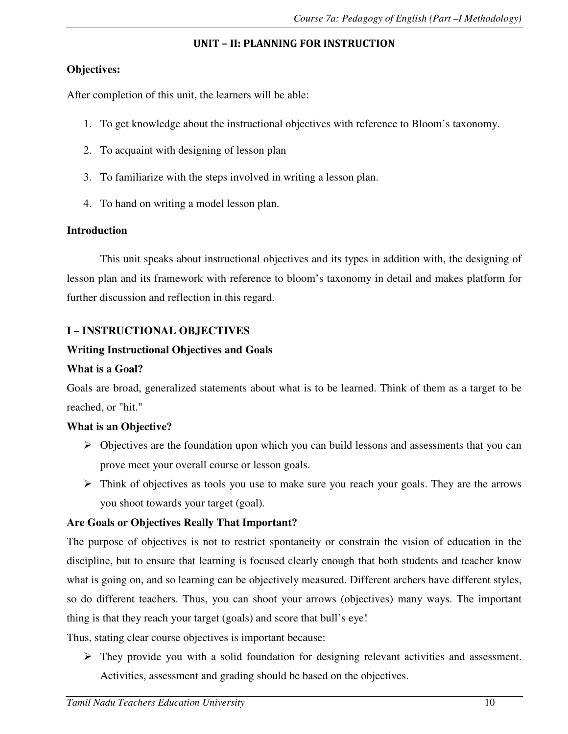# **UNIT – II: PLANNING FOR INSTRUCTION**

# **Objectives:**

After completion of this unit, the learners will be able:

- 1. To get knowledge about the instructional objectives with reference to Bloom's taxonomy.
- 2. To acquaint with designing of lesson plan
- 3. To familiarize with the steps involved in writing a lesson plan.
- 4. To hand on writing a model lesson plan.

# **Introduction**

This unit speaks about instructional objectives and its types in addition with, the designing of lesson plan and its framework with reference to bloom's taxonomy in detail and makes platform for further discussion and reflection in this regard.

# **I – INSTRUCTIONAL OBJECTIVES**

# **Writing Instructional Objectives and Goals**

# **What is a Goal?**

Goals are broad, generalized statements about what is to be learned. Think of them as a target to be reached, or "hit."

# **What is an Objective?**

- $\triangleright$  Objectives are the foundation upon which you can build lessons and assessments that you can prove meet your overall course or lesson goals.
- $\triangleright$  Think of objectives as tools you use to make sure you reach your goals. They are the arrows you shoot towards your target (goal).

# **Are Goals or Objectives Really That Important?**

The purpose of objectives is not to restrict spontaneity or constrain the vision of education in the discipline, but to ensure that learning is focused clearly enough that both students and teacher know what is going on, and so learning can be objectively measured. Different archers have different styles, so do different teachers. Thus, you can shoot your arrows (objectives) many ways. The important thing is that they reach your target (goals) and score that bull's eye!

Thus, stating clear course objectives is important because:

 They provide you with a solid foundation for designing relevant activities and assessment. Activities, assessment and grading should be based on the objectives.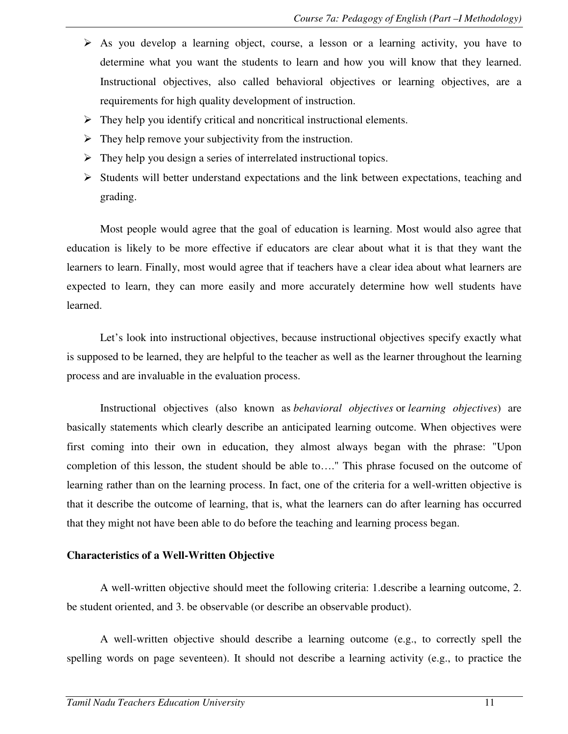- $\triangleright$  As you develop a learning object, course, a lesson or a learning activity, you have to determine what you want the students to learn and how you will know that they learned. Instructional objectives, also called behavioral objectives or learning objectives, are a requirements for high quality development of instruction.
- $\triangleright$  They help you identify critical and noncritical instructional elements.
- $\triangleright$  They help remove your subjectivity from the instruction.
- $\triangleright$  They help you design a series of interrelated instructional topics.
- $\triangleright$  Students will better understand expectations and the link between expectations, teaching and grading.

Most people would agree that the goal of education is learning. Most would also agree that education is likely to be more effective if educators are clear about what it is that they want the learners to learn. Finally, most would agree that if teachers have a clear idea about what learners are expected to learn, they can more easily and more accurately determine how well students have learned.

Let's look into instructional objectives, because instructional objectives specify exactly what is supposed to be learned, they are helpful to the teacher as well as the learner throughout the learning process and are invaluable in the evaluation process.

Instructional objectives (also known as *behavioral objectives* or *learning objectives*) are basically statements which clearly describe an anticipated learning outcome. When objectives were first coming into their own in education, they almost always began with the phrase: "Upon completion of this lesson, the student should be able to…." This phrase focused on the outcome of learning rather than on the learning process. In fact, one of the criteria for a well-written objective is that it describe the outcome of learning, that is, what the learners can do after learning has occurred that they might not have been able to do before the teaching and learning process began.

#### **Characteristics of a Well-Written Objective**

A well-written objective should meet the following criteria: 1.describe a learning outcome, 2. be student oriented, and 3. be observable (or describe an observable product).

A well-written objective should describe a learning outcome (e.g., to correctly spell the spelling words on page seventeen). It should not describe a learning activity (e.g., to practice the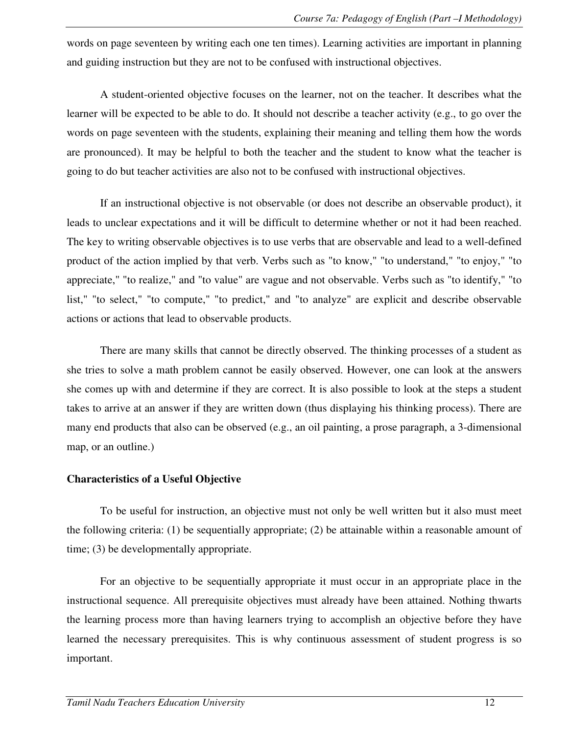words on page seventeen by writing each one ten times). Learning activities are important in planning and guiding instruction but they are not to be confused with instructional objectives.

A student-oriented objective focuses on the learner, not on the teacher. It describes what the learner will be expected to be able to do. It should not describe a teacher activity (e.g., to go over the words on page seventeen with the students, explaining their meaning and telling them how the words are pronounced). It may be helpful to both the teacher and the student to know what the teacher is going to do but teacher activities are also not to be confused with instructional objectives.

If an instructional objective is not observable (or does not describe an observable product), it leads to unclear expectations and it will be difficult to determine whether or not it had been reached. The key to writing observable objectives is to use verbs that are observable and lead to a well-defined product of the action implied by that verb. Verbs such as "to know," "to understand," "to enjoy," "to appreciate," "to realize," and "to value" are vague and not observable. Verbs such as "to identify," "to list," "to select," "to compute," "to predict," and "to analyze" are explicit and describe observable actions or actions that lead to observable products.

There are many skills that cannot be directly observed. The thinking processes of a student as she tries to solve a math problem cannot be easily observed. However, one can look at the answers she comes up with and determine if they are correct. It is also possible to look at the steps a student takes to arrive at an answer if they are written down (thus displaying his thinking process). There are many end products that also can be observed (e.g., an oil painting, a prose paragraph, a 3-dimensional map, or an outline.)

#### **Characteristics of a Useful Objective**

To be useful for instruction, an objective must not only be well written but it also must meet the following criteria: (1) be sequentially appropriate; (2) be attainable within a reasonable amount of time; (3) be developmentally appropriate.

For an objective to be sequentially appropriate it must occur in an appropriate place in the instructional sequence. All prerequisite objectives must already have been attained. Nothing thwarts the learning process more than having learners trying to accomplish an objective before they have learned the necessary prerequisites. This is why continuous assessment of student progress is so important.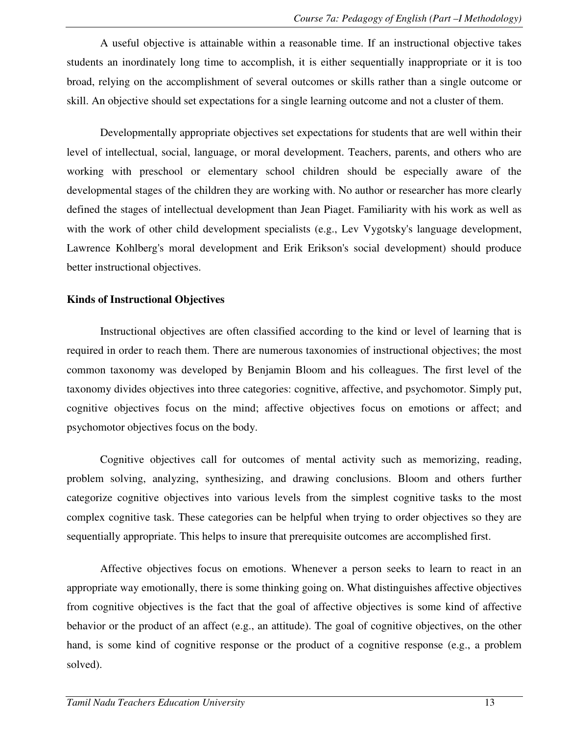A useful objective is attainable within a reasonable time. If an instructional objective takes students an inordinately long time to accomplish, it is either sequentially inappropriate or it is too broad, relying on the accomplishment of several outcomes or skills rather than a single outcome or skill. An objective should set expectations for a single learning outcome and not a cluster of them.

Developmentally appropriate objectives set expectations for students that are well within their level of intellectual, social, language, or moral development. Teachers, parents, and others who are working with preschool or elementary school children should be especially aware of the developmental stages of the children they are working with. No author or researcher has more clearly defined the stages of intellectual development than Jean Piaget. Familiarity with his work as well as with the work of other child development specialists (e.g., Lev Vygotsky's language development, Lawrence Kohlberg's moral development and Erik Erikson's social development) should produce better instructional objectives.

#### **Kinds of Instructional Objectives**

Instructional objectives are often classified according to the kind or level of learning that is required in order to reach them. There are numerous taxonomies of instructional objectives; the most common taxonomy was developed by Benjamin Bloom and his colleagues. The first level of the taxonomy divides objectives into three categories: cognitive, affective, and psychomotor. Simply put, cognitive objectives focus on the mind; affective objectives focus on emotions or affect; and psychomotor objectives focus on the body.

Cognitive objectives call for outcomes of mental activity such as memorizing, reading, problem solving, analyzing, synthesizing, and drawing conclusions. Bloom and others further categorize cognitive objectives into various levels from the simplest cognitive tasks to the most complex cognitive task. These categories can be helpful when trying to order objectives so they are sequentially appropriate. This helps to insure that prerequisite outcomes are accomplished first.

Affective objectives focus on emotions. Whenever a person seeks to learn to react in an appropriate way emotionally, there is some thinking going on. What distinguishes affective objectives from cognitive objectives is the fact that the goal of affective objectives is some kind of affective behavior or the product of an affect (e.g., an attitude). The goal of cognitive objectives, on the other hand, is some kind of cognitive response or the product of a cognitive response (e.g., a problem solved).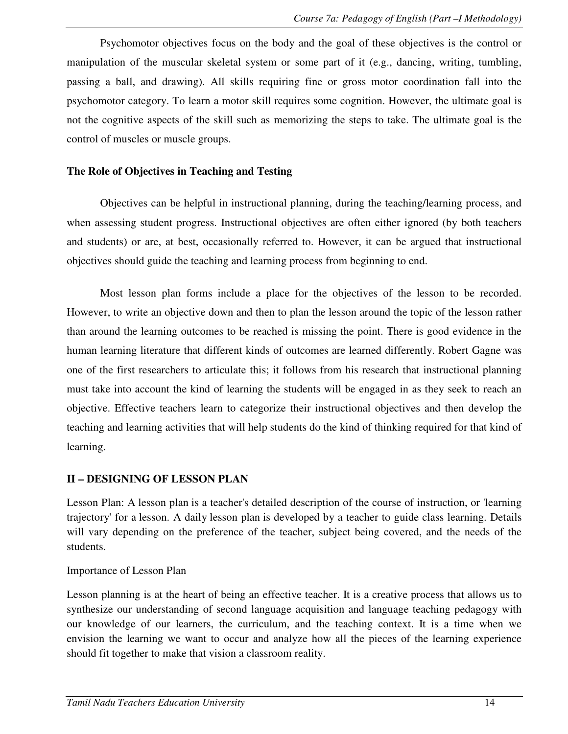Psychomotor objectives focus on the body and the goal of these objectives is the control or manipulation of the muscular skeletal system or some part of it (e.g., dancing, writing, tumbling, passing a ball, and drawing). All skills requiring fine or gross motor coordination fall into the psychomotor category. To learn a motor skill requires some cognition. However, the ultimate goal is not the cognitive aspects of the skill such as memorizing the steps to take. The ultimate goal is the control of muscles or muscle groups.

# **The Role of Objectives in Teaching and Testing**

Objectives can be helpful in instructional planning, during the teaching/learning process, and when assessing student progress. Instructional objectives are often either ignored (by both teachers and students) or are, at best, occasionally referred to. However, it can be argued that instructional objectives should guide the teaching and learning process from beginning to end.

Most lesson plan forms include a place for the objectives of the lesson to be recorded. However, to write an objective down and then to plan the lesson around the topic of the lesson rather than around the learning outcomes to be reached is missing the point. There is good evidence in the human learning literature that different kinds of outcomes are learned differently. Robert Gagne was one of the first researchers to articulate this; it follows from his research that instructional planning must take into account the kind of learning the students will be engaged in as they seek to reach an objective. Effective teachers learn to categorize their instructional objectives and then develop the teaching and learning activities that will help students do the kind of thinking required for that kind of learning.

# **II – DESIGNING OF LESSON PLAN**

Lesson Plan: A lesson plan is a teacher's detailed description of the course of instruction, or 'learning trajectory' for a lesson. A daily lesson plan is developed by a teacher to guide class learning. Details will vary depending on the preference of the teacher, subject being covered, and the needs of the students.

#### Importance of Lesson Plan

Lesson planning is at the heart of being an effective teacher. It is a creative process that allows us to synthesize our understanding of second language acquisition and language teaching pedagogy with our knowledge of our learners, the curriculum, and the teaching context. It is a time when we envision the learning we want to occur and analyze how all the pieces of the learning experience should fit together to make that vision a classroom reality.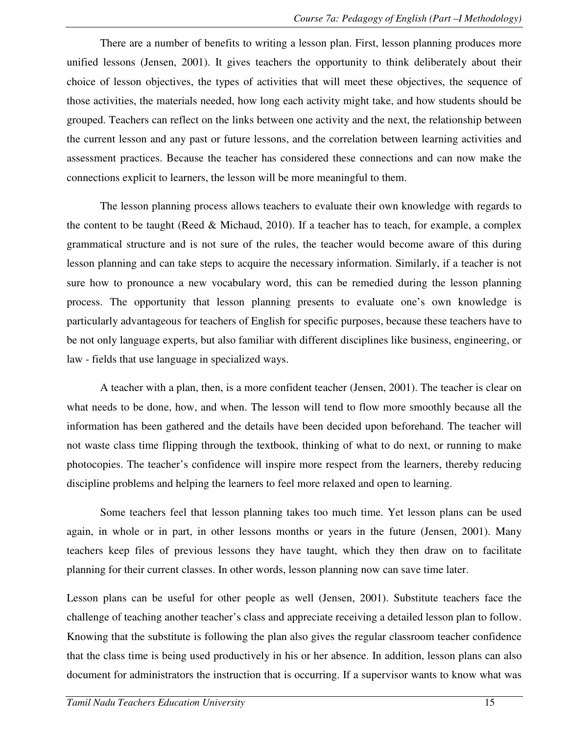There are a number of benefits to writing a lesson plan. First, lesson planning produces more unified lessons (Jensen, 2001). It gives teachers the opportunity to think deliberately about their choice of lesson objectives, the types of activities that will meet these objectives, the sequence of those activities, the materials needed, how long each activity might take, and how students should be grouped. Teachers can reflect on the links between one activity and the next, the relationship between the current lesson and any past or future lessons, and the correlation between learning activities and assessment practices. Because the teacher has considered these connections and can now make the connections explicit to learners, the lesson will be more meaningful to them.

The lesson planning process allows teachers to evaluate their own knowledge with regards to the content to be taught (Reed & Michaud, 2010). If a teacher has to teach, for example, a complex grammatical structure and is not sure of the rules, the teacher would become aware of this during lesson planning and can take steps to acquire the necessary information. Similarly, if a teacher is not sure how to pronounce a new vocabulary word, this can be remedied during the lesson planning process. The opportunity that lesson planning presents to evaluate one's own knowledge is particularly advantageous for teachers of English for specific purposes, because these teachers have to be not only language experts, but also familiar with different disciplines like business, engineering, or law - fields that use language in specialized ways.

A teacher with a plan, then, is a more confident teacher (Jensen, 2001). The teacher is clear on what needs to be done, how, and when. The lesson will tend to flow more smoothly because all the information has been gathered and the details have been decided upon beforehand. The teacher will not waste class time flipping through the textbook, thinking of what to do next, or running to make photocopies. The teacher's confidence will inspire more respect from the learners, thereby reducing discipline problems and helping the learners to feel more relaxed and open to learning.

Some teachers feel that lesson planning takes too much time. Yet lesson plans can be used again, in whole or in part, in other lessons months or years in the future (Jensen, 2001). Many teachers keep files of previous lessons they have taught, which they then draw on to facilitate planning for their current classes. In other words, lesson planning now can save time later.

Lesson plans can be useful for other people as well (Jensen, 2001). Substitute teachers face the challenge of teaching another teacher's class and appreciate receiving a detailed lesson plan to follow. Knowing that the substitute is following the plan also gives the regular classroom teacher confidence that the class time is being used productively in his or her absence. In addition, lesson plans can also document for administrators the instruction that is occurring. If a supervisor wants to know what was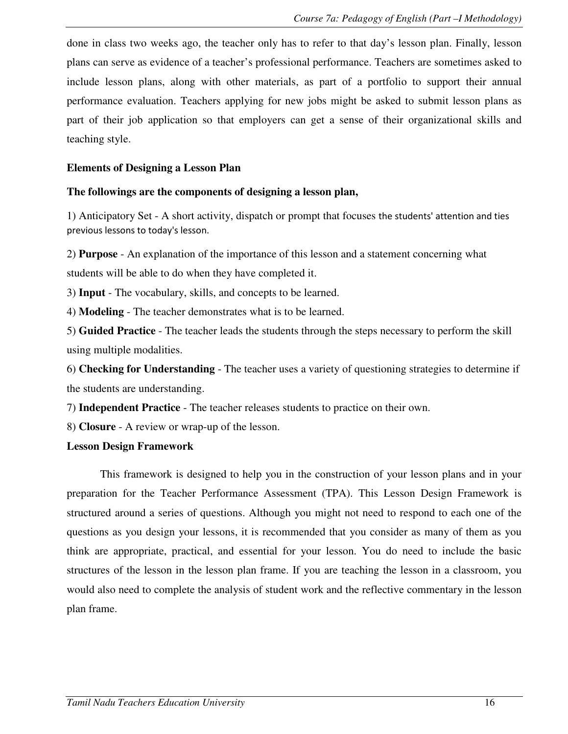done in class two weeks ago, the teacher only has to refer to that day's lesson plan. Finally, lesson plans can serve as evidence of a teacher's professional performance. Teachers are sometimes asked to include lesson plans, along with other materials, as part of a portfolio to support their annual performance evaluation. Teachers applying for new jobs might be asked to submit lesson plans as part of their job application so that employers can get a sense of their organizational skills and teaching style.

# **Elements of Designing a Lesson Plan**

#### **The followings are the components of designing a lesson plan,**

1) Anticipatory Set - A short activity, dispatch or prompt that focuses the students' attention and ties previous lessons to today's lesson.

2) **Purpose** - An explanation of the importance of this lesson and a statement concerning what students will be able to do when they have completed it.

3) **Input** - The vocabulary, skills, and concepts to be learned.

4) **Modeling** - The teacher demonstrates what is to be learned.

5) **Guided Practice** - The teacher leads the students through the steps necessary to perform the skill using multiple modalities.

6) **Checking for Understanding** - The teacher uses a variety of questioning strategies to determine if the students are understanding.

7) **Independent Practice** - The teacher releases students to practice on their own.

8) **Closure** - A review or wrap-up of the lesson.

#### **Lesson Design Framework**

This framework is designed to help you in the construction of your lesson plans and in your preparation for the Teacher Performance Assessment (TPA). This Lesson Design Framework is structured around a series of questions. Although you might not need to respond to each one of the questions as you design your lessons, it is recommended that you consider as many of them as you think are appropriate, practical, and essential for your lesson. You do need to include the basic structures of the lesson in the lesson plan frame. If you are teaching the lesson in a classroom, you would also need to complete the analysis of student work and the reflective commentary in the lesson plan frame.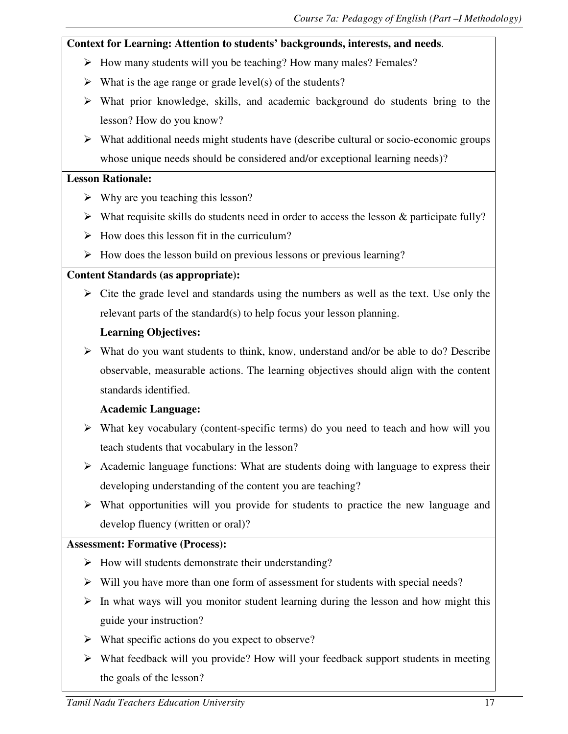# **Context for Learning: Attention to students' backgrounds, interests, and needs**.

- $\triangleright$  How many students will you be teaching? How many males? Females?
- $\triangleright$  What is the age range or grade level(s) of the students?
- $\triangleright$  What prior knowledge, skills, and academic background do students bring to the lesson? How do you know?
- $\triangleright$  What additional needs might students have (describe cultural or socio-economic groups whose unique needs should be considered and/or exceptional learning needs)?

#### **Lesson Rationale:**

- $\triangleright$  Why are you teaching this lesson?
- $\triangleright$  What requisite skills do students need in order to access the lesson & participate fully?
- $\triangleright$  How does this lesson fit in the curriculum?
- $\triangleright$  How does the lesson build on previous lessons or previous learning?

# **Content Standards (as appropriate):**

 $\triangleright$  Cite the grade level and standards using the numbers as well as the text. Use only the relevant parts of the standard(s) to help focus your lesson planning.

# **Learning Objectives:**

 $\triangleright$  What do you want students to think, know, understand and/or be able to do? Describe observable, measurable actions. The learning objectives should align with the content standards identified.

# **Academic Language:**

- $\triangleright$  What key vocabulary (content-specific terms) do you need to teach and how will you teach students that vocabulary in the lesson?
- $\triangleright$  Academic language functions: What are students doing with language to express their developing understanding of the content you are teaching?
- $\triangleright$  What opportunities will you provide for students to practice the new language and develop fluency (written or oral)?

# **Assessment: Formative (Process):**

- $\triangleright$  How will students demonstrate their understanding?
- Will you have more than one form of assessment for students with special needs?
- $\triangleright$  In what ways will you monitor student learning during the lesson and how might this guide your instruction?
- $\triangleright$  What specific actions do you expect to observe?
- $\triangleright$  What feedback will you provide? How will your feedback support students in meeting the goals of the lesson?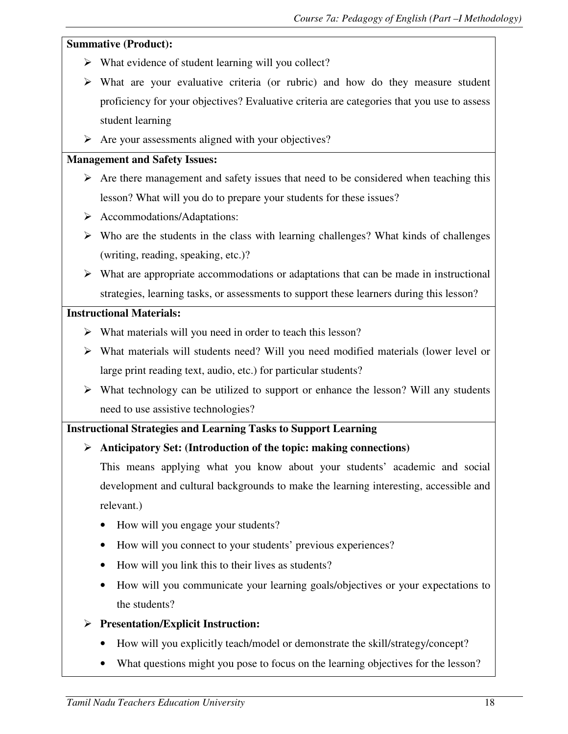#### **Summative (Product):**

- $\triangleright$  What evidence of student learning will you collect?
- $\triangleright$  What are your evaluative criteria (or rubric) and how do they measure student proficiency for your objectives? Evaluative criteria are categories that you use to assess student learning
- $\triangleright$  Are your assessments aligned with your objectives?

#### **Management and Safety Issues:**

- $\triangleright$  Are there management and safety issues that need to be considered when teaching this lesson? What will you do to prepare your students for these issues?
- Accommodations/Adaptations:
- $\triangleright$  Who are the students in the class with learning challenges? What kinds of challenges (writing, reading, speaking, etc.)?
- $\triangleright$  What are appropriate accommodations or adaptations that can be made in instructional strategies, learning tasks, or assessments to support these learners during this lesson?

# **Instructional Materials:**

- $\triangleright$  What materials will you need in order to teach this lesson?
- What materials will students need? Will you need modified materials (lower level or large print reading text, audio, etc.) for particular students?
- $\triangleright$  What technology can be utilized to support or enhance the lesson? Will any students need to use assistive technologies?

# **Instructional Strategies and Learning Tasks to Support Learning**

# **Anticipatory Set: (Introduction of the topic: making connections)**

This means applying what you know about your students' academic and social development and cultural backgrounds to make the learning interesting, accessible and relevant.)

- How will you engage your students?
- How will you connect to your students' previous experiences?
- How will you link this to their lives as students?
- How will you communicate your learning goals/objectives or your expectations to the students?
- **Presentation/Explicit Instruction:** 
	- How will you explicitly teach/model or demonstrate the skill/strategy/concept?
	- What questions might you pose to focus on the learning objectives for the lesson?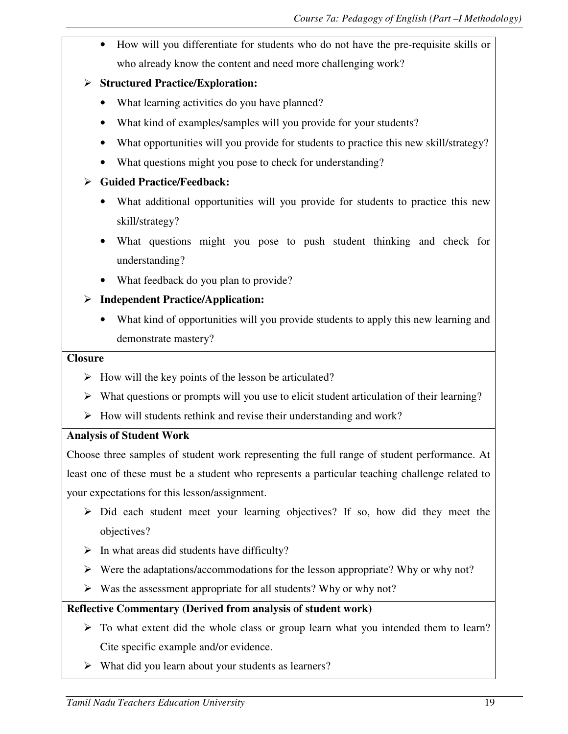- How will you differentiate for students who do not have the pre-requisite skills or who already know the content and need more challenging work?
- **Structured Practice/Exploration:** 
	- What learning activities do you have planned?
	- What kind of examples/samples will you provide for your students?
	- What opportunities will you provide for students to practice this new skill/strategy?
	- What questions might you pose to check for understanding?

# **Guided Practice/Feedback:**

- What additional opportunities will you provide for students to practice this new skill/strategy?
- What questions might you pose to push student thinking and check for understanding?
- What feedback do you plan to provide?

# **Independent Practice/Application:**

• What kind of opportunities will you provide students to apply this new learning and demonstrate mastery?

# **Closure**

- $\triangleright$  How will the key points of the lesson be articulated?
- $\triangleright$  What questions or prompts will you use to elicit student articulation of their learning?
- $\triangleright$  How will students rethink and revise their understanding and work?

# **Analysis of Student Work**

Choose three samples of student work representing the full range of student performance. At least one of these must be a student who represents a particular teaching challenge related to your expectations for this lesson/assignment.

- $\triangleright$  Did each student meet your learning objectives? If so, how did they meet the objectives?
- $\triangleright$  In what areas did students have difficulty?
- $\triangleright$  Were the adaptations/accommodations for the lesson appropriate? Why or why not?
- $\triangleright$  Was the assessment appropriate for all students? Why or why not?

# **Reflective Commentary (Derived from analysis of student work)**

- $\triangleright$  To what extent did the whole class or group learn what you intended them to learn? Cite specific example and/or evidence.
- $\triangleright$  What did you learn about your students as learners?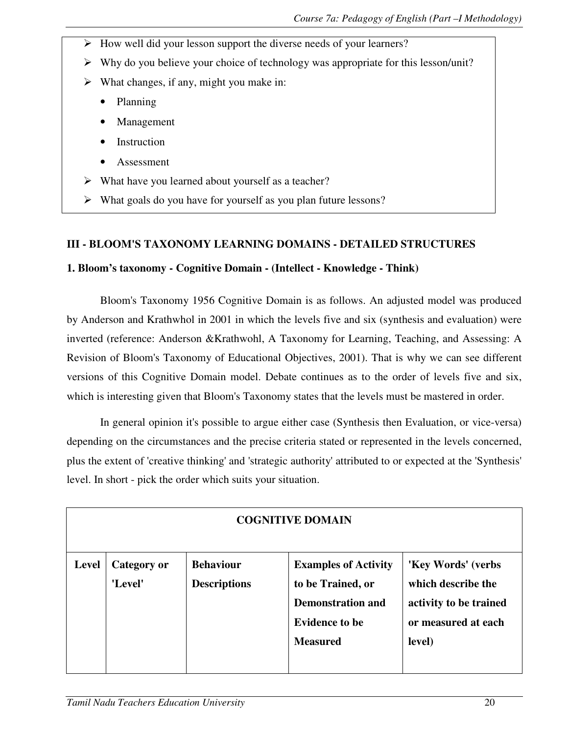- $\triangleright$  How well did your lesson support the diverse needs of your learners?
- $\triangleright$  Why do you believe your choice of technology was appropriate for this lesson/unit?
- $\triangleright$  What changes, if any, might you make in:
	- Planning
	- **Management**
	- Instruction
	- Assessment
- $\triangleright$  What have you learned about yourself as a teacher?
- What goals do you have for yourself as you plan future lessons?

# **III - BLOOM'S TAXONOMY LEARNING DOMAINS - DETAILED STRUCTURES**

#### **1. Bloom's taxonomy - Cognitive Domain - (Intellect - Knowledge - Think)**

Bloom's Taxonomy 1956 Cognitive Domain is as follows. An adjusted model was produced by Anderson and Krathwhol in 2001 in which the levels five and six (synthesis and evaluation) were inverted (reference: Anderson &Krathwohl, A Taxonomy for Learning, Teaching, and Assessing: A Revision of Bloom's Taxonomy of Educational Objectives, 2001). That is why we can see different versions of this Cognitive Domain model. Debate continues as to the order of levels five and six, which is interesting given that Bloom's Taxonomy states that the levels must be mastered in order.

In general opinion it's possible to argue either case (Synthesis then Evaluation, or vice-versa) depending on the circumstances and the precise criteria stated or represented in the levels concerned, plus the extent of 'creative thinking' and 'strategic authority' attributed to or expected at the 'Synthesis' level. In short - pick the order which suits your situation.

|              | <b>COGNITIVE DOMAIN</b> |                                         |                                                                                                                          |                                                                                                      |  |  |
|--------------|-------------------------|-----------------------------------------|--------------------------------------------------------------------------------------------------------------------------|------------------------------------------------------------------------------------------------------|--|--|
| <b>Level</b> | Category or<br>'Level'  | <b>Behaviour</b><br><b>Descriptions</b> | <b>Examples of Activity</b><br>to be Trained, or<br><b>Demonstration and</b><br><b>Evidence to be</b><br><b>Measured</b> | 'Key Words' (verbs)<br>which describe the<br>activity to be trained<br>or measured at each<br>level) |  |  |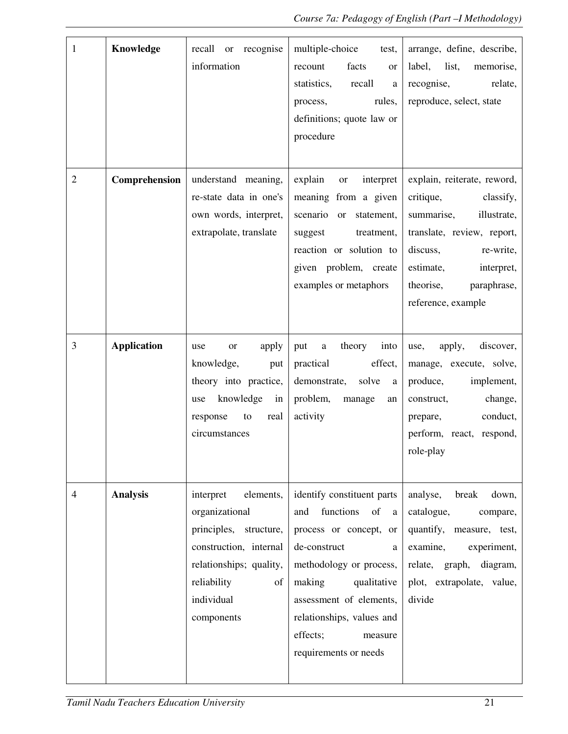| $\mathbf{1}$   | Knowledge          | recall or recognise<br>information                                                                                                                                                                                                                                          | multiple-choice<br>test,<br>facts<br>recount<br><b>or</b><br>recall<br>statistics,<br>a<br>rules,<br>process,<br>definitions; quote law or<br>procedure                                                                                                                            | arrange, define, describe,<br>label,<br>list,<br>memorise,<br>recognise,<br>relate,<br>reproduce, select, state                                                                                                        |
|----------------|--------------------|-----------------------------------------------------------------------------------------------------------------------------------------------------------------------------------------------------------------------------------------------------------------------------|------------------------------------------------------------------------------------------------------------------------------------------------------------------------------------------------------------------------------------------------------------------------------------|------------------------------------------------------------------------------------------------------------------------------------------------------------------------------------------------------------------------|
| $\overline{2}$ | Comprehension      | understand meaning,<br>re-state data in one's<br>own words, interpret,<br>extrapolate, translate                                                                                                                                                                            | explain<br>interpret<br>or<br>meaning from a given<br>scenario<br>statement,<br><sub>or</sub><br>suggest<br>treatment,<br>reaction or solution to<br>given problem, create<br>examples or metaphors                                                                                | explain, reiterate, reword,<br>critique,<br>classify,<br>summarise,<br>illustrate,<br>translate, review, report,<br>discuss,<br>re-write,<br>estimate,<br>interpret,<br>theorise,<br>paraphrase,<br>reference, example |
| 3              | <b>Application</b> | apply<br>use<br><b>or</b><br>knowledge,<br>put<br>theory into practice,<br>knowledge<br>in<br>use<br>response<br>to<br>real<br>circumstances                                                                                                                                | theory<br>put<br>into<br>$\mathbf{a}$<br>practical<br>effect,<br>demonstrate,<br>solve<br>a<br>problem,<br>manage<br>an<br>activity                                                                                                                                                | discover,<br>apply,<br>use,<br>manage, execute, solve,<br>implement,<br>produce,<br>construct,<br>change,<br>conduct,<br>prepare,<br>perform, react, respond,<br>role-play                                             |
| $\overline{4}$ | <b>Analysis</b>    | interpret<br>elements,<br>organizational<br>principles,<br>structure,<br>construction, internal<br>relationships; quality,<br>reliability<br>$% \left( \left( \mathcal{A},\mathcal{A}\right) \right) =\left( \mathcal{A},\mathcal{A}\right)$ of<br>individual<br>components | identify constituent parts<br>functions<br>and<br>of<br>a<br>process or concept,<br><sub>or</sub><br>de-construct<br>a<br>methodology or process,<br>making<br>qualitative<br>assessment of elements,<br>relationships, values and<br>effects;<br>measure<br>requirements or needs | analyse,<br>break<br>down,<br>catalogue,<br>compare,<br>quantify, measure, test,<br>examine,<br>experiment,<br>relate, graph,<br>diagram,<br>plot, extrapolate, value,<br>divide                                       |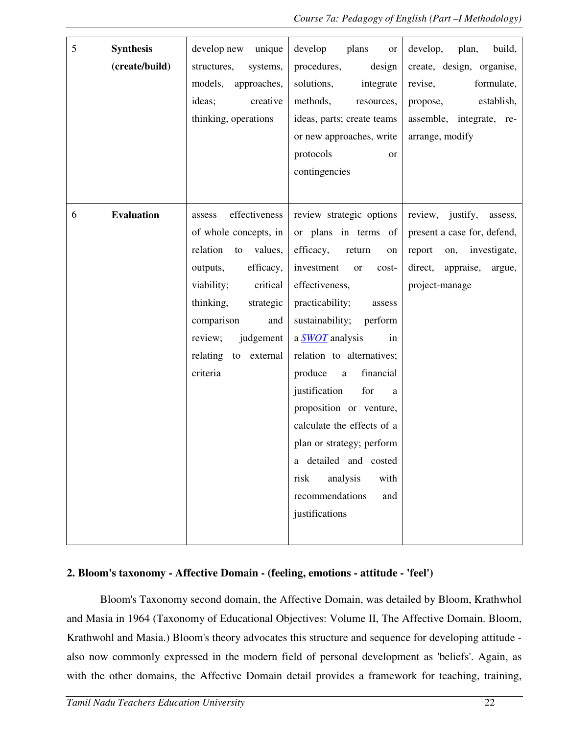| 5 | <b>Synthesis</b><br>(create/build) | develop new unique<br>structures,<br>systems,<br>models,<br>approaches,<br>ideas;<br>creative<br>thinking, operations                                                                                                                       | develop<br>plans<br><b>or</b><br>procedures,<br>design<br>solutions,<br>integrate<br>methods,<br>resources,<br>ideas, parts; create teams<br>or new approaches, write<br>protocols<br><sub>or</sub><br>contingencies                                                                                                                                                                                                                                                                                                       | develop,<br>plan,<br>build,<br>create, design, organise,<br>formulate,<br>revise,<br>establish,<br>propose,<br>assemble, integrate, re-<br>arrange, modify |
|---|------------------------------------|---------------------------------------------------------------------------------------------------------------------------------------------------------------------------------------------------------------------------------------------|----------------------------------------------------------------------------------------------------------------------------------------------------------------------------------------------------------------------------------------------------------------------------------------------------------------------------------------------------------------------------------------------------------------------------------------------------------------------------------------------------------------------------|------------------------------------------------------------------------------------------------------------------------------------------------------------|
| 6 | <b>Evaluation</b>                  | effectiveness<br>assess<br>of whole concepts, in<br>relation<br>values,<br>to<br>outputs,<br>efficacy,<br>viability;<br>critical<br>thinking,<br>strategic<br>comparison<br>and<br>review;<br>judgement<br>relating to external<br>criteria | review strategic options<br>or plans in terms of<br>efficacy,<br>return<br>on<br>investment<br><b>or</b><br>cost-<br>effectiveness,<br>practicability;<br>assess<br>sustainability;<br>perform<br>a <b>SWOT</b> analysis<br>in<br>relation to alternatives;<br>financial<br>produce<br>$\mathbf{a}$<br>justification<br>for<br>a<br>proposition or venture,<br>calculate the effects of a<br>plan or strategy; perform<br>detailed and costed<br>a<br>analysis<br>with<br>risk<br>recommendations<br>and<br>justifications | review, justify,<br>assess,<br>present a case for, defend,<br>investigate,<br>report<br>on,<br>direct,<br>appraise,<br>argue,<br>project-manage            |

# **2. Bloom's taxonomy - Affective Domain - (feeling, emotions - attitude - 'feel')**

Bloom's Taxonomy second domain, the Affective Domain, was detailed by Bloom, Krathwhol and Masia in 1964 (Taxonomy of Educational Objectives: Volume II, The Affective Domain. Bloom, Krathwohl and Masia.) Bloom's theory advocates this structure and sequence for developing attitude also now commonly expressed in the modern field of personal development as 'beliefs'. Again, as with the other domains, the Affective Domain detail provides a framework for teaching, training,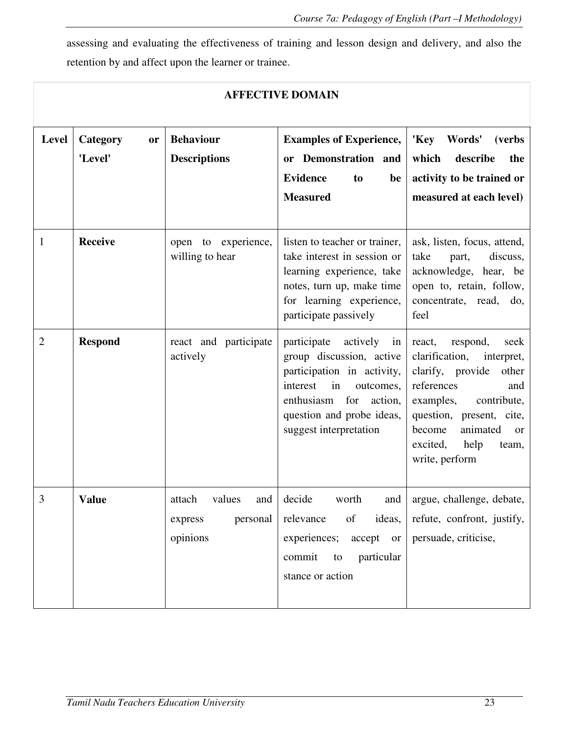assessing and evaluating the effectiveness of training and lesson design and delivery, and also the retention by and affect upon the learner or trainee.

| <b>AFFECTIVE DOMAIN</b> |                           |                                                             |                                                                                                                                                                                                                |                                                                                                                                                                                                                                                            |  |
|-------------------------|---------------------------|-------------------------------------------------------------|----------------------------------------------------------------------------------------------------------------------------------------------------------------------------------------------------------------|------------------------------------------------------------------------------------------------------------------------------------------------------------------------------------------------------------------------------------------------------------|--|
| <b>Level</b>            | Category<br>or<br>'Level' | <b>Behaviour</b><br><b>Descriptions</b>                     | <b>Examples of Experience,</b><br>or Demonstration and<br><b>Evidence</b><br>to<br>be<br><b>Measured</b>                                                                                                       | 'Key<br>Words'<br>(verbs)<br>which<br>describe<br>the<br>activity to be trained or<br>measured at each level)                                                                                                                                              |  |
| $\mathbf{1}$            | <b>Receive</b>            | open to experience,<br>willing to hear                      | listen to teacher or trainer,<br>take interest in session or<br>learning experience, take<br>notes, turn up, make time<br>for learning experience,<br>participate passively                                    | ask, listen, focus, attend,<br>take<br>discuss,<br>part,<br>acknowledge, hear, be<br>open to, retain, follow,<br>concentrate, read,<br>do,<br>feel                                                                                                         |  |
| $\overline{2}$          | <b>Respond</b>            | react and participate<br>actively                           | participate<br>actively<br>$\sin$<br>group discussion, active<br>participation in activity,<br>in<br>interest<br>outcomes,<br>enthusiasm for<br>action,<br>question and probe ideas,<br>suggest interpretation | react,<br>respond,<br>seek<br>clarification,<br>interpret,<br>clarify, provide<br>other<br>references<br>and<br>contribute,<br>examples,<br>question, present, cite,<br>animated<br>become<br><sub>or</sub><br>excited,<br>help<br>team,<br>write, perform |  |
| 3                       | <b>Value</b>              | attach values and decide<br>personal<br>express<br>opinions | worth<br>relevance<br>of<br>ideas,<br>experiences;<br>accept or<br>commit<br>particular<br>to<br>stance or action                                                                                              | and   argue, challenge, debate,<br>refute, confront, justify,<br>persuade, criticise,                                                                                                                                                                      |  |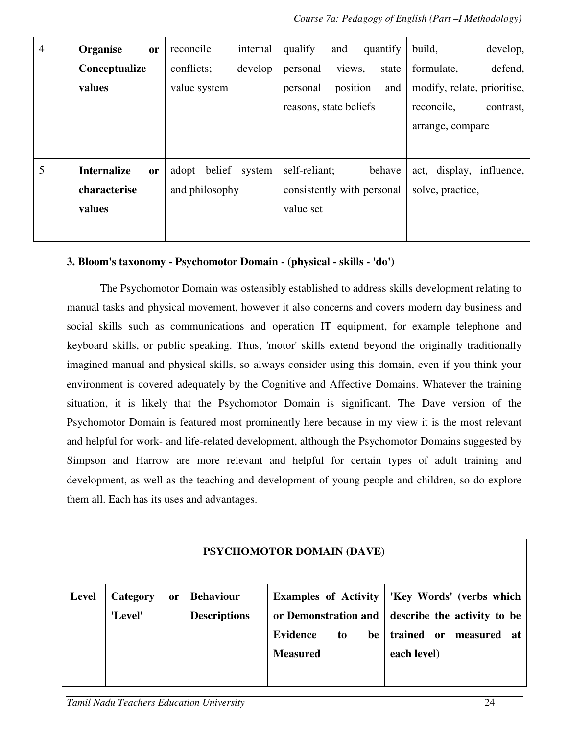| $\overline{4}$ | Organise<br>or                      | reconcile<br>internal  | qualify<br>quantify<br>and  | build,<br>develop,          |
|----------------|-------------------------------------|------------------------|-----------------------------|-----------------------------|
|                | Conceptualize                       | develop<br>conflicts;  | views,<br>personal<br>state | defend,<br>formulate,       |
|                | values                              | value system           | position<br>personal<br>and | modify, relate, prioritise, |
|                |                                     |                        | reasons, state beliefs      | reconcile,<br>contrast,     |
|                |                                     |                        |                             | arrange, compare            |
|                |                                     |                        |                             |                             |
| 5              | <b>Internalize</b><br><sub>or</sub> | adopt belief<br>system | self-reliant;<br>behave     | act, display,<br>influence, |
|                | characterise                        | and philosophy         | consistently with personal  | solve, practice,            |
|                | values                              |                        | value set                   |                             |
|                |                                     |                        |                             |                             |

# **3. Bloom's taxonomy - Psychomotor Domain - (physical - skills - 'do')**

The Psychomotor Domain was ostensibly established to address skills development relating to manual tasks and physical movement, however it also concerns and covers modern day business and social skills such as communications and operation IT equipment, for example telephone and keyboard skills, or public speaking. Thus, 'motor' skills extend beyond the originally traditionally imagined manual and physical skills, so always consider using this domain, even if you think your environment is covered adequately by the Cognitive and Affective Domains. Whatever the training situation, it is likely that the Psychomotor Domain is significant. The Dave version of the Psychomotor Domain is featured most prominently here because in my view it is the most relevant and helpful for work- and life-related development, although the Psychomotor Domains suggested by Simpson and Harrow are more relevant and helpful for certain types of adult training and development, as well as the teaching and development of young people and children, so do explore them all. Each has its uses and advantages.

| <b>PSYCHOMOTOR DOMAIN (DAVE)</b> |  |
|----------------------------------|--|
|                                  |  |

| Level | Category<br><b>or</b> | <b>Behaviour</b>    |                             | <b>Examples of Activity   'Key Words' (verbs which</b> |
|-------|-----------------------|---------------------|-----------------------------|--------------------------------------------------------|
|       | 'Level'               | <b>Descriptions</b> |                             | or Demonstration and describe the activity to be       |
|       |                       |                     | <b>Evidence</b><br>to<br>be | trained or measured at                                 |
|       |                       |                     | <b>Measured</b>             | each level)                                            |
|       |                       |                     |                             |                                                        |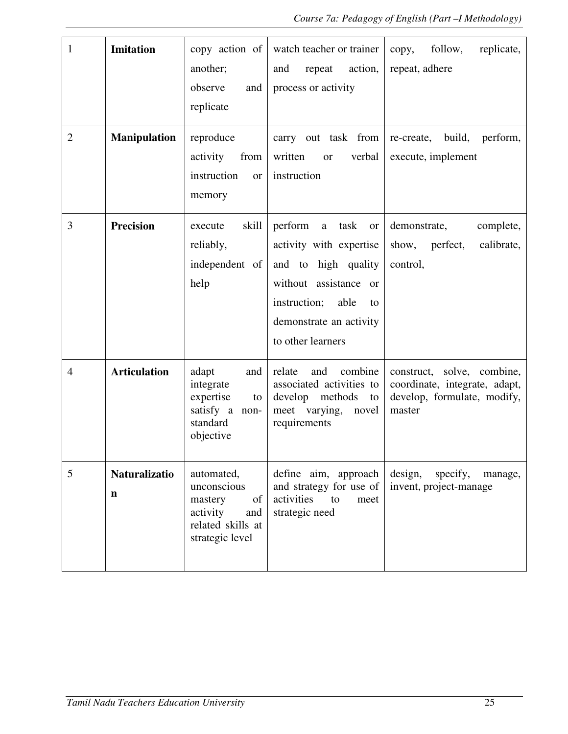| $\mathbf{1}$   | Imitation                           | copy action of<br>another;<br>observe<br>and<br>replicate                                             | watch teacher or trainer   copy,<br>and<br>repeat<br>action,<br>process or activity                                                                                                     | follow,<br>replicate,<br>repeat, adhere                                                              |
|----------------|-------------------------------------|-------------------------------------------------------------------------------------------------------|-----------------------------------------------------------------------------------------------------------------------------------------------------------------------------------------|------------------------------------------------------------------------------------------------------|
| $\overline{2}$ | <b>Manipulation</b>                 | reproduce<br>activity<br>from<br>instruction<br>or<br>memory                                          | carry out task from<br>written<br>verbal<br><b>or</b><br>instruction                                                                                                                    | build,<br>perform,<br>re-create,<br>execute, implement                                               |
| 3              | <b>Precision</b>                    | skill<br>execute<br>reliably,<br>independent of<br>help                                               | perform<br>a task<br><b>or</b><br>activity with expertise<br>and to high quality<br>without assistance or<br>instruction;<br>able<br>to<br>demonstrate an activity<br>to other learners | demonstrate,<br>complete,<br>show, perfect,<br>calibrate,<br>control,                                |
| $\overline{4}$ | <b>Articulation</b>                 | adapt<br>and<br>integrate<br>expertise<br>to<br>satisfy a non-<br>standard<br>objective               | relate<br>combine<br>and<br>associated activities to<br>develop methods<br>to<br>meet varying, novel<br>requirements                                                                    | construct, solve, combine,<br>coordinate, integrate, adapt,<br>develop, formulate, modify,<br>master |
| 5              | <b>Naturalizatio</b><br>$\mathbf n$ | automated,<br>unconscious<br>mastery<br>of<br>activity<br>and<br>related skills at<br>strategic level | define aim, approach<br>and strategy for use of<br>activities<br>to<br>meet<br>strategic need                                                                                           | design,<br>specify,<br>manage,<br>invent, project-manage                                             |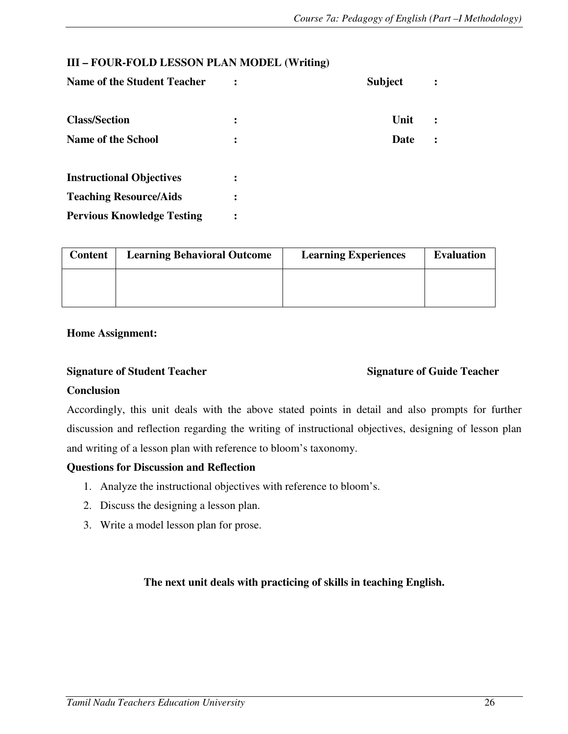#### **III – FOUR-FOLD LESSON PLAN MODEL (Writing)**

| <b>Name of the Student Teacher</b> |                | <b>Subject</b> |  |
|------------------------------------|----------------|----------------|--|
| <b>Class/Section</b>               | ٠              | Unit           |  |
| <b>Name of the School</b>          | ٠              | Date           |  |
| <b>Instructional Objectives</b>    |                |                |  |
| <b>Teaching Resource/Aids</b>      | ٠<br>$\bullet$ |                |  |
| <b>Pervious Knowledge Testing</b>  |                |                |  |

| <b>Content</b> | <b>Learning Behavioral Outcome</b> | <b>Learning Experiences</b> | <b>Evaluation</b> |
|----------------|------------------------------------|-----------------------------|-------------------|
|                |                                    |                             |                   |
|                |                                    |                             |                   |

#### **Home Assignment:**

#### **Signature of Student Teacher Signature of Guide Teacher Signature of Guide Teacher**

#### **Conclusion**

Accordingly, this unit deals with the above stated points in detail and also prompts for further discussion and reflection regarding the writing of instructional objectives, designing of lesson plan and writing of a lesson plan with reference to bloom's taxonomy.

#### **Questions for Discussion and Reflection**

- 1. Analyze the instructional objectives with reference to bloom's.
- 2. Discuss the designing a lesson plan.
- 3. Write a model lesson plan for prose.

#### **The next unit deals with practicing of skills in teaching English.**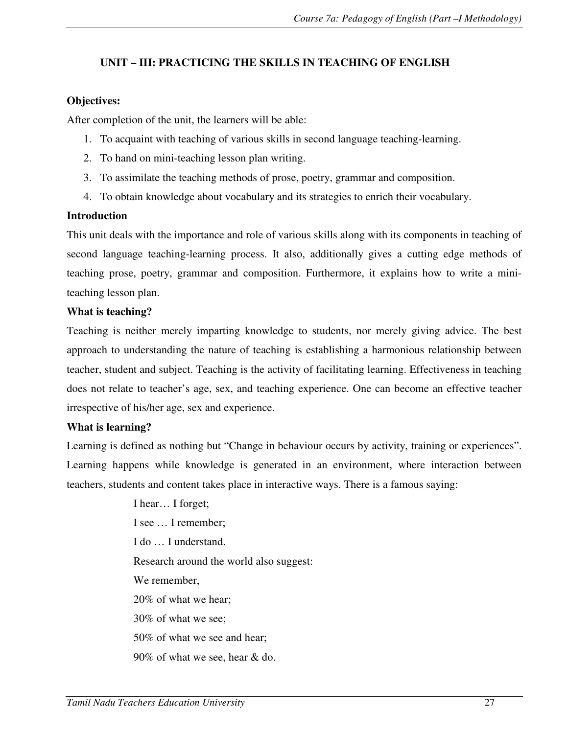# **UNIT – III: PRACTICING THE SKILLS IN TEACHING OF ENGLISH**

#### **Objectives:**

After completion of the unit, the learners will be able:

- 1. To acquaint with teaching of various skills in second language teaching-learning.
- 2. To hand on mini-teaching lesson plan writing.
- 3. To assimilate the teaching methods of prose, poetry, grammar and composition.
- 4. To obtain knowledge about vocabulary and its strategies to enrich their vocabulary.

#### **Introduction**

This unit deals with the importance and role of various skills along with its components in teaching of second language teaching-learning process. It also, additionally gives a cutting edge methods of teaching prose, poetry, grammar and composition. Furthermore, it explains how to write a miniteaching lesson plan.

#### **What is teaching?**

Teaching is neither merely imparting knowledge to students, nor merely giving advice. The best approach to understanding the nature of teaching is establishing a harmonious relationship between teacher, student and subject. Teaching is the activity of facilitating learning. Effectiveness in teaching does not relate to teacher's age, sex, and teaching experience. One can become an effective teacher irrespective of his/her age, sex and experience.

# **What is learning?**

Learning is defined as nothing but "Change in behaviour occurs by activity, training or experiences". Learning happens while knowledge is generated in an environment, where interaction between teachers, students and content takes place in interactive ways. There is a famous saying:

> I hear… I forget; I see … I remember; I do … I understand. Research around the world also suggest: We remember, 20% of what we hear; 30% of what we see; 50% of what we see and hear; 90% of what we see, hear & do.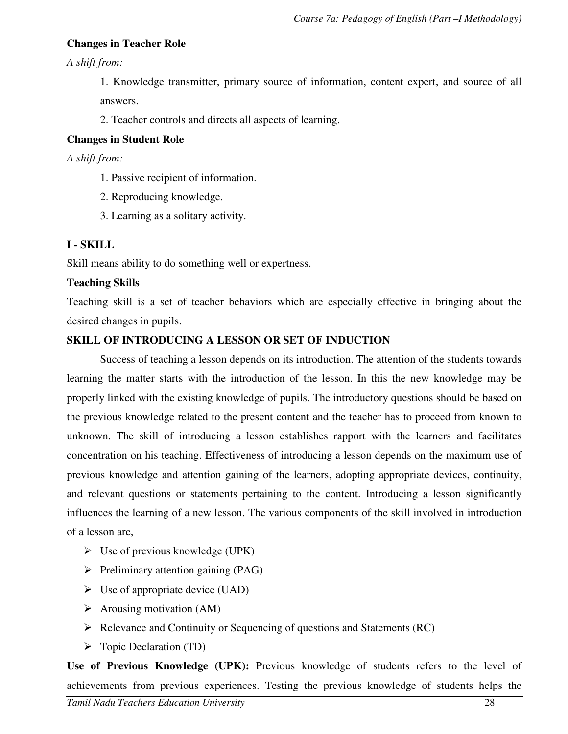# **Changes in Teacher Role**

*A shift from:* 

1. Knowledge transmitter, primary source of information, content expert, and source of all answers.

2. Teacher controls and directs all aspects of learning.

# **Changes in Student Role**

*A shift from:* 

- 1. Passive recipient of information.
- 2. Reproducing knowledge.
- 3. Learning as a solitary activity.

# **I - SKILL**

Skill means ability to do something well or expertness.

# **Teaching Skills**

Teaching skill is a set of teacher behaviors which are especially effective in bringing about the desired changes in pupils.

# **SKILL OF INTRODUCING A LESSON OR SET OF INDUCTION**

Success of teaching a lesson depends on its introduction. The attention of the students towards learning the matter starts with the introduction of the lesson. In this the new knowledge may be properly linked with the existing knowledge of pupils. The introductory questions should be based on the previous knowledge related to the present content and the teacher has to proceed from known to unknown. The skill of introducing a lesson establishes rapport with the learners and facilitates concentration on his teaching. Effectiveness of introducing a lesson depends on the maximum use of previous knowledge and attention gaining of the learners, adopting appropriate devices, continuity, and relevant questions or statements pertaining to the content. Introducing a lesson significantly influences the learning of a new lesson. The various components of the skill involved in introduction of a lesson are,

- $\triangleright$  Use of previous knowledge (UPK)
- $\triangleright$  Preliminary attention gaining (PAG)
- $\triangleright$  Use of appropriate device (UAD)
- $\triangleright$  Arousing motivation (AM)
- $\triangleright$  Relevance and Continuity or Sequencing of questions and Statements (RC)
- $\triangleright$  Topic Declaration (TD)

**Use of Previous Knowledge (UPK):** Previous knowledge of students refers to the level of achievements from previous experiences. Testing the previous knowledge of students helps the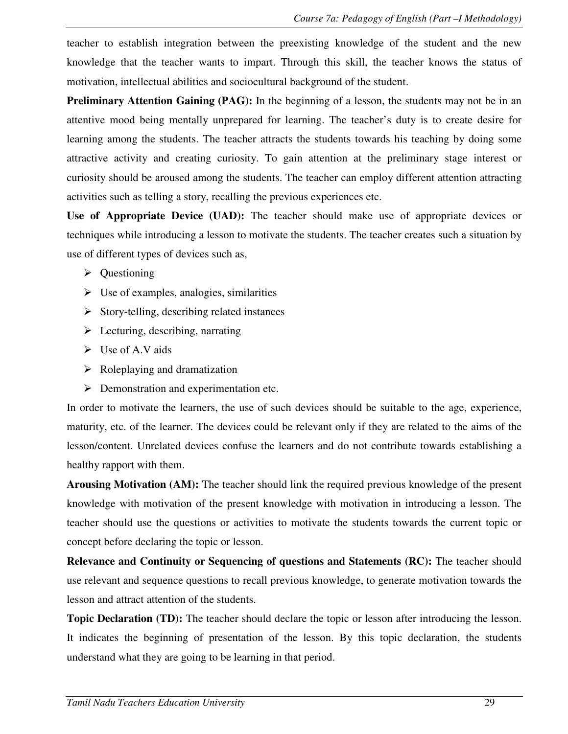teacher to establish integration between the preexisting knowledge of the student and the new knowledge that the teacher wants to impart. Through this skill, the teacher knows the status of motivation, intellectual abilities and sociocultural background of the student.

**Preliminary Attention Gaining (PAG):** In the beginning of a lesson, the students may not be in an attentive mood being mentally unprepared for learning. The teacher's duty is to create desire for learning among the students. The teacher attracts the students towards his teaching by doing some attractive activity and creating curiosity. To gain attention at the preliminary stage interest or curiosity should be aroused among the students. The teacher can employ different attention attracting activities such as telling a story, recalling the previous experiences etc.

**Use of Appropriate Device (UAD):** The teacher should make use of appropriate devices or techniques while introducing a lesson to motivate the students. The teacher creates such a situation by use of different types of devices such as,

- $\triangleright$  Questioning
- $\triangleright$  Use of examples, analogies, similarities
- $\triangleright$  Story-telling, describing related instances
- $\triangleright$  Lecturing, describing, narrating
- $\triangleright$  Use of A.V aids
- $\triangleright$  Roleplaying and dramatization
- $\triangleright$  Demonstration and experimentation etc.

In order to motivate the learners, the use of such devices should be suitable to the age, experience, maturity, etc. of the learner. The devices could be relevant only if they are related to the aims of the lesson/content. Unrelated devices confuse the learners and do not contribute towards establishing a healthy rapport with them.

**Arousing Motivation (AM):** The teacher should link the required previous knowledge of the present knowledge with motivation of the present knowledge with motivation in introducing a lesson. The teacher should use the questions or activities to motivate the students towards the current topic or concept before declaring the topic or lesson.

**Relevance and Continuity or Sequencing of questions and Statements (RC):** The teacher should use relevant and sequence questions to recall previous knowledge, to generate motivation towards the lesson and attract attention of the students.

**Topic Declaration (TD):** The teacher should declare the topic or lesson after introducing the lesson. It indicates the beginning of presentation of the lesson. By this topic declaration, the students understand what they are going to be learning in that period.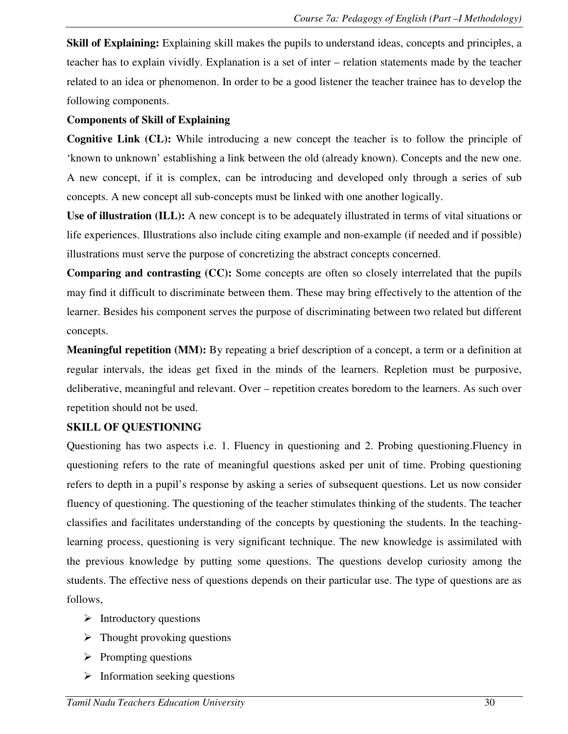**Skill of Explaining:** Explaining skill makes the pupils to understand ideas, concepts and principles, a teacher has to explain vividly. Explanation is a set of inter – relation statements made by the teacher related to an idea or phenomenon. In order to be a good listener the teacher trainee has to develop the following components.

# **Components of Skill of Explaining**

**Cognitive Link (CL):** While introducing a new concept the teacher is to follow the principle of 'known to unknown' establishing a link between the old (already known). Concepts and the new one. A new concept, if it is complex, can be introducing and developed only through a series of sub concepts. A new concept all sub-concepts must be linked with one another logically.

**Use of illustration (ILL):** A new concept is to be adequately illustrated in terms of vital situations or life experiences. Illustrations also include citing example and non-example (if needed and if possible) illustrations must serve the purpose of concretizing the abstract concepts concerned.

**Comparing and contrasting (CC):** Some concepts are often so closely interrelated that the pupils may find it difficult to discriminate between them. These may bring effectively to the attention of the learner. Besides his component serves the purpose of discriminating between two related but different concepts.

**Meaningful repetition (MM):** By repeating a brief description of a concept, a term or a definition at regular intervals, the ideas get fixed in the minds of the learners. Repletion must be purposive, deliberative, meaningful and relevant. Over – repetition creates boredom to the learners. As such over repetition should not be used.

# **SKILL OF QUESTIONING**

Questioning has two aspects i.e. 1. Fluency in questioning and 2. Probing questioning.Fluency in questioning refers to the rate of meaningful questions asked per unit of time. Probing questioning refers to depth in a pupil's response by asking a series of subsequent questions. Let us now consider fluency of questioning. The questioning of the teacher stimulates thinking of the students. The teacher classifies and facilitates understanding of the concepts by questioning the students. In the teachinglearning process, questioning is very significant technique. The new knowledge is assimilated with the previous knowledge by putting some questions. The questions develop curiosity among the students. The effective ness of questions depends on their particular use. The type of questions are as follows,

- $\triangleright$  Introductory questions
- $\triangleright$  Thought provoking questions
- $\triangleright$  Prompting questions
- $\triangleright$  Information seeking questions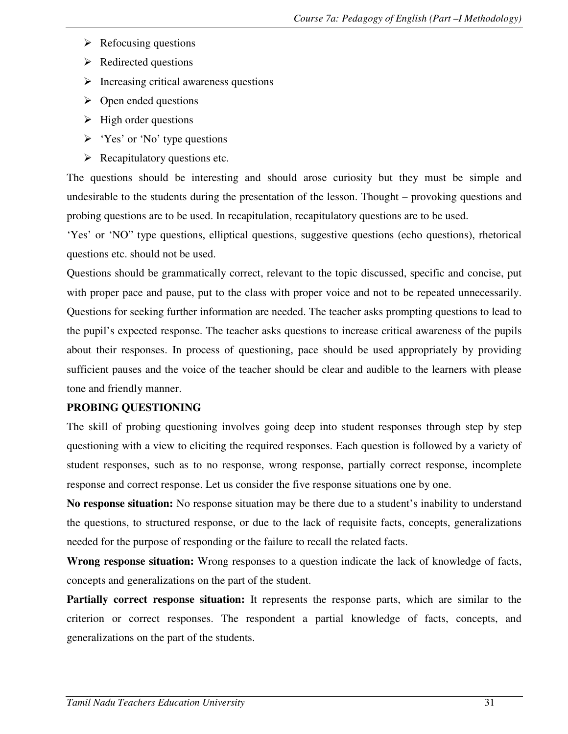- $\triangleright$  Refocusing questions
- $\triangleright$  Redirected questions
- $\triangleright$  Increasing critical awareness questions
- $\triangleright$  Open ended questions
- $\triangleright$  High order questions
- $\triangleright$  'Yes' or 'No' type questions
- $\triangleright$  Recapitulatory questions etc.

The questions should be interesting and should arose curiosity but they must be simple and undesirable to the students during the presentation of the lesson. Thought – provoking questions and probing questions are to be used. In recapitulation, recapitulatory questions are to be used.

'Yes' or 'NO" type questions, elliptical questions, suggestive questions (echo questions), rhetorical questions etc. should not be used.

Questions should be grammatically correct, relevant to the topic discussed, specific and concise, put with proper pace and pause, put to the class with proper voice and not to be repeated unnecessarily. Questions for seeking further information are needed. The teacher asks prompting questions to lead to the pupil's expected response. The teacher asks questions to increase critical awareness of the pupils about their responses. In process of questioning, pace should be used appropriately by providing sufficient pauses and the voice of the teacher should be clear and audible to the learners with please tone and friendly manner.

#### **PROBING QUESTIONING**

The skill of probing questioning involves going deep into student responses through step by step questioning with a view to eliciting the required responses. Each question is followed by a variety of student responses, such as to no response, wrong response, partially correct response, incomplete response and correct response. Let us consider the five response situations one by one.

**No response situation:** No response situation may be there due to a student's inability to understand the questions, to structured response, or due to the lack of requisite facts, concepts, generalizations needed for the purpose of responding or the failure to recall the related facts.

**Wrong response situation:** Wrong responses to a question indicate the lack of knowledge of facts, concepts and generalizations on the part of the student.

**Partially correct response situation:** It represents the response parts, which are similar to the criterion or correct responses. The respondent a partial knowledge of facts, concepts, and generalizations on the part of the students.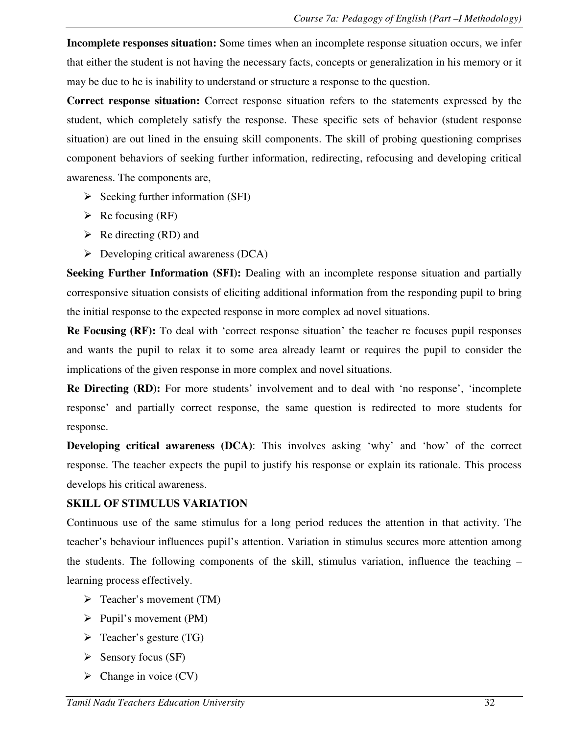**Incomplete responses situation:** Some times when an incomplete response situation occurs, we infer that either the student is not having the necessary facts, concepts or generalization in his memory or it may be due to he is inability to understand or structure a response to the question.

**Correct response situation:** Correct response situation refers to the statements expressed by the student, which completely satisfy the response. These specific sets of behavior (student response situation) are out lined in the ensuing skill components. The skill of probing questioning comprises component behaviors of seeking further information, redirecting, refocusing and developing critical awareness. The components are,

- $\triangleright$  Seeking further information (SFI)
- $\triangleright$  Re focusing (RF)
- $\triangleright$  Re directing (RD) and
- $\triangleright$  Developing critical awareness (DCA)

**Seeking Further Information (SFI):** Dealing with an incomplete response situation and partially corresponsive situation consists of eliciting additional information from the responding pupil to bring the initial response to the expected response in more complex ad novel situations.

**Re Focusing (RF):** To deal with 'correct response situation' the teacher re focuses pupil responses and wants the pupil to relax it to some area already learnt or requires the pupil to consider the implications of the given response in more complex and novel situations.

**Re Directing (RD):** For more students' involvement and to deal with 'no response', 'incomplete response' and partially correct response, the same question is redirected to more students for response.

**Developing critical awareness (DCA)**: This involves asking 'why' and 'how' of the correct response. The teacher expects the pupil to justify his response or explain its rationale. This process develops his critical awareness.

# **SKILL OF STIMULUS VARIATION**

Continuous use of the same stimulus for a long period reduces the attention in that activity. The teacher's behaviour influences pupil's attention. Variation in stimulus secures more attention among the students. The following components of the skill, stimulus variation, influence the teaching – learning process effectively.

- $\triangleright$  Teacher's movement (TM)
- $\triangleright$  Pupil's movement (PM)
- $\triangleright$  Teacher's gesture (TG)
- $\triangleright$  Sensory focus (SF)
- $\triangleright$  Change in voice (CV)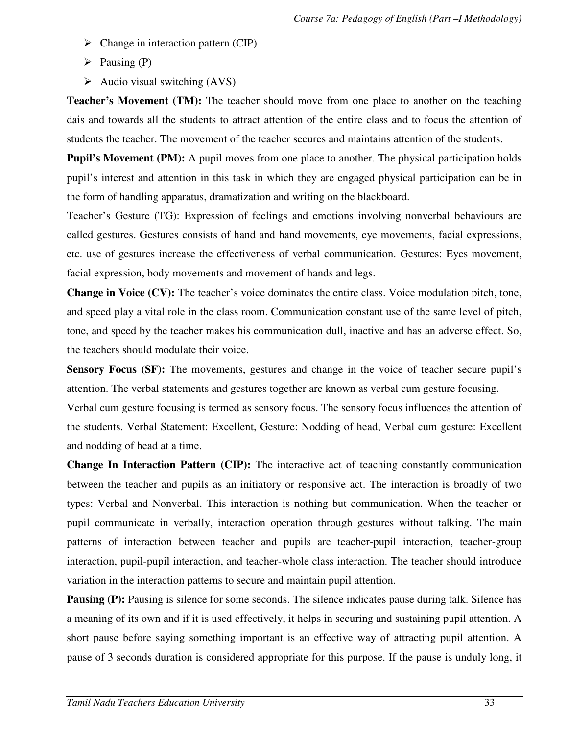- $\triangleright$  Change in interaction pattern (CIP)
- $\triangleright$  Pausing (P)
- $\triangleright$  Audio visual switching (AVS)

**Teacher's Movement (TM):** The teacher should move from one place to another on the teaching dais and towards all the students to attract attention of the entire class and to focus the attention of students the teacher. The movement of the teacher secures and maintains attention of the students.

**Pupil's Movement (PM):** A pupil moves from one place to another. The physical participation holds pupil's interest and attention in this task in which they are engaged physical participation can be in the form of handling apparatus, dramatization and writing on the blackboard.

Teacher's Gesture (TG): Expression of feelings and emotions involving nonverbal behaviours are called gestures. Gestures consists of hand and hand movements, eye movements, facial expressions, etc. use of gestures increase the effectiveness of verbal communication. Gestures: Eyes movement, facial expression, body movements and movement of hands and legs.

**Change in Voice (CV):** The teacher's voice dominates the entire class. Voice modulation pitch, tone, and speed play a vital role in the class room. Communication constant use of the same level of pitch, tone, and speed by the teacher makes his communication dull, inactive and has an adverse effect. So, the teachers should modulate their voice.

**Sensory Focus (SF):** The movements, gestures and change in the voice of teacher secure pupil's attention. The verbal statements and gestures together are known as verbal cum gesture focusing.

Verbal cum gesture focusing is termed as sensory focus. The sensory focus influences the attention of the students. Verbal Statement: Excellent, Gesture: Nodding of head, Verbal cum gesture: Excellent and nodding of head at a time.

**Change In Interaction Pattern (CIP):** The interactive act of teaching constantly communication between the teacher and pupils as an initiatory or responsive act. The interaction is broadly of two types: Verbal and Nonverbal. This interaction is nothing but communication. When the teacher or pupil communicate in verbally, interaction operation through gestures without talking. The main patterns of interaction between teacher and pupils are teacher-pupil interaction, teacher-group interaction, pupil-pupil interaction, and teacher-whole class interaction. The teacher should introduce variation in the interaction patterns to secure and maintain pupil attention.

**Pausing (P):** Pausing is silence for some seconds. The silence indicates pause during talk. Silence has a meaning of its own and if it is used effectively, it helps in securing and sustaining pupil attention. A short pause before saying something important is an effective way of attracting pupil attention. A pause of 3 seconds duration is considered appropriate for this purpose. If the pause is unduly long, it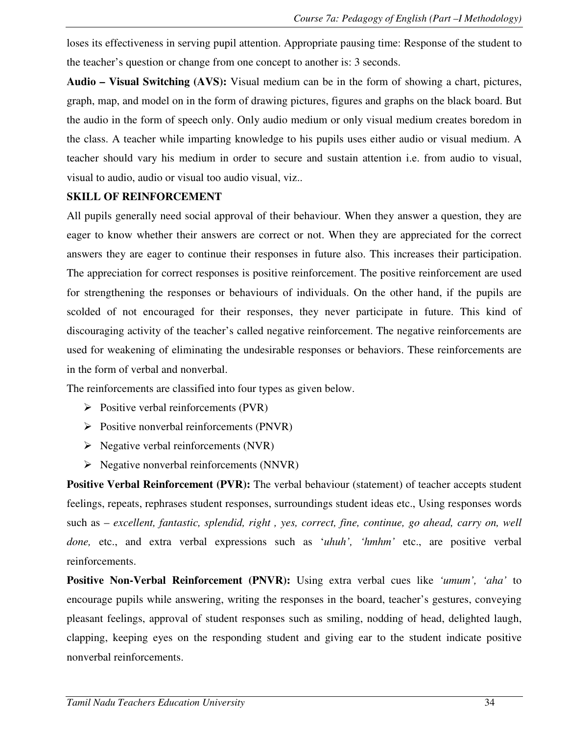loses its effectiveness in serving pupil attention. Appropriate pausing time: Response of the student to the teacher's question or change from one concept to another is: 3 seconds.

**Audio – Visual Switching (AVS):** Visual medium can be in the form of showing a chart, pictures, graph, map, and model on in the form of drawing pictures, figures and graphs on the black board. But the audio in the form of speech only. Only audio medium or only visual medium creates boredom in the class. A teacher while imparting knowledge to his pupils uses either audio or visual medium. A teacher should vary his medium in order to secure and sustain attention i.e. from audio to visual, visual to audio, audio or visual too audio visual, viz..

#### **SKILL OF REINFORCEMENT**

All pupils generally need social approval of their behaviour. When they answer a question, they are eager to know whether their answers are correct or not. When they are appreciated for the correct answers they are eager to continue their responses in future also. This increases their participation. The appreciation for correct responses is positive reinforcement. The positive reinforcement are used for strengthening the responses or behaviours of individuals. On the other hand, if the pupils are scolded of not encouraged for their responses, they never participate in future. This kind of discouraging activity of the teacher's called negative reinforcement. The negative reinforcements are used for weakening of eliminating the undesirable responses or behaviors. These reinforcements are in the form of verbal and nonverbal.

The reinforcements are classified into four types as given below.

- $\triangleright$  Positive verbal reinforcements (PVR)
- $\triangleright$  Positive nonverbal reinforcements (PNVR)
- $\triangleright$  Negative verbal reinforcements (NVR)
- $\triangleright$  Negative nonverbal reinforcements (NNVR)

Positive Verbal Reinforcement (PVR): The verbal behaviour (statement) of teacher accepts student feelings, repeats, rephrases student responses, surroundings student ideas etc., Using responses words such as – *excellent, fantastic, splendid, right , yes, correct, fine, continue, go ahead, carry on, well done,* etc., and extra verbal expressions such as '*uhuh', 'hmhm'* etc., are positive verbal reinforcements.

**Positive Non-Verbal Reinforcement (PNVR):** Using extra verbal cues like *'umum', 'aha'* to encourage pupils while answering, writing the responses in the board, teacher's gestures, conveying pleasant feelings, approval of student responses such as smiling, nodding of head, delighted laugh, clapping, keeping eyes on the responding student and giving ear to the student indicate positive nonverbal reinforcements.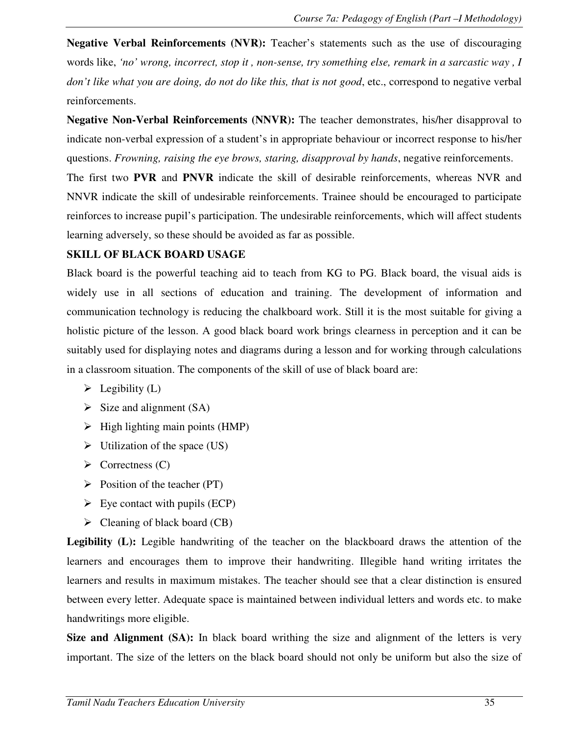**Negative Verbal Reinforcements (NVR):** Teacher's statements such as the use of discouraging words like, *'no' wrong, incorrect, stop it , non-sense, try something else, remark in a sarcastic way , I don't like what you are doing, do not do like this, that is not good*, etc., correspond to negative verbal reinforcements.

**Negative Non-Verbal Reinforcements (NNVR):** The teacher demonstrates, his/her disapproval to indicate non-verbal expression of a student's in appropriate behaviour or incorrect response to his/her questions. *Frowning, raising the eye brows, staring, disapproval by hands*, negative reinforcements.

The first two **PVR** and **PNVR** indicate the skill of desirable reinforcements, whereas NVR and NNVR indicate the skill of undesirable reinforcements. Trainee should be encouraged to participate reinforces to increase pupil's participation. The undesirable reinforcements, which will affect students learning adversely, so these should be avoided as far as possible.

# **SKILL OF BLACK BOARD USAGE**

Black board is the powerful teaching aid to teach from KG to PG. Black board, the visual aids is widely use in all sections of education and training. The development of information and communication technology is reducing the chalkboard work. Still it is the most suitable for giving a holistic picture of the lesson. A good black board work brings clearness in perception and it can be suitably used for displaying notes and diagrams during a lesson and for working through calculations in a classroom situation. The components of the skill of use of black board are:

- $\blacktriangleright$  Legibility (L)
- $\triangleright$  Size and alignment (SA)
- $\triangleright$  High lighting main points (HMP)
- $\triangleright$  Utilization of the space (US)
- $\triangleright$  Correctness (C)
- $\triangleright$  Position of the teacher (PT)
- $\triangleright$  Eye contact with pupils (ECP)
- $\triangleright$  Cleaning of black board (CB)

**Legibility (L):** Legible handwriting of the teacher on the blackboard draws the attention of the learners and encourages them to improve their handwriting. Illegible hand writing irritates the learners and results in maximum mistakes. The teacher should see that a clear distinction is ensured between every letter. Adequate space is maintained between individual letters and words etc. to make handwritings more eligible.

**Size and Alignment (SA):** In black board writhing the size and alignment of the letters is very important. The size of the letters on the black board should not only be uniform but also the size of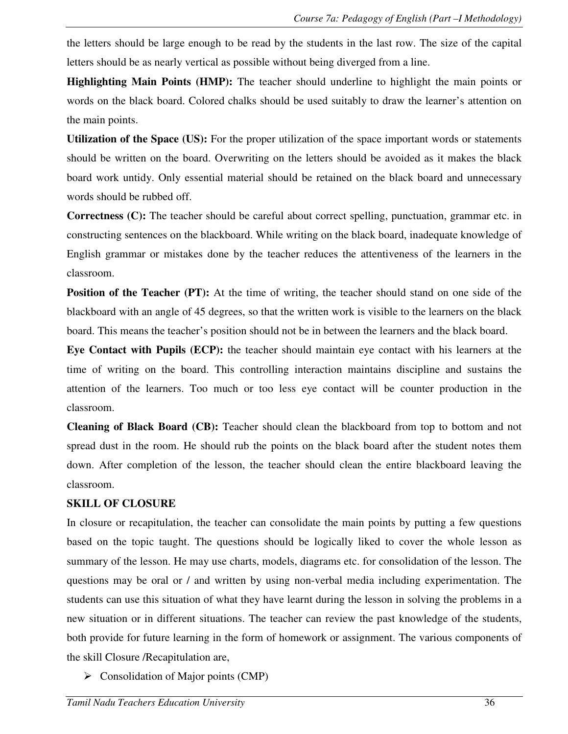the letters should be large enough to be read by the students in the last row. The size of the capital letters should be as nearly vertical as possible without being diverged from a line.

**Highlighting Main Points (HMP):** The teacher should underline to highlight the main points or words on the black board. Colored chalks should be used suitably to draw the learner's attention on the main points.

**Utilization of the Space (US):** For the proper utilization of the space important words or statements should be written on the board. Overwriting on the letters should be avoided as it makes the black board work untidy. Only essential material should be retained on the black board and unnecessary words should be rubbed off.

**Correctness (C):** The teacher should be careful about correct spelling, punctuation, grammar etc. in constructing sentences on the blackboard. While writing on the black board, inadequate knowledge of English grammar or mistakes done by the teacher reduces the attentiveness of the learners in the classroom.

**Position of the Teacher (PT):** At the time of writing, the teacher should stand on one side of the blackboard with an angle of 45 degrees, so that the written work is visible to the learners on the black board. This means the teacher's position should not be in between the learners and the black board.

**Eye Contact with Pupils (ECP):** the teacher should maintain eye contact with his learners at the time of writing on the board. This controlling interaction maintains discipline and sustains the attention of the learners. Too much or too less eye contact will be counter production in the classroom.

**Cleaning of Black Board (CB):** Teacher should clean the blackboard from top to bottom and not spread dust in the room. He should rub the points on the black board after the student notes them down. After completion of the lesson, the teacher should clean the entire blackboard leaving the classroom.

#### **SKILL OF CLOSURE**

In closure or recapitulation, the teacher can consolidate the main points by putting a few questions based on the topic taught. The questions should be logically liked to cover the whole lesson as summary of the lesson. He may use charts, models, diagrams etc. for consolidation of the lesson. The questions may be oral or / and written by using non-verbal media including experimentation. The students can use this situation of what they have learnt during the lesson in solving the problems in a new situation or in different situations. The teacher can review the past knowledge of the students, both provide for future learning in the form of homework or assignment. The various components of the skill Closure /Recapitulation are,

 $\triangleright$  Consolidation of Major points (CMP)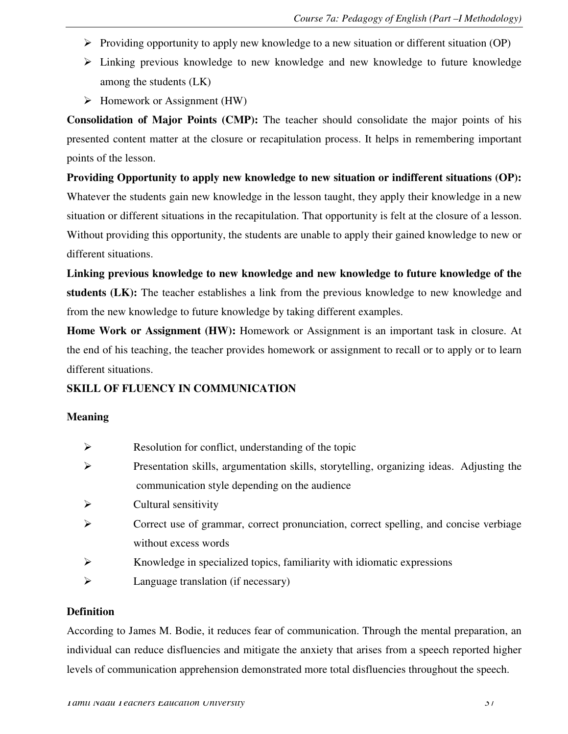- $\triangleright$  Providing opportunity to apply new knowledge to a new situation or different situation (OP)
- Linking previous knowledge to new knowledge and new knowledge to future knowledge among the students (LK)
- $\triangleright$  Homework or Assignment (HW)

**Consolidation of Major Points (CMP):** The teacher should consolidate the major points of his presented content matter at the closure or recapitulation process. It helps in remembering important points of the lesson.

# **Providing Opportunity to apply new knowledge to new situation or indifferent situations (OP):**

Whatever the students gain new knowledge in the lesson taught, they apply their knowledge in a new situation or different situations in the recapitulation. That opportunity is felt at the closure of a lesson. Without providing this opportunity, the students are unable to apply their gained knowledge to new or different situations.

**Linking previous knowledge to new knowledge and new knowledge to future knowledge of the students (LK):** The teacher establishes a link from the previous knowledge to new knowledge and from the new knowledge to future knowledge by taking different examples.

**Home Work or Assignment (HW):** Homework or Assignment is an important task in closure. At the end of his teaching, the teacher provides homework or assignment to recall or to apply or to learn different situations.

## **SKILL OF FLUENCY IN COMMUNICATION**

### **Meaning**

- $\triangleright$  Resolution for conflict, understanding of the topic
- Presentation skills, argumentation skills, storytelling, organizing ideas. Adjusting the communication style depending on the audience
- $\triangleright$  Cultural sensitivity
- Correct use of grammar, correct pronunciation, correct spelling, and concise verbiage without excess words
- $\triangleright$  Knowledge in specialized topics, familiarity with idiomatic expressions
- $\triangleright$  Language translation (if necessary)

### **Definition**

According to James M. Bodie, it reduces fear of communication. Through the mental preparation, an individual can reduce disfluencies and mitigate the anxiety that arises from a speech reported higher levels of communication apprehension demonstrated more total disfluencies throughout the speech.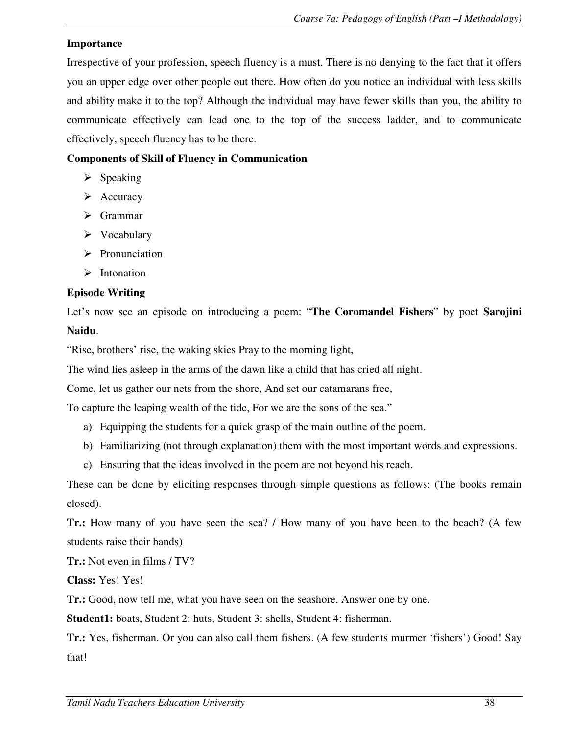## **Importance**

Irrespective of your profession, speech fluency is a must. There is no denying to the fact that it offers you an upper edge over other people out there. How often do you notice an individual with less skills and ability make it to the top? Although the individual may have fewer skills than you, the ability to communicate effectively can lead one to the top of the success ladder, and to communicate effectively, speech fluency has to be there.

## **Components of Skill of Fluency in Communication**

- $\triangleright$  Speaking
- $\triangleright$  Accuracy
- $\triangleright$  Grammar
- $\triangleright$  Vocabulary
- $\triangleright$  Pronunciation
- $\triangleright$  Intonation

# **Episode Writing**

Let's now see an episode on introducing a poem: "**The Coromandel Fishers**" by poet **Sarojini Naidu**.

"Rise, brothers' rise, the waking skies Pray to the morning light,

The wind lies asleep in the arms of the dawn like a child that has cried all night.

Come, let us gather our nets from the shore, And set our catamarans free,

To capture the leaping wealth of the tide, For we are the sons of the sea."

- a) Equipping the students for a quick grasp of the main outline of the poem.
- b) Familiarizing (not through explanation) them with the most important words and expressions.
- c) Ensuring that the ideas involved in the poem are not beyond his reach.

These can be done by eliciting responses through simple questions as follows: (The books remain closed).

**Tr.:** How many of you have seen the sea? / How many of you have been to the beach? (A few students raise their hands)

**Tr.:** Not even in films / TV?

**Class:** Yes! Yes!

**Tr.:** Good, now tell me, what you have seen on the seashore. Answer one by one.

**Student1:** boats, Student 2: huts, Student 3: shells, Student 4: fisherman.

**Tr.:** Yes, fisherman. Or you can also call them fishers. (A few students murmer 'fishers') Good! Say that!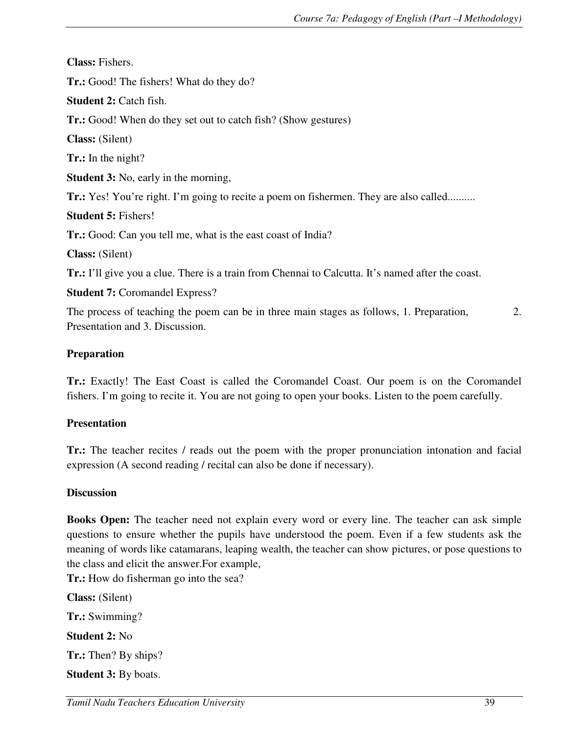**Class:** Fishers. **Tr.:** Good! The fishers! What do they do? **Student 2:** Catch fish. **Tr.:** Good! When do they set out to catch fish? (Show gestures) **Class:** (Silent) **Tr.:** In the night? **Student 3:** No, early in the morning, **Tr.:** Yes! You're right. I'm going to recite a poem on fishermen. They are also called.......... **Student 5:** Fishers! **Tr.:** Good: Can you tell me, what is the east coast of India? **Class:** (Silent) **Tr.:** I'll give you a clue. There is a train from Chennai to Calcutta. It's named after the coast. **Student 7:** Coromandel Express? The process of teaching the poem can be in three main stages as follows, 1. Preparation, 2.

## **Preparation**

Presentation and 3. Discussion.

**Tr.:** Exactly! The East Coast is called the Coromandel Coast. Our poem is on the Coromandel fishers. I'm going to recite it. You are not going to open your books. Listen to the poem carefully.

## **Presentation**

**Tr.:** The teacher recites / reads out the poem with the proper pronunciation intonation and facial expression (A second reading / recital can also be done if necessary).

## **Discussion**

**Books Open:** The teacher need not explain every word or every line. The teacher can ask simple questions to ensure whether the pupils have understood the poem. Even if a few students ask the meaning of words like catamarans, leaping wealth, the teacher can show pictures, or pose questions to the class and elicit the answer.For example,

**Tr.:** How do fisherman go into the sea?

**Class:** (Silent) **Tr.:** Swimming? **Student 2:** No **Tr.:** Then? By ships? **Student 3:** By boats.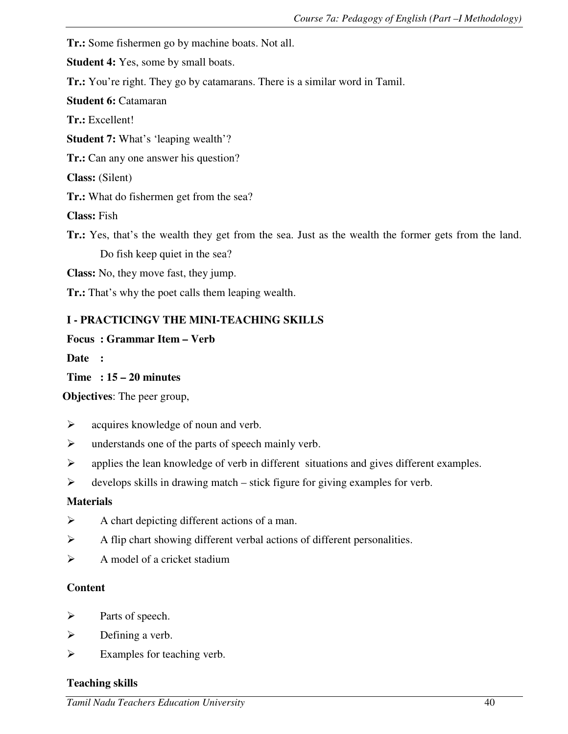**Tr.:** Some fishermen go by machine boats. Not all.

**Student 4:** Yes, some by small boats.

**Tr.:** You're right. They go by catamarans. There is a similar word in Tamil.

**Student 6:** Catamaran

**Tr.:** Excellent!

**Student 7:** What's 'leaping wealth'?

**Tr.:** Can any one answer his question?

**Class:** (Silent)

**Tr.:** What do fishermen get from the sea?

**Class:** Fish

**Tr.:** Yes, that's the wealth they get from the sea. Just as the wealth the former gets from the land. Do fish keep quiet in the sea?

**Class:** No, they move fast, they jump.

**Tr.:** That's why the poet calls them leaping wealth.

## **I - PRACTICINGV THE MINI-TEACHING SKILLS**

## **Focus : Grammar Item – Verb**

Date :

**Time : 15 – 20 minutes** 

**Objectives**: The peer group,

- $\triangleright$  acquires knowledge of noun and verb.
- $\triangleright$  understands one of the parts of speech mainly verb.
- $\triangleright$  applies the lean knowledge of verb in different situations and gives different examples.
- $\triangleright$  develops skills in drawing match stick figure for giving examples for verb.

## **Materials**

- $\triangleright$  A chart depicting different actions of a man.
- $\triangleright$  A flip chart showing different verbal actions of different personalities.
- $\triangleright$  A model of a cricket stadium

## **Content**

- $\triangleright$  Parts of speech.
- $\triangleright$  Defining a verb.
- $\triangleright$  Examples for teaching verb.

## **Teaching skills**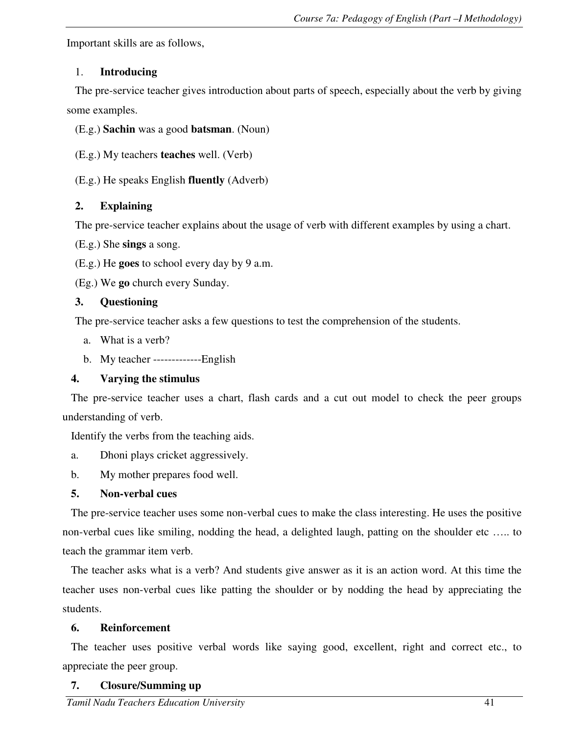Important skills are as follows,

## 1. **Introducing**

The pre-service teacher gives introduction about parts of speech, especially about the verb by giving some examples.

(E.g.) **Sachin** was a good **batsman**. (Noun)

(E.g.) My teachers **teaches** well. (Verb)

(E.g.) He speaks English **fluently** (Adverb)

## **2. Explaining**

The pre-service teacher explains about the usage of verb with different examples by using a chart.

(E.g.) She **sings** a song.

(E.g.) He **goes** to school every day by 9 a.m.

(Eg.) We **go** church every Sunday.

## **3. Questioning**

The pre-service teacher asks a few questions to test the comprehension of the students.

- a. What is a verb?
- b. My teacher -------------English

## **4. Varying the stimulus**

The pre-service teacher uses a chart, flash cards and a cut out model to check the peer groups understanding of verb.

Identify the verbs from the teaching aids.

- a. Dhoni plays cricket aggressively.
- b. My mother prepares food well.

## **5. Non-verbal cues**

The pre-service teacher uses some non-verbal cues to make the class interesting. He uses the positive non-verbal cues like smiling, nodding the head, a delighted laugh, patting on the shoulder etc ….. to teach the grammar item verb.

The teacher asks what is a verb? And students give answer as it is an action word. At this time the teacher uses non-verbal cues like patting the shoulder or by nodding the head by appreciating the students.

## **6. Reinforcement**

The teacher uses positive verbal words like saying good, excellent, right and correct etc., to appreciate the peer group.

## **7. Closure/Summing up**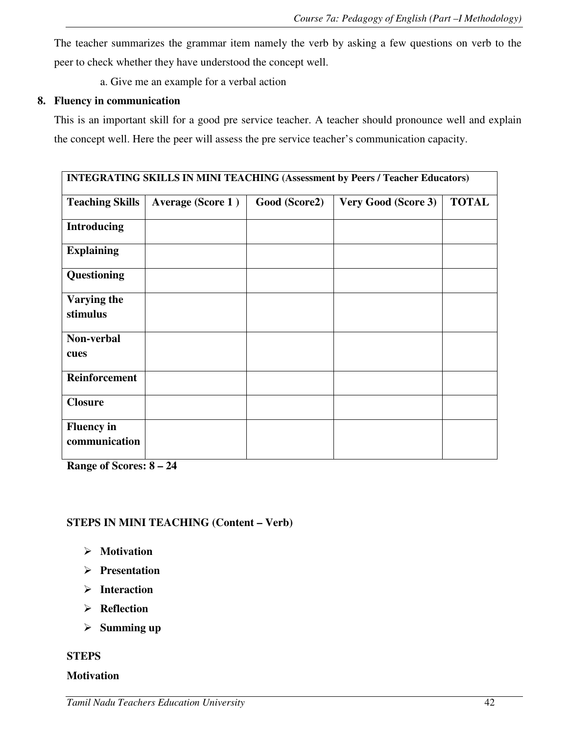The teacher summarizes the grammar item namely the verb by asking a few questions on verb to the peer to check whether they have understood the concept well.

a. Give me an example for a verbal action

#### **8. Fluency in communication**

This is an important skill for a good pre service teacher. A teacher should pronounce well and explain the concept well. Here the peer will assess the pre service teacher's communication capacity.

| <b>INTEGRATING SKILLS IN MINI TEACHING (Assessment by Peers / Teacher Educators)</b> |                          |               |                            |              |  |
|--------------------------------------------------------------------------------------|--------------------------|---------------|----------------------------|--------------|--|
| <b>Teaching Skills</b>                                                               | <b>Average (Score 1)</b> | Good (Score2) | <b>Very Good (Score 3)</b> | <b>TOTAL</b> |  |
| <b>Introducing</b>                                                                   |                          |               |                            |              |  |
| <b>Explaining</b>                                                                    |                          |               |                            |              |  |
| Questioning                                                                          |                          |               |                            |              |  |
| Varying the                                                                          |                          |               |                            |              |  |
| stimulus                                                                             |                          |               |                            |              |  |
| Non-verbal                                                                           |                          |               |                            |              |  |
| cues                                                                                 |                          |               |                            |              |  |
| <b>Reinforcement</b>                                                                 |                          |               |                            |              |  |
| <b>Closure</b>                                                                       |                          |               |                            |              |  |
| <b>Fluency in</b><br>communication                                                   |                          |               |                            |              |  |

**Range of Scores: 8 – 24** 

## **STEPS IN MINI TEACHING (Content – Verb)**

- **Motivation**
- **Presentation**
- **Interaction**
- **Reflection**
- **Summing up**

### **STEPS**

### **Motivation**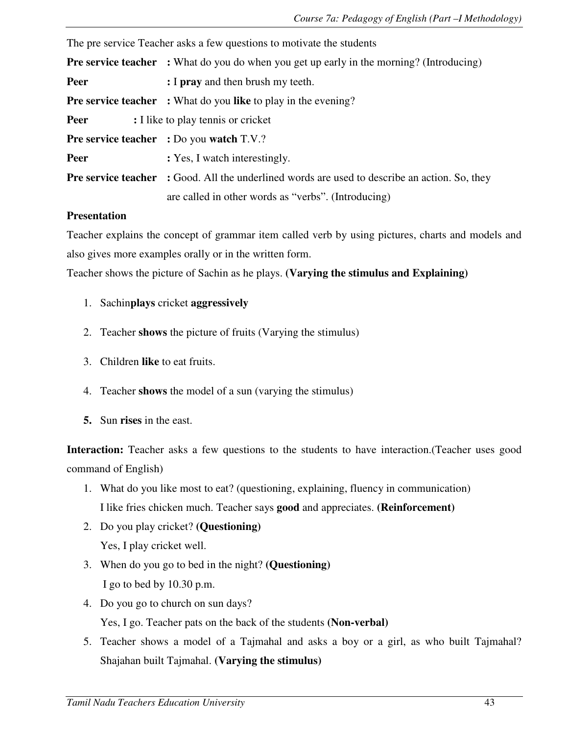|      | The pre service Teacher asks a few questions to motivate the students                                |  |  |
|------|------------------------------------------------------------------------------------------------------|--|--|
|      | <b>Pre service teacher</b> : What do you do when you get up early in the morning? (Introducing)      |  |  |
| Peer | : I pray and then brush my teeth.                                                                    |  |  |
|      | <b>Pre service teacher</b> : What do you like to play in the evening?                                |  |  |
| Peer | : I like to play tennis or cricket                                                                   |  |  |
|      | <b>Pre service teacher</b> : Do you watch T.V.?                                                      |  |  |
| Peer | : Yes, I watch interestingly.                                                                        |  |  |
|      | <b>Pre service teacher</b> : Good. All the underlined words are used to describe an action. So, they |  |  |
|      | are called in other words as "verbs". (Introducing)                                                  |  |  |

## **Presentation**

Teacher explains the concept of grammar item called verb by using pictures, charts and models and also gives more examples orally or in the written form.

Teacher shows the picture of Sachin as he plays. **(Varying the stimulus and Explaining)**

- 1. Sachin**plays** cricket **aggressively**
- 2. Teacher **shows** the picture of fruits (Varying the stimulus)
- 3. Children **like** to eat fruits.
- 4. Teacher **shows** the model of a sun (varying the stimulus)
- **5.** Sun **rises** in the east.

Interaction: Teacher asks a few questions to the students to have interaction. (Teacher uses good command of English)

- 1. What do you like most to eat? (questioning, explaining, fluency in communication) I like fries chicken much. Teacher says **good** and appreciates. **(Reinforcement)**
- 2. Do you play cricket? **(Questioning)** Yes, I play cricket well.
- 3. When do you go to bed in the night? **(Questioning)** I go to bed by 10.30 p.m.
- 4. Do you go to church on sun days? Yes, I go. Teacher pats on the back of the students **(Non-verbal)**
- 5. Teacher shows a model of a Tajmahal and asks a boy or a girl, as who built Tajmahal? Shajahan built Tajmahal. **(Varying the stimulus)**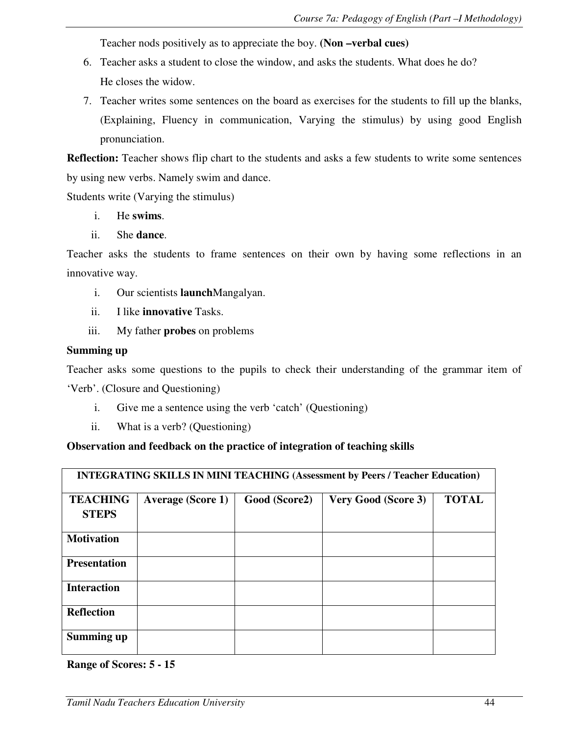Teacher nods positively as to appreciate the boy. **(Non –verbal cues)**

- 6. Teacher asks a student to close the window, and asks the students. What does he do? He closes the widow.
- 7. Teacher writes some sentences on the board as exercises for the students to fill up the blanks, (Explaining, Fluency in communication, Varying the stimulus) by using good English pronunciation.

**Reflection:** Teacher shows flip chart to the students and asks a few students to write some sentences by using new verbs. Namely swim and dance.

Students write (Varying the stimulus)

- i. He **swims**.
- ii. She **dance**.

Teacher asks the students to frame sentences on their own by having some reflections in an innovative way.

- i. Our scientists **launch**Mangalyan.
- ii. I like **innovative** Tasks.
- iii. My father **probes** on problems

#### **Summing up**

Teacher asks some questions to the pupils to check their understanding of the grammar item of 'Verb'. (Closure and Questioning)

- i. Give me a sentence using the verb 'catch' (Questioning)
- ii. What is a verb? (Questioning)

### **Observation and feedback on the practice of integration of teaching skills**

| <b>INTEGRATING SKILLS IN MINI TEACHING (Assessment by Peers / Teacher Education)</b> |                          |               |                            |              |  |  |
|--------------------------------------------------------------------------------------|--------------------------|---------------|----------------------------|--------------|--|--|
| <b>TEACHING</b>                                                                      | <b>Average (Score 1)</b> | Good (Score2) | <b>Very Good (Score 3)</b> | <b>TOTAL</b> |  |  |
| <b>STEPS</b>                                                                         |                          |               |                            |              |  |  |
| <b>Motivation</b>                                                                    |                          |               |                            |              |  |  |
| <b>Presentation</b>                                                                  |                          |               |                            |              |  |  |
| <b>Interaction</b>                                                                   |                          |               |                            |              |  |  |
| <b>Reflection</b>                                                                    |                          |               |                            |              |  |  |
| <b>Summing up</b>                                                                    |                          |               |                            |              |  |  |

**Range of Scores: 5 - 15**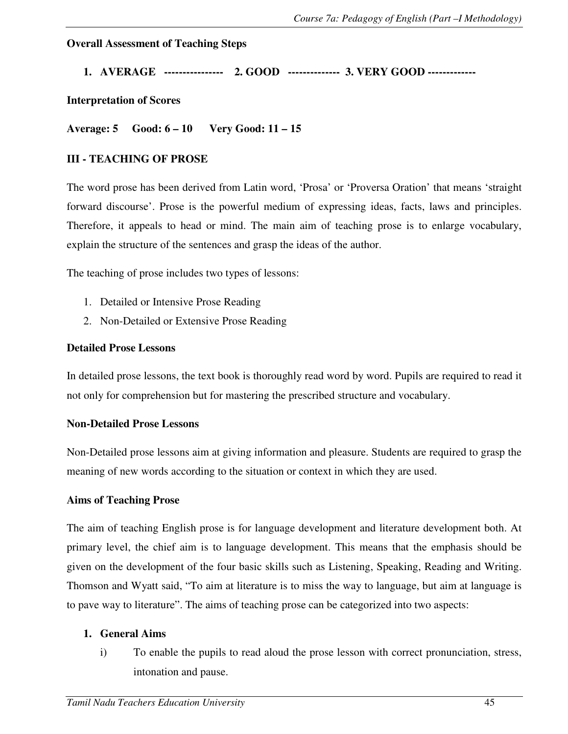### **Overall Assessment of Teaching Steps**

**1. AVERAGE ---------------- 2. GOOD -------------- 3. VERY GOOD -------------** 

**Interpretation of Scores** 

**Average: 5 Good: 6 – 10 Very Good: 11 – 15**

## **III - TEACHING OF PROSE**

The word prose has been derived from Latin word, 'Prosa' or 'Proversa Oration' that means 'straight forward discourse'. Prose is the powerful medium of expressing ideas, facts, laws and principles. Therefore, it appeals to head or mind. The main aim of teaching prose is to enlarge vocabulary, explain the structure of the sentences and grasp the ideas of the author.

The teaching of prose includes two types of lessons:

- 1. Detailed or Intensive Prose Reading
- 2. Non-Detailed or Extensive Prose Reading

### **Detailed Prose Lessons**

In detailed prose lessons, the text book is thoroughly read word by word. Pupils are required to read it not only for comprehension but for mastering the prescribed structure and vocabulary.

### **Non-Detailed Prose Lessons**

Non-Detailed prose lessons aim at giving information and pleasure. Students are required to grasp the meaning of new words according to the situation or context in which they are used.

### **Aims of Teaching Prose**

The aim of teaching English prose is for language development and literature development both. At primary level, the chief aim is to language development. This means that the emphasis should be given on the development of the four basic skills such as Listening, Speaking, Reading and Writing. Thomson and Wyatt said, "To aim at literature is to miss the way to language, but aim at language is to pave way to literature". The aims of teaching prose can be categorized into two aspects:

### **1. General Aims**

i) To enable the pupils to read aloud the prose lesson with correct pronunciation, stress, intonation and pause.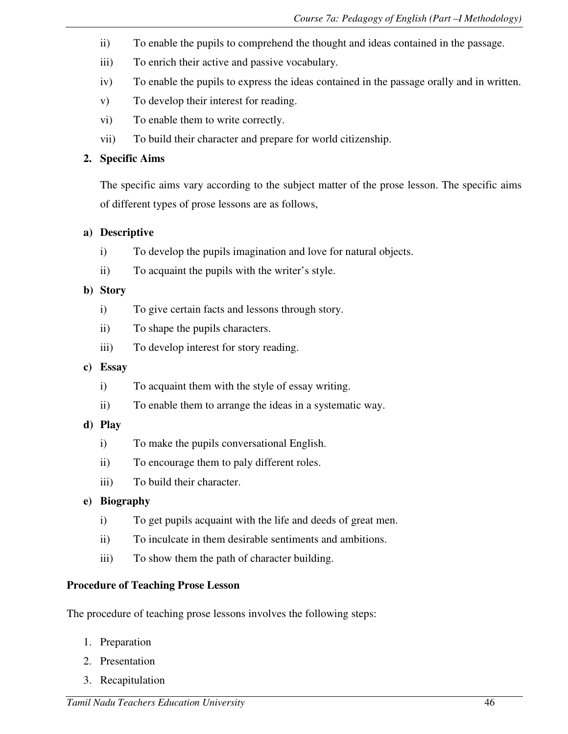- ii) To enable the pupils to comprehend the thought and ideas contained in the passage.
- iii) To enrich their active and passive vocabulary.
- iv) To enable the pupils to express the ideas contained in the passage orally and in written.
- v) To develop their interest for reading.
- vi) To enable them to write correctly.
- vii) To build their character and prepare for world citizenship.

## **2. Specific Aims**

The specific aims vary according to the subject matter of the prose lesson. The specific aims of different types of prose lessons are as follows,

## **a) Descriptive**

- i) To develop the pupils imagination and love for natural objects.
- ii) To acquaint the pupils with the writer's style.

## **b) Story**

- i) To give certain facts and lessons through story.
- ii) To shape the pupils characters.
- iii) To develop interest for story reading.

## **c) Essay**

- i) To acquaint them with the style of essay writing.
- ii) To enable them to arrange the ideas in a systematic way.

## **d) Play**

- i) To make the pupils conversational English.
- ii) To encourage them to paly different roles.
- iii) To build their character.

## **e) Biography**

- i) To get pupils acquaint with the life and deeds of great men.
- ii) To inculcate in them desirable sentiments and ambitions.
- iii) To show them the path of character building.

## **Procedure of Teaching Prose Lesson**

The procedure of teaching prose lessons involves the following steps:

- 1. Preparation
- 2. Presentation
- 3. Recapitulation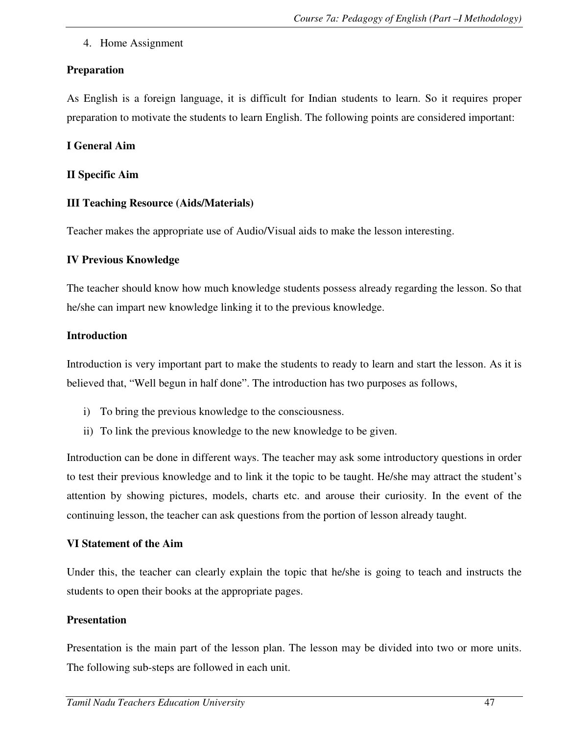4. Home Assignment

## **Preparation**

As English is a foreign language, it is difficult for Indian students to learn. So it requires proper preparation to motivate the students to learn English. The following points are considered important:

## **I General Aim**

### **II Specific Aim**

### **III Teaching Resource (Aids/Materials)**

Teacher makes the appropriate use of Audio/Visual aids to make the lesson interesting.

### **IV Previous Knowledge**

The teacher should know how much knowledge students possess already regarding the lesson. So that he/she can impart new knowledge linking it to the previous knowledge.

### **Introduction**

Introduction is very important part to make the students to ready to learn and start the lesson. As it is believed that, "Well begun in half done". The introduction has two purposes as follows,

- i) To bring the previous knowledge to the consciousness.
- ii) To link the previous knowledge to the new knowledge to be given.

Introduction can be done in different ways. The teacher may ask some introductory questions in order to test their previous knowledge and to link it the topic to be taught. He/she may attract the student's attention by showing pictures, models, charts etc. and arouse their curiosity. In the event of the continuing lesson, the teacher can ask questions from the portion of lesson already taught.

## **VI Statement of the Aim**

Under this, the teacher can clearly explain the topic that he/she is going to teach and instructs the students to open their books at the appropriate pages.

### **Presentation**

Presentation is the main part of the lesson plan. The lesson may be divided into two or more units. The following sub-steps are followed in each unit.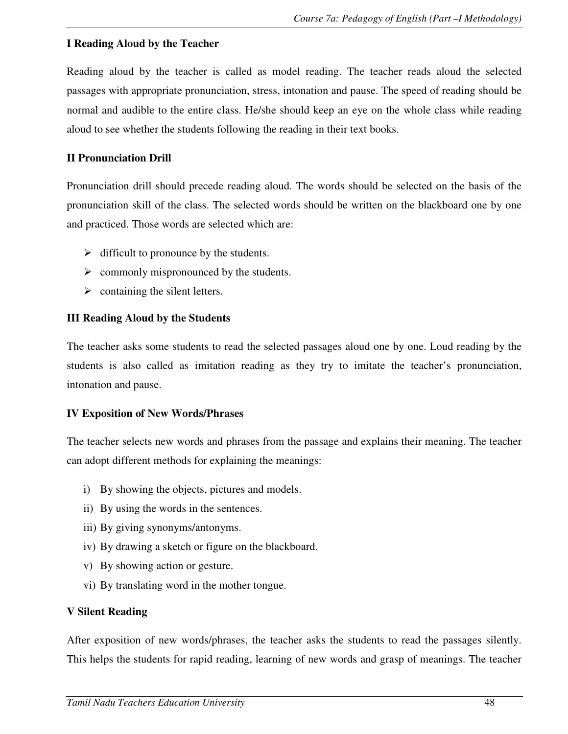## **I Reading Aloud by the Teacher**

Reading aloud by the teacher is called as model reading. The teacher reads aloud the selected passages with appropriate pronunciation, stress, intonation and pause. The speed of reading should be normal and audible to the entire class. He/she should keep an eye on the whole class while reading aloud to see whether the students following the reading in their text books.

## **II Pronunciation Drill**

Pronunciation drill should precede reading aloud. The words should be selected on the basis of the pronunciation skill of the class. The selected words should be written on the blackboard one by one and practiced. Those words are selected which are:

- $\triangleright$  difficult to pronounce by the students.
- $\triangleright$  commonly mispronounced by the students.
- $\triangleright$  containing the silent letters.

## **III Reading Aloud by the Students**

The teacher asks some students to read the selected passages aloud one by one. Loud reading by the students is also called as imitation reading as they try to imitate the teacher's pronunciation, intonation and pause.

## **IV Exposition of New Words/Phrases**

The teacher selects new words and phrases from the passage and explains their meaning. The teacher can adopt different methods for explaining the meanings:

- i) By showing the objects, pictures and models.
- ii) By using the words in the sentences.
- iii) By giving synonyms/antonyms.
- iv) By drawing a sketch or figure on the blackboard.
- v) By showing action or gesture.
- vi) By translating word in the mother tongue.

## **V Silent Reading**

After exposition of new words/phrases, the teacher asks the students to read the passages silently. This helps the students for rapid reading, learning of new words and grasp of meanings. The teacher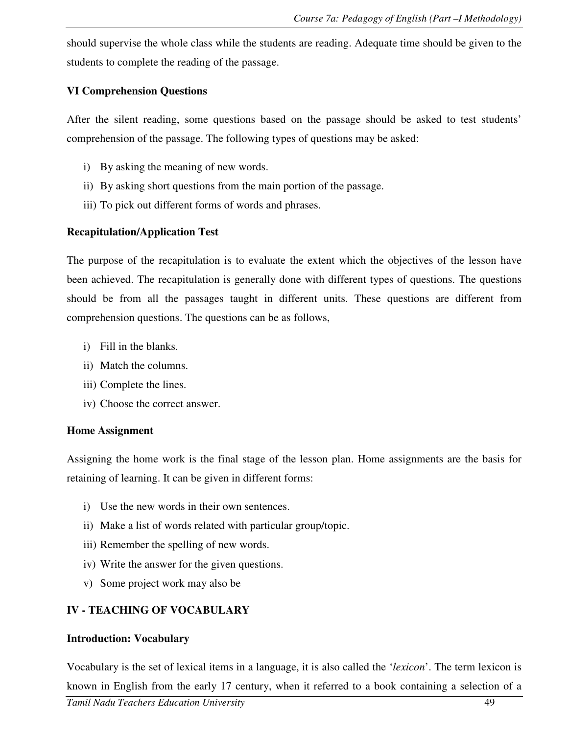should supervise the whole class while the students are reading. Adequate time should be given to the students to complete the reading of the passage.

## **VI Comprehension Questions**

After the silent reading, some questions based on the passage should be asked to test students' comprehension of the passage. The following types of questions may be asked:

- i) By asking the meaning of new words.
- ii) By asking short questions from the main portion of the passage.
- iii) To pick out different forms of words and phrases.

### **Recapitulation/Application Test**

The purpose of the recapitulation is to evaluate the extent which the objectives of the lesson have been achieved. The recapitulation is generally done with different types of questions. The questions should be from all the passages taught in different units. These questions are different from comprehension questions. The questions can be as follows,

- i) Fill in the blanks.
- ii) Match the columns.
- iii) Complete the lines.
- iv) Choose the correct answer.

### **Home Assignment**

Assigning the home work is the final stage of the lesson plan. Home assignments are the basis for retaining of learning. It can be given in different forms:

- i) Use the new words in their own sentences.
- ii) Make a list of words related with particular group/topic.
- iii) Remember the spelling of new words.
- iv) Write the answer for the given questions.
- v) Some project work may also be

## **IV - TEACHING OF VOCABULARY**

### **Introduction: Vocabulary**

Vocabulary is the set of lexical items in a language, it is also called the '*lexicon*'. The term lexicon is known in English from the early 17 century, when it referred to a book containing a selection of a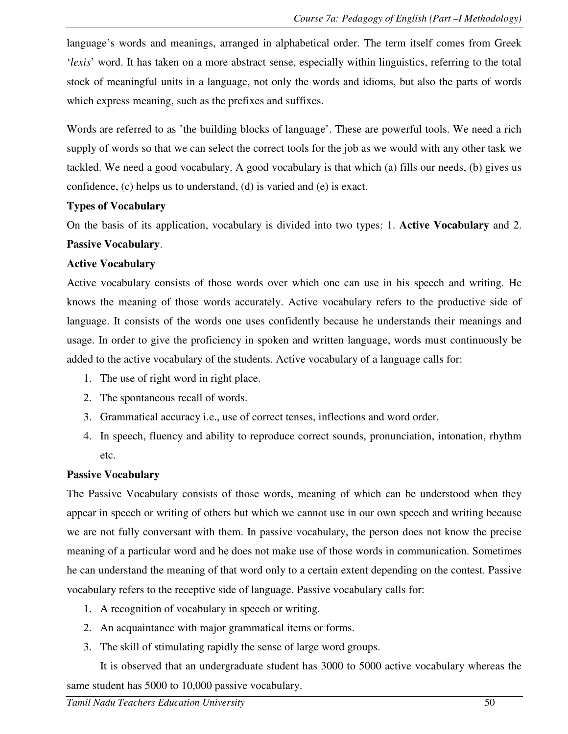language's words and meanings, arranged in alphabetical order. The term itself comes from Greek '*lexis*' word. It has taken on a more abstract sense, especially within linguistics, referring to the total stock of meaningful units in a language, not only the words and idioms, but also the parts of words which express meaning, such as the prefixes and suffixes.

Words are referred to as 'the building blocks of language'. These are powerful tools. We need a rich supply of words so that we can select the correct tools for the job as we would with any other task we tackled. We need a good vocabulary. A good vocabulary is that which (a) fills our needs, (b) gives us confidence, (c) helps us to understand, (d) is varied and (e) is exact.

### **Types of Vocabulary**

On the basis of its application, vocabulary is divided into two types: 1. **Active Vocabulary** and 2.

# **Passive Vocabulary**.

### **Active Vocabulary**

Active vocabulary consists of those words over which one can use in his speech and writing. He knows the meaning of those words accurately. Active vocabulary refers to the productive side of language. It consists of the words one uses confidently because he understands their meanings and usage. In order to give the proficiency in spoken and written language, words must continuously be added to the active vocabulary of the students. Active vocabulary of a language calls for:

- 1. The use of right word in right place.
- 2. The spontaneous recall of words.
- 3. Grammatical accuracy i.e., use of correct tenses, inflections and word order.
- 4. In speech, fluency and ability to reproduce correct sounds, pronunciation, intonation, rhythm etc.

## **Passive Vocabulary**

The Passive Vocabulary consists of those words, meaning of which can be understood when they appear in speech or writing of others but which we cannot use in our own speech and writing because we are not fully conversant with them. In passive vocabulary, the person does not know the precise meaning of a particular word and he does not make use of those words in communication. Sometimes he can understand the meaning of that word only to a certain extent depending on the contest. Passive vocabulary refers to the receptive side of language. Passive vocabulary calls for:

- 1. A recognition of vocabulary in speech or writing.
- 2. An acquaintance with major grammatical items or forms.
- 3. The skill of stimulating rapidly the sense of large word groups.

It is observed that an undergraduate student has 3000 to 5000 active vocabulary whereas the same student has 5000 to 10,000 passive vocabulary.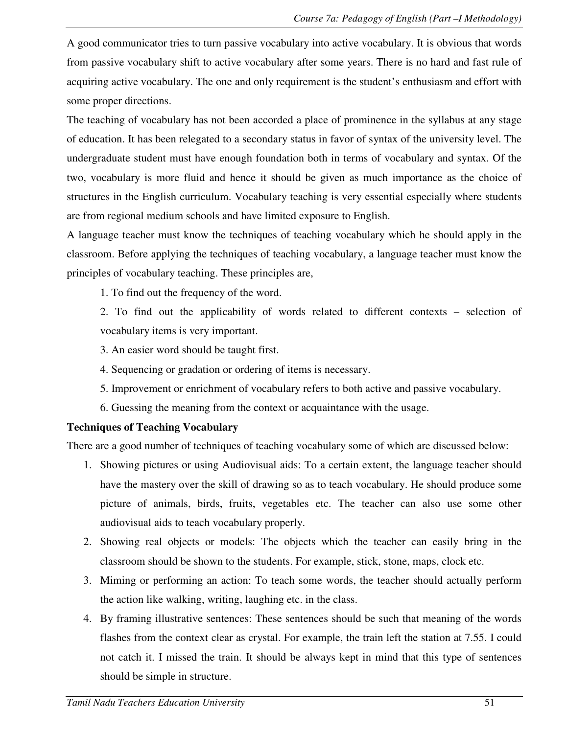A good communicator tries to turn passive vocabulary into active vocabulary. It is obvious that words from passive vocabulary shift to active vocabulary after some years. There is no hard and fast rule of acquiring active vocabulary. The one and only requirement is the student's enthusiasm and effort with some proper directions.

The teaching of vocabulary has not been accorded a place of prominence in the syllabus at any stage of education. It has been relegated to a secondary status in favor of syntax of the university level. The undergraduate student must have enough foundation both in terms of vocabulary and syntax. Of the two, vocabulary is more fluid and hence it should be given as much importance as the choice of structures in the English curriculum. Vocabulary teaching is very essential especially where students are from regional medium schools and have limited exposure to English.

A language teacher must know the techniques of teaching vocabulary which he should apply in the classroom. Before applying the techniques of teaching vocabulary, a language teacher must know the principles of vocabulary teaching. These principles are,

1. To find out the frequency of the word.

2. To find out the applicability of words related to different contexts – selection of vocabulary items is very important.

3. An easier word should be taught first.

4. Sequencing or gradation or ordering of items is necessary.

- 5. Improvement or enrichment of vocabulary refers to both active and passive vocabulary.
- 6. Guessing the meaning from the context or acquaintance with the usage.

## **Techniques of Teaching Vocabulary**

There are a good number of techniques of teaching vocabulary some of which are discussed below:

- 1. Showing pictures or using Audiovisual aids: To a certain extent, the language teacher should have the mastery over the skill of drawing so as to teach vocabulary. He should produce some picture of animals, birds, fruits, vegetables etc. The teacher can also use some other audiovisual aids to teach vocabulary properly.
- 2. Showing real objects or models: The objects which the teacher can easily bring in the classroom should be shown to the students. For example, stick, stone, maps, clock etc.
- 3. Miming or performing an action: To teach some words, the teacher should actually perform the action like walking, writing, laughing etc. in the class.
- 4. By framing illustrative sentences: These sentences should be such that meaning of the words flashes from the context clear as crystal. For example, the train left the station at 7.55. I could not catch it. I missed the train. It should be always kept in mind that this type of sentences should be simple in structure.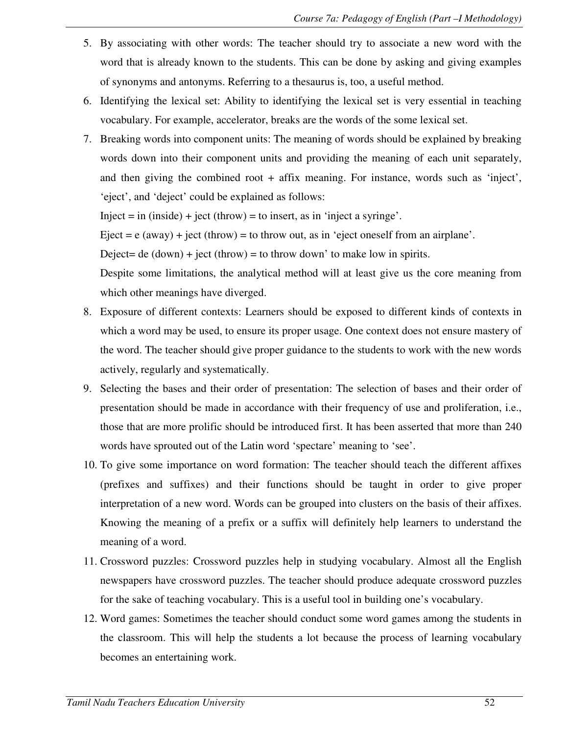- 5. By associating with other words: The teacher should try to associate a new word with the word that is already known to the students. This can be done by asking and giving examples of synonyms and antonyms. Referring to a thesaurus is, too, a useful method.
- 6. Identifying the lexical set: Ability to identifying the lexical set is very essential in teaching vocabulary. For example, accelerator, breaks are the words of the some lexical set.
- 7. Breaking words into component units: The meaning of words should be explained by breaking words down into their component units and providing the meaning of each unit separately, and then giving the combined root + affix meaning. For instance, words such as 'inject', 'eject', and 'deject' could be explained as follows:

 $Inject = in (inside) +ject (throw) = to insert, as in 'inject a syringe'.$ 

Eject =  $e$  (away) + ject (throw) = to throw out, as in 'eject oneself from an airplane'.

Deject= de  $(down) + ject$  (throw) = to throw down' to make low in spirits.

Despite some limitations, the analytical method will at least give us the core meaning from which other meanings have diverged.

- 8. Exposure of different contexts: Learners should be exposed to different kinds of contexts in which a word may be used, to ensure its proper usage. One context does not ensure mastery of the word. The teacher should give proper guidance to the students to work with the new words actively, regularly and systematically.
- 9. Selecting the bases and their order of presentation: The selection of bases and their order of presentation should be made in accordance with their frequency of use and proliferation, i.e., those that are more prolific should be introduced first. It has been asserted that more than 240 words have sprouted out of the Latin word 'spectare' meaning to 'see'.
- 10. To give some importance on word formation: The teacher should teach the different affixes (prefixes and suffixes) and their functions should be taught in order to give proper interpretation of a new word. Words can be grouped into clusters on the basis of their affixes. Knowing the meaning of a prefix or a suffix will definitely help learners to understand the meaning of a word.
- 11. Crossword puzzles: Crossword puzzles help in studying vocabulary. Almost all the English newspapers have crossword puzzles. The teacher should produce adequate crossword puzzles for the sake of teaching vocabulary. This is a useful tool in building one's vocabulary.
- 12. Word games: Sometimes the teacher should conduct some word games among the students in the classroom. This will help the students a lot because the process of learning vocabulary becomes an entertaining work.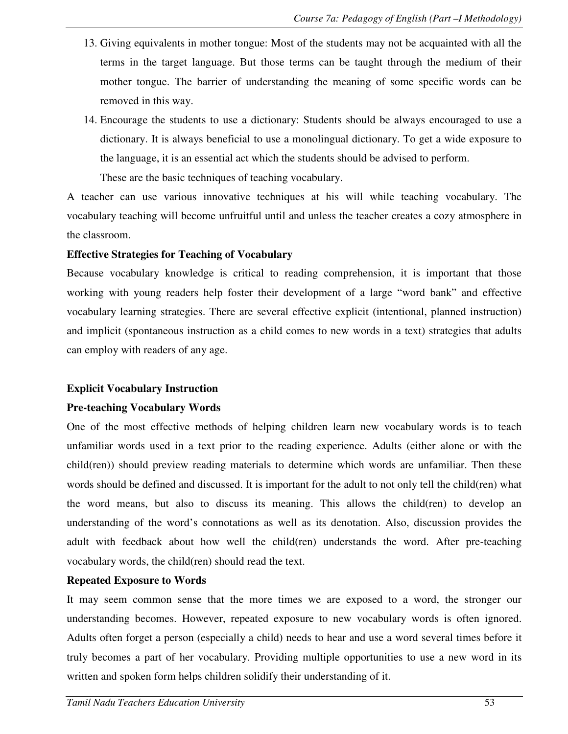- 13. Giving equivalents in mother tongue: Most of the students may not be acquainted with all the terms in the target language. But those terms can be taught through the medium of their mother tongue. The barrier of understanding the meaning of some specific words can be removed in this way.
- 14. Encourage the students to use a dictionary: Students should be always encouraged to use a dictionary. It is always beneficial to use a monolingual dictionary. To get a wide exposure to the language, it is an essential act which the students should be advised to perform. These are the basic techniques of teaching vocabulary.

A teacher can use various innovative techniques at his will while teaching vocabulary. The vocabulary teaching will become unfruitful until and unless the teacher creates a cozy atmosphere in the classroom.

### **Effective Strategies for Teaching of Vocabulary**

Because vocabulary knowledge is critical to reading comprehension, it is important that those working with young readers help foster their development of a large "word bank" and effective vocabulary learning strategies. There are several effective explicit (intentional, planned instruction) and implicit (spontaneous instruction as a child comes to new words in a text) strategies that adults can employ with readers of any age.

## **Explicit Vocabulary Instruction**

## **Pre-teaching Vocabulary Words**

One of the most effective methods of helping children learn new vocabulary words is to teach unfamiliar words used in a text prior to the reading experience. Adults (either alone or with the child(ren)) should preview reading materials to determine which words are unfamiliar. Then these words should be defined and discussed. It is important for the adult to not only tell the child(ren) what the word means, but also to discuss its meaning. This allows the child(ren) to develop an understanding of the word's connotations as well as its denotation. Also, discussion provides the adult with feedback about how well the child(ren) understands the word. After pre-teaching vocabulary words, the child(ren) should read the text.

## **Repeated Exposure to Words**

It may seem common sense that the more times we are exposed to a word, the stronger our understanding becomes. However, repeated exposure to new vocabulary words is often ignored. Adults often forget a person (especially a child) needs to hear and use a word several times before it truly becomes a part of her vocabulary. Providing multiple opportunities to use a new word in its written and spoken form helps children solidify their understanding of it.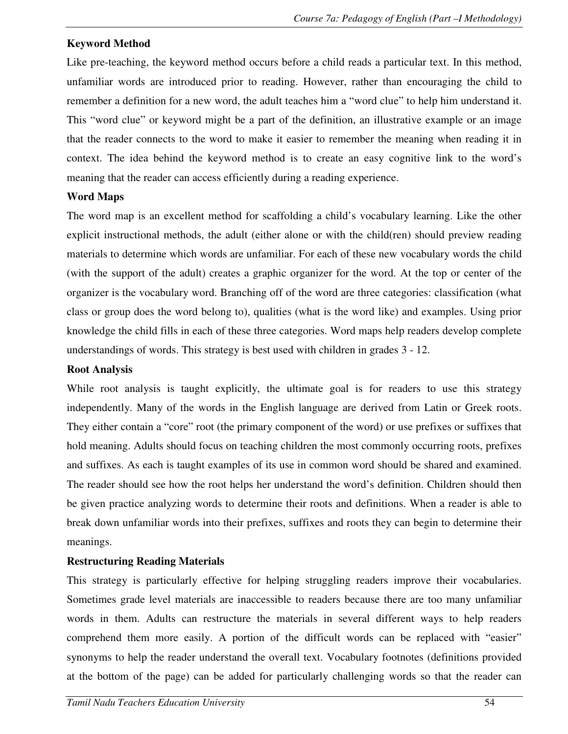## **Keyword Method**

Like pre-teaching, the keyword method occurs before a child reads a particular text. In this method, unfamiliar words are introduced prior to reading. However, rather than encouraging the child to remember a definition for a new word, the adult teaches him a "word clue" to help him understand it. This "word clue" or keyword might be a part of the definition, an illustrative example or an image that the reader connects to the word to make it easier to remember the meaning when reading it in context. The idea behind the keyword method is to create an easy cognitive link to the word's meaning that the reader can access efficiently during a reading experience.

## **Word Maps**

The word map is an excellent method for scaffolding a child's vocabulary learning. Like the other explicit instructional methods, the adult (either alone or with the child(ren) should preview reading materials to determine which words are unfamiliar. For each of these new vocabulary words the child (with the support of the adult) creates a graphic organizer for the word. At the top or center of the organizer is the vocabulary word. Branching off of the word are three categories: classification (what class or group does the word belong to), qualities (what is the word like) and examples. Using prior knowledge the child fills in each of these three categories. Word maps help readers develop complete understandings of words. This strategy is best used with children in grades 3 - 12.

### **Root Analysis**

While root analysis is taught explicitly, the ultimate goal is for readers to use this strategy independently. Many of the words in the English language are derived from Latin or Greek roots. They either contain a "core" root (the primary component of the word) or use prefixes or suffixes that hold meaning. Adults should focus on teaching children the most commonly occurring roots, prefixes and suffixes. As each is taught examples of its use in common word should be shared and examined. The reader should see how the root helps her understand the word's definition. Children should then be given practice analyzing words to determine their roots and definitions. When a reader is able to break down unfamiliar words into their prefixes, suffixes and roots they can begin to determine their meanings.

## **Restructuring Reading Materials**

This strategy is particularly effective for helping struggling readers improve their vocabularies. Sometimes grade level materials are inaccessible to readers because there are too many unfamiliar words in them. Adults can restructure the materials in several different ways to help readers comprehend them more easily. A portion of the difficult words can be replaced with "easier" synonyms to help the reader understand the overall text. Vocabulary footnotes (definitions provided at the bottom of the page) can be added for particularly challenging words so that the reader can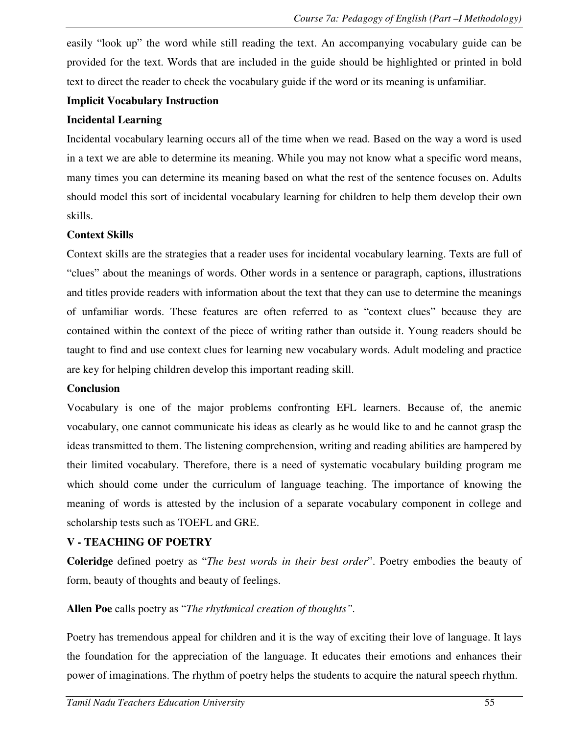easily "look up" the word while still reading the text. An accompanying vocabulary guide can be provided for the text. Words that are included in the guide should be highlighted or printed in bold text to direct the reader to check the vocabulary guide if the word or its meaning is unfamiliar.

## **Implicit Vocabulary Instruction**

## **Incidental Learning**

Incidental vocabulary learning occurs all of the time when we read. Based on the way a word is used in a text we are able to determine its meaning. While you may not know what a specific word means, many times you can determine its meaning based on what the rest of the sentence focuses on. Adults should model this sort of incidental vocabulary learning for children to help them develop their own skills.

### **Context Skills**

Context skills are the strategies that a reader uses for incidental vocabulary learning. Texts are full of "clues" about the meanings of words. Other words in a sentence or paragraph, captions, illustrations and titles provide readers with information about the text that they can use to determine the meanings of unfamiliar words. These features are often referred to as "context clues" because they are contained within the context of the piece of writing rather than outside it. Young readers should be taught to find and use context clues for learning new vocabulary words. Adult modeling and practice are key for helping children develop this important reading skill.

### **Conclusion**

Vocabulary is one of the major problems confronting EFL learners. Because of, the anemic vocabulary, one cannot communicate his ideas as clearly as he would like to and he cannot grasp the ideas transmitted to them. The listening comprehension, writing and reading abilities are hampered by their limited vocabulary. Therefore, there is a need of systematic vocabulary building program me which should come under the curriculum of language teaching. The importance of knowing the meaning of words is attested by the inclusion of a separate vocabulary component in college and scholarship tests such as TOEFL and GRE.

## **V - TEACHING OF POETRY**

**Coleridge** defined poetry as "*The best words in their best order*". Poetry embodies the beauty of form, beauty of thoughts and beauty of feelings.

## **Allen Poe** calls poetry as "*The rhythmical creation of thoughts".*

Poetry has tremendous appeal for children and it is the way of exciting their love of language. It lays the foundation for the appreciation of the language. It educates their emotions and enhances their power of imaginations. The rhythm of poetry helps the students to acquire the natural speech rhythm.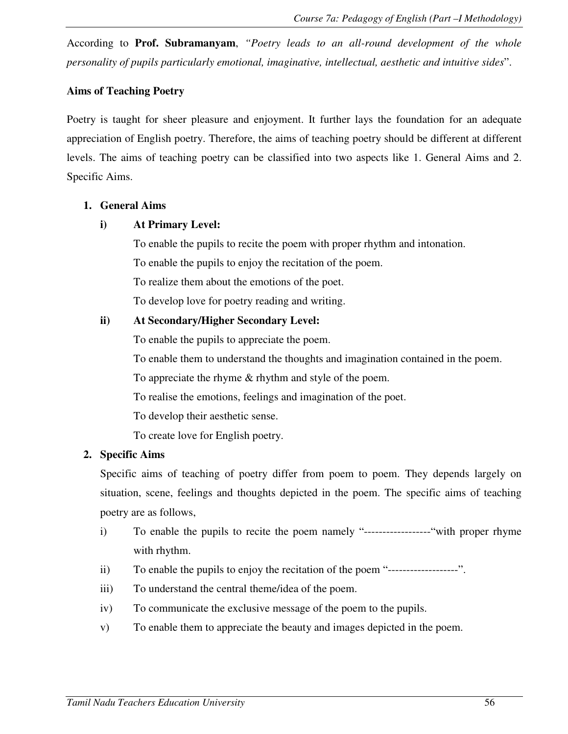According to **Prof. Subramanyam**, *"Poetry leads to an all-round development of the whole personality of pupils particularly emotional, imaginative, intellectual, aesthetic and intuitive sides*".

### **Aims of Teaching Poetry**

Poetry is taught for sheer pleasure and enjoyment. It further lays the foundation for an adequate appreciation of English poetry. Therefore, the aims of teaching poetry should be different at different levels. The aims of teaching poetry can be classified into two aspects like 1. General Aims and 2. Specific Aims.

### **1. General Aims**

## **i) At Primary Level:**

To enable the pupils to recite the poem with proper rhythm and intonation.

To enable the pupils to enjoy the recitation of the poem.

To realize them about the emotions of the poet.

To develop love for poetry reading and writing.

## **ii) At Secondary/Higher Secondary Level:**

To enable the pupils to appreciate the poem.

To enable them to understand the thoughts and imagination contained in the poem.

To appreciate the rhyme & rhythm and style of the poem.

To realise the emotions, feelings and imagination of the poet.

To develop their aesthetic sense.

To create love for English poetry.

## **2. Specific Aims**

Specific aims of teaching of poetry differ from poem to poem. They depends largely on situation, scene, feelings and thoughts depicted in the poem. The specific aims of teaching poetry are as follows,

- i) To enable the pupils to recite the poem namely "------------------"with proper rhyme with rhythm.
- ii) To enable the pupils to enjoy the recitation of the poem "-------------------".
- iii) To understand the central theme/idea of the poem.
- iv) To communicate the exclusive message of the poem to the pupils.
- v) To enable them to appreciate the beauty and images depicted in the poem.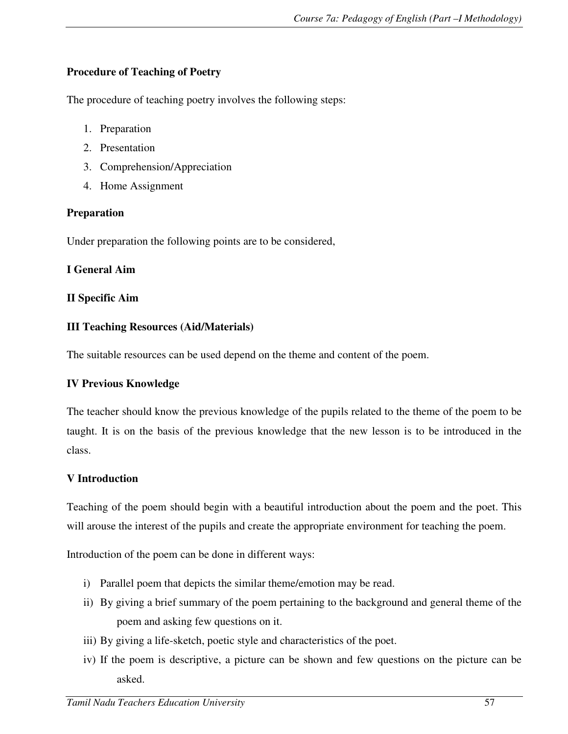## **Procedure of Teaching of Poetry**

The procedure of teaching poetry involves the following steps:

- 1. Preparation
- 2. Presentation
- 3. Comprehension/Appreciation
- 4. Home Assignment

## **Preparation**

Under preparation the following points are to be considered,

## **I General Aim**

## **II Specific Aim**

## **III Teaching Resources (Aid/Materials)**

The suitable resources can be used depend on the theme and content of the poem.

## **IV Previous Knowledge**

The teacher should know the previous knowledge of the pupils related to the theme of the poem to be taught. It is on the basis of the previous knowledge that the new lesson is to be introduced in the class.

## **V Introduction**

Teaching of the poem should begin with a beautiful introduction about the poem and the poet. This will arouse the interest of the pupils and create the appropriate environment for teaching the poem.

Introduction of the poem can be done in different ways:

- i) Parallel poem that depicts the similar theme/emotion may be read.
- ii) By giving a brief summary of the poem pertaining to the background and general theme of the poem and asking few questions on it.
- iii) By giving a life-sketch, poetic style and characteristics of the poet.
- iv) If the poem is descriptive, a picture can be shown and few questions on the picture can be asked.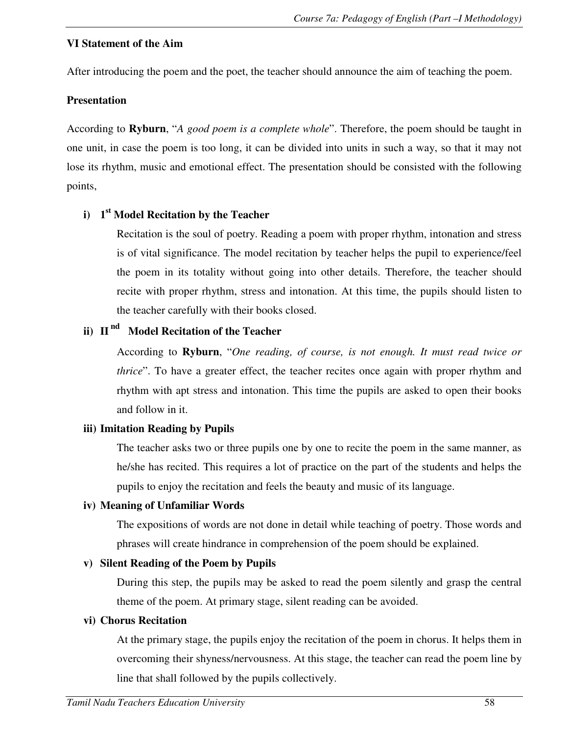### **VI Statement of the Aim**

After introducing the poem and the poet, the teacher should announce the aim of teaching the poem.

### **Presentation**

According to **Ryburn**, "*A good poem is a complete whole*". Therefore, the poem should be taught in one unit, in case the poem is too long, it can be divided into units in such a way, so that it may not lose its rhythm, music and emotional effect. The presentation should be consisted with the following points,

## **i) 1 st Model Recitation by the Teacher**

Recitation is the soul of poetry. Reading a poem with proper rhythm, intonation and stress is of vital significance. The model recitation by teacher helps the pupil to experience/feel the poem in its totality without going into other details. Therefore, the teacher should recite with proper rhythm, stress and intonation. At this time, the pupils should listen to the teacher carefully with their books closed.

# **ii) II nd Model Recitation of the Teacher**

According to **Ryburn**, "*One reading, of course, is not enough. It must read twice or thrice*". To have a greater effect, the teacher recites once again with proper rhythm and rhythm with apt stress and intonation. This time the pupils are asked to open their books and follow in it.

## **iii) Imitation Reading by Pupils**

The teacher asks two or three pupils one by one to recite the poem in the same manner, as he/she has recited. This requires a lot of practice on the part of the students and helps the pupils to enjoy the recitation and feels the beauty and music of its language.

### **iv) Meaning of Unfamiliar Words**

The expositions of words are not done in detail while teaching of poetry. Those words and phrases will create hindrance in comprehension of the poem should be explained.

### **v) Silent Reading of the Poem by Pupils**

During this step, the pupils may be asked to read the poem silently and grasp the central theme of the poem. At primary stage, silent reading can be avoided.

### **vi) Chorus Recitation**

At the primary stage, the pupils enjoy the recitation of the poem in chorus. It helps them in overcoming their shyness/nervousness. At this stage, the teacher can read the poem line by line that shall followed by the pupils collectively.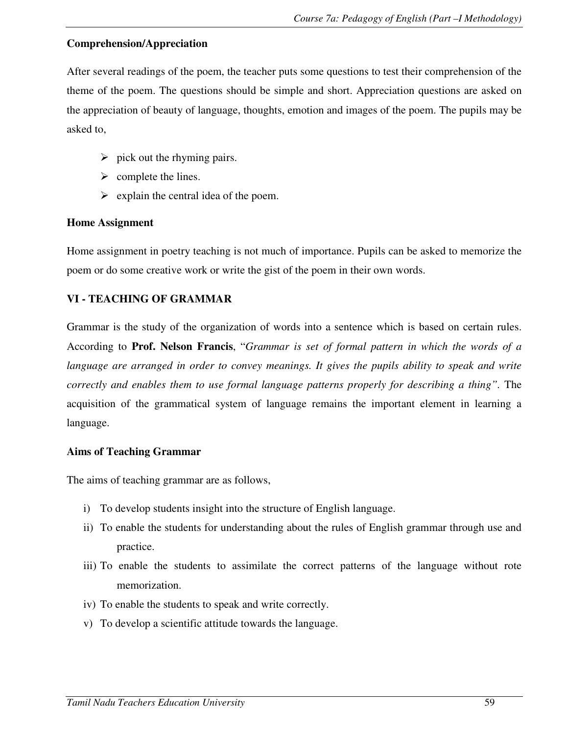## **Comprehension/Appreciation**

After several readings of the poem, the teacher puts some questions to test their comprehension of the theme of the poem. The questions should be simple and short. Appreciation questions are asked on the appreciation of beauty of language, thoughts, emotion and images of the poem. The pupils may be asked to,

- $\triangleright$  pick out the rhyming pairs.
- $\triangleright$  complete the lines.
- $\triangleright$  explain the central idea of the poem.

### **Home Assignment**

Home assignment in poetry teaching is not much of importance. Pupils can be asked to memorize the poem or do some creative work or write the gist of the poem in their own words.

## **VI - TEACHING OF GRAMMAR**

Grammar is the study of the organization of words into a sentence which is based on certain rules. According to **Prof. Nelson Francis**, "*Grammar is set of formal pattern in which the words of a language are arranged in order to convey meanings. It gives the pupils ability to speak and write correctly and enables them to use formal language patterns properly for describing a thing".* The acquisition of the grammatical system of language remains the important element in learning a language.

## **Aims of Teaching Grammar**

The aims of teaching grammar are as follows,

- i) To develop students insight into the structure of English language.
- ii) To enable the students for understanding about the rules of English grammar through use and practice.
- iii) To enable the students to assimilate the correct patterns of the language without rote memorization.
- iv) To enable the students to speak and write correctly.
- v) To develop a scientific attitude towards the language.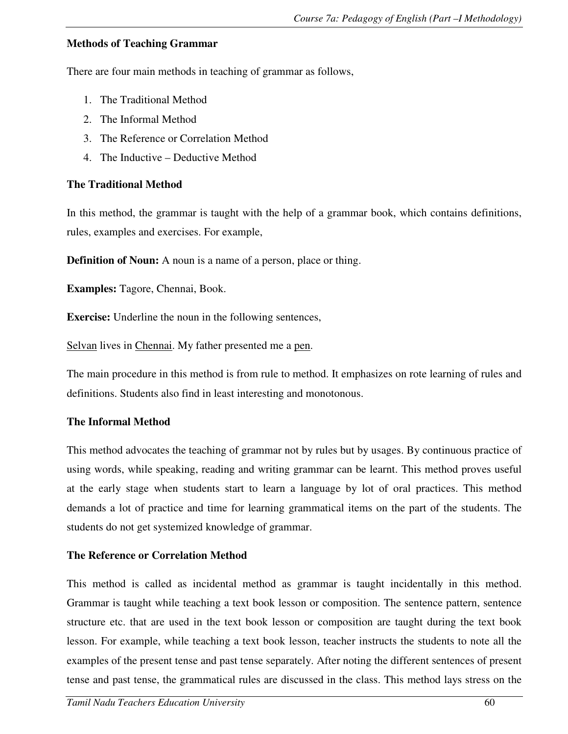## **Methods of Teaching Grammar**

There are four main methods in teaching of grammar as follows,

- 1. The Traditional Method
- 2. The Informal Method
- 3. The Reference or Correlation Method
- 4. The Inductive Deductive Method

## **The Traditional Method**

In this method, the grammar is taught with the help of a grammar book, which contains definitions, rules, examples and exercises. For example,

**Definition of Noun:** A noun is a name of a person, place or thing.

**Examples:** Tagore, Chennai, Book.

**Exercise:** Underline the noun in the following sentences,

Selvan lives in Chennai. My father presented me a pen.

The main procedure in this method is from rule to method. It emphasizes on rote learning of rules and definitions. Students also find in least interesting and monotonous.

## **The Informal Method**

This method advocates the teaching of grammar not by rules but by usages. By continuous practice of using words, while speaking, reading and writing grammar can be learnt. This method proves useful at the early stage when students start to learn a language by lot of oral practices. This method demands a lot of practice and time for learning grammatical items on the part of the students. The students do not get systemized knowledge of grammar.

## **The Reference or Correlation Method**

This method is called as incidental method as grammar is taught incidentally in this method. Grammar is taught while teaching a text book lesson or composition. The sentence pattern, sentence structure etc. that are used in the text book lesson or composition are taught during the text book lesson. For example, while teaching a text book lesson, teacher instructs the students to note all the examples of the present tense and past tense separately. After noting the different sentences of present tense and past tense, the grammatical rules are discussed in the class. This method lays stress on the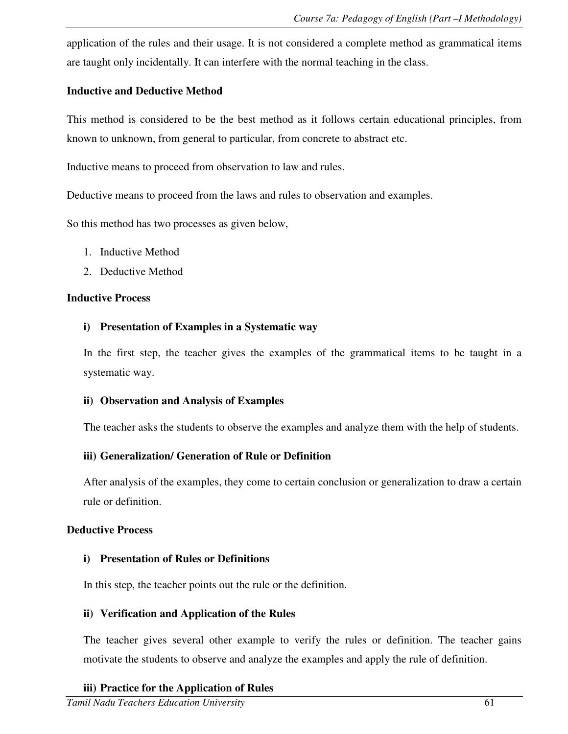application of the rules and their usage. It is not considered a complete method as grammatical items are taught only incidentally. It can interfere with the normal teaching in the class.

## **Inductive and Deductive Method**

This method is considered to be the best method as it follows certain educational principles, from known to unknown, from general to particular, from concrete to abstract etc.

Inductive means to proceed from observation to law and rules.

Deductive means to proceed from the laws and rules to observation and examples.

So this method has two processes as given below,

- 1. Inductive Method
- 2. Deductive Method

### **Inductive Process**

### **i) Presentation of Examples in a Systematic way**

In the first step, the teacher gives the examples of the grammatical items to be taught in a systematic way.

### **ii) Observation and Analysis of Examples**

The teacher asks the students to observe the examples and analyze them with the help of students.

## **iii) Generalization/ Generation of Rule or Definition**

After analysis of the examples, they come to certain conclusion or generalization to draw a certain rule or definition.

## **Deductive Process**

## **i) Presentation of Rules or Definitions**

In this step, the teacher points out the rule or the definition.

### **ii) Verification and Application of the Rules**

The teacher gives several other example to verify the rules or definition. The teacher gains motivate the students to observe and analyze the examples and apply the rule of definition.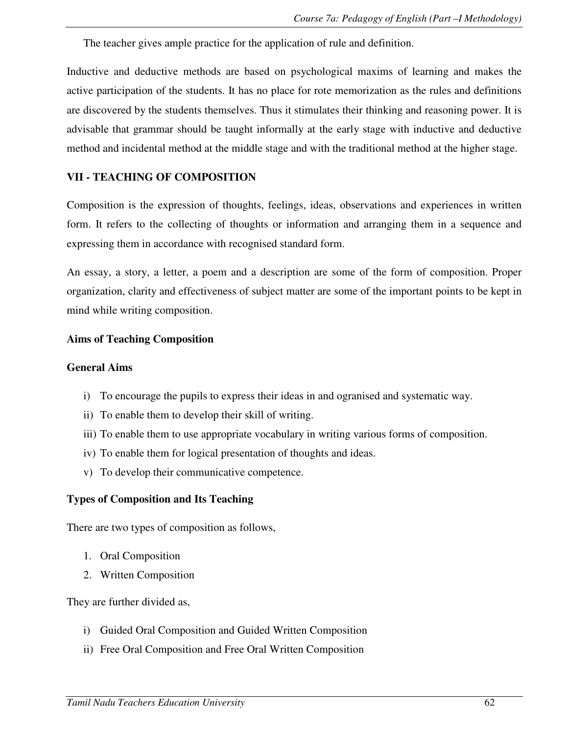The teacher gives ample practice for the application of rule and definition.

Inductive and deductive methods are based on psychological maxims of learning and makes the active participation of the students. It has no place for rote memorization as the rules and definitions are discovered by the students themselves. Thus it stimulates their thinking and reasoning power. It is advisable that grammar should be taught informally at the early stage with inductive and deductive method and incidental method at the middle stage and with the traditional method at the higher stage.

### **VII - TEACHING OF COMPOSITION**

Composition is the expression of thoughts, feelings, ideas, observations and experiences in written form. It refers to the collecting of thoughts or information and arranging them in a sequence and expressing them in accordance with recognised standard form.

An essay, a story, a letter, a poem and a description are some of the form of composition. Proper organization, clarity and effectiveness of subject matter are some of the important points to be kept in mind while writing composition.

### **Aims of Teaching Composition**

### **General Aims**

- i) To encourage the pupils to express their ideas in and ogranised and systematic way.
- ii) To enable them to develop their skill of writing.
- iii) To enable them to use appropriate vocabulary in writing various forms of composition.
- iv) To enable them for logical presentation of thoughts and ideas.
- v) To develop their communicative competence.

### **Types of Composition and Its Teaching**

There are two types of composition as follows,

- 1. Oral Composition
- 2. Written Composition

They are further divided as,

- i) Guided Oral Composition and Guided Written Composition
- ii) Free Oral Composition and Free Oral Written Composition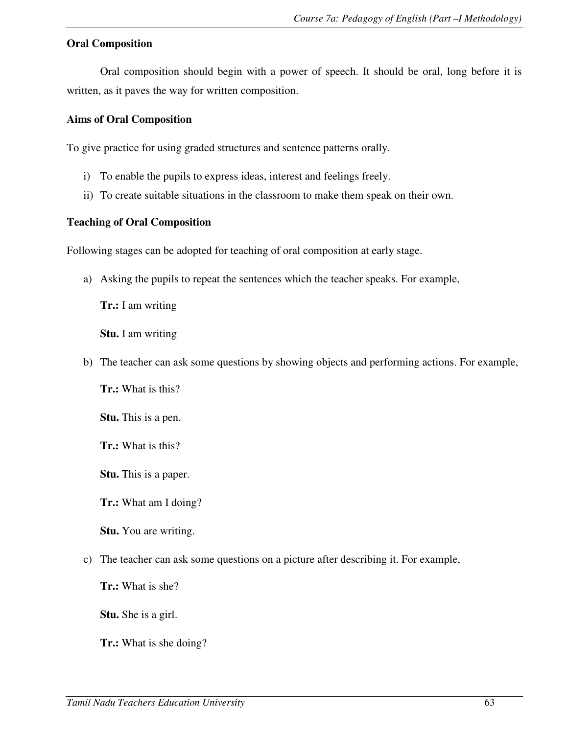## **Oral Composition**

Oral composition should begin with a power of speech. It should be oral, long before it is written, as it paves the way for written composition.

## **Aims of Oral Composition**

To give practice for using graded structures and sentence patterns orally.

- i) To enable the pupils to express ideas, interest and feelings freely.
- ii) To create suitable situations in the classroom to make them speak on their own.

## **Teaching of Oral Composition**

Following stages can be adopted for teaching of oral composition at early stage.

a) Asking the pupils to repeat the sentences which the teacher speaks. For example,

**Tr.:** I am writing

**Stu.** I am writing

b) The teacher can ask some questions by showing objects and performing actions. For example,

**Tr.:** What is this?

**Stu.** This is a pen.

**Tr.:** What is this?

**Stu.** This is a paper.

**Tr.:** What am I doing?

**Stu.** You are writing.

c) The teacher can ask some questions on a picture after describing it. For example,

**Tr.:** What is she?

**Stu.** She is a girl.

**Tr.:** What is she doing?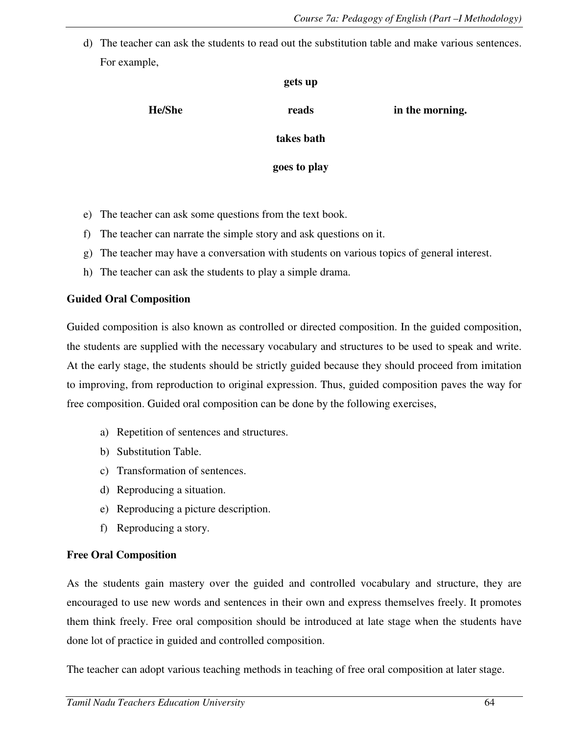d) The teacher can ask the students to read out the substitution table and make various sentences. For example,

|               | gets up      |                 |
|---------------|--------------|-----------------|
| <b>He/She</b> | reads        | in the morning. |
|               | takes bath   |                 |
|               | goes to play |                 |

- e) The teacher can ask some questions from the text book.
- f) The teacher can narrate the simple story and ask questions on it.
- g) The teacher may have a conversation with students on various topics of general interest.
- h) The teacher can ask the students to play a simple drama.

### **Guided Oral Composition**

Guided composition is also known as controlled or directed composition. In the guided composition, the students are supplied with the necessary vocabulary and structures to be used to speak and write. At the early stage, the students should be strictly guided because they should proceed from imitation to improving, from reproduction to original expression. Thus, guided composition paves the way for free composition. Guided oral composition can be done by the following exercises,

- a) Repetition of sentences and structures.
- b) Substitution Table.
- c) Transformation of sentences.
- d) Reproducing a situation.
- e) Reproducing a picture description.
- f) Reproducing a story.

### **Free Oral Composition**

As the students gain mastery over the guided and controlled vocabulary and structure, they are encouraged to use new words and sentences in their own and express themselves freely. It promotes them think freely. Free oral composition should be introduced at late stage when the students have done lot of practice in guided and controlled composition.

The teacher can adopt various teaching methods in teaching of free oral composition at later stage.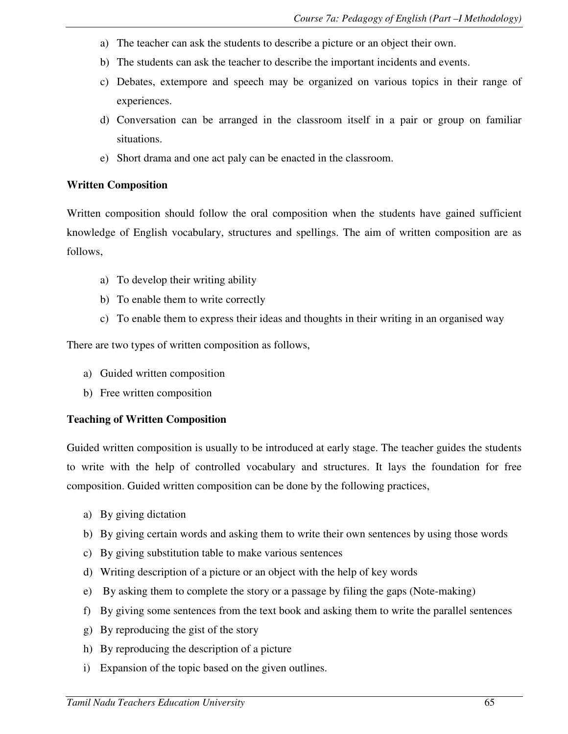- a) The teacher can ask the students to describe a picture or an object their own.
- b) The students can ask the teacher to describe the important incidents and events.
- c) Debates, extempore and speech may be organized on various topics in their range of experiences.
- d) Conversation can be arranged in the classroom itself in a pair or group on familiar situations.
- e) Short drama and one act paly can be enacted in the classroom.

#### **Written Composition**

Written composition should follow the oral composition when the students have gained sufficient knowledge of English vocabulary, structures and spellings. The aim of written composition are as follows,

- a) To develop their writing ability
- b) To enable them to write correctly
- c) To enable them to express their ideas and thoughts in their writing in an organised way

There are two types of written composition as follows,

- a) Guided written composition
- b) Free written composition

### **Teaching of Written Composition**

Guided written composition is usually to be introduced at early stage. The teacher guides the students to write with the help of controlled vocabulary and structures. It lays the foundation for free composition. Guided written composition can be done by the following practices,

- a) By giving dictation
- b) By giving certain words and asking them to write their own sentences by using those words
- c) By giving substitution table to make various sentences
- d) Writing description of a picture or an object with the help of key words
- e) By asking them to complete the story or a passage by filing the gaps (Note-making)
- f) By giving some sentences from the text book and asking them to write the parallel sentences
- g) By reproducing the gist of the story
- h) By reproducing the description of a picture
- i) Expansion of the topic based on the given outlines.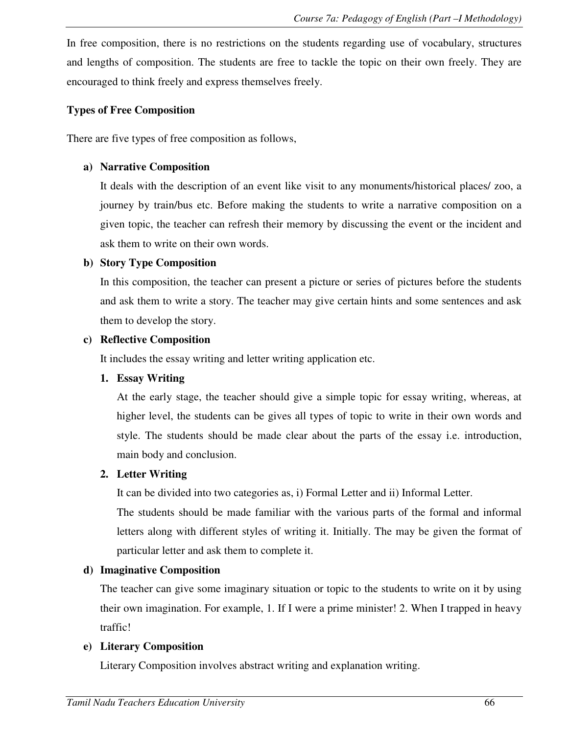In free composition, there is no restrictions on the students regarding use of vocabulary, structures and lengths of composition. The students are free to tackle the topic on their own freely. They are encouraged to think freely and express themselves freely.

## **Types of Free Composition**

There are five types of free composition as follows,

## **a) Narrative Composition**

It deals with the description of an event like visit to any monuments/historical places/ zoo, a journey by train/bus etc. Before making the students to write a narrative composition on a given topic, the teacher can refresh their memory by discussing the event or the incident and ask them to write on their own words.

### **b) Story Type Composition**

In this composition, the teacher can present a picture or series of pictures before the students and ask them to write a story. The teacher may give certain hints and some sentences and ask them to develop the story.

### **c) Reflective Composition**

It includes the essay writing and letter writing application etc.

## **1. Essay Writing**

At the early stage, the teacher should give a simple topic for essay writing, whereas, at higher level, the students can be gives all types of topic to write in their own words and style. The students should be made clear about the parts of the essay i.e. introduction, main body and conclusion.

## **2. Letter Writing**

It can be divided into two categories as, i) Formal Letter and ii) Informal Letter.

The students should be made familiar with the various parts of the formal and informal letters along with different styles of writing it. Initially. The may be given the format of particular letter and ask them to complete it.

## **d) Imaginative Composition**

The teacher can give some imaginary situation or topic to the students to write on it by using their own imagination. For example, 1. If I were a prime minister! 2. When I trapped in heavy traffic!

## **e) Literary Composition**

Literary Composition involves abstract writing and explanation writing.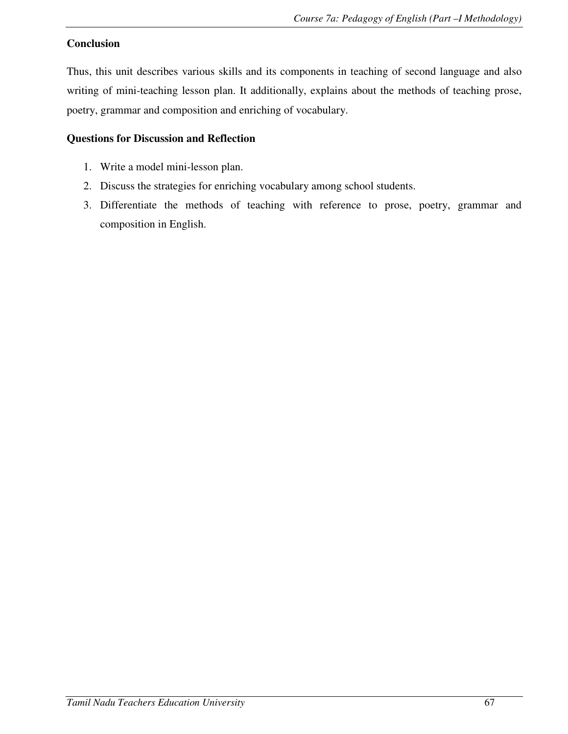## **Conclusion**

Thus, this unit describes various skills and its components in teaching of second language and also writing of mini-teaching lesson plan. It additionally, explains about the methods of teaching prose, poetry, grammar and composition and enriching of vocabulary.

## **Questions for Discussion and Reflection**

- 1. Write a model mini-lesson plan.
- 2. Discuss the strategies for enriching vocabulary among school students.
- 3. Differentiate the methods of teaching with reference to prose, poetry, grammar and composition in English.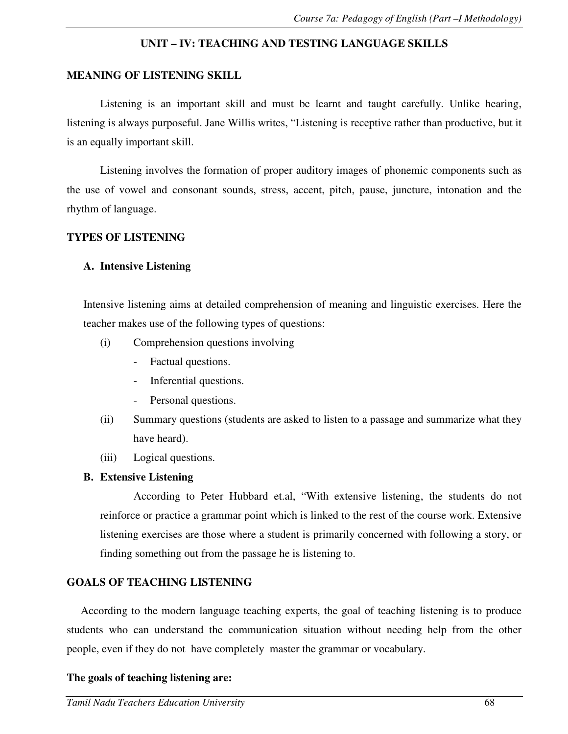## **UNIT – IV: TEACHING AND TESTING LANGUAGE SKILLS**

### **MEANING OF LISTENING SKILL**

 Listening is an important skill and must be learnt and taught carefully. Unlike hearing, listening is always purposeful. Jane Willis writes, "Listening is receptive rather than productive, but it is an equally important skill.

 Listening involves the formation of proper auditory images of phonemic components such as the use of vowel and consonant sounds, stress, accent, pitch, pause, juncture, intonation and the rhythm of language.

## **TYPES OF LISTENING**

### **A. Intensive Listening**

Intensive listening aims at detailed comprehension of meaning and linguistic exercises. Here the teacher makes use of the following types of questions:

- (i) Comprehension questions involving
	- Factual questions.
	- Inferential questions.
	- Personal questions.
- (ii) Summary questions (students are asked to listen to a passage and summarize what they have heard).
- (iii) Logical questions.

## **B. Extensive Listening**

According to Peter Hubbard et.al, "With extensive listening, the students do not reinforce or practice a grammar point which is linked to the rest of the course work. Extensive listening exercises are those where a student is primarily concerned with following a story, or finding something out from the passage he is listening to.

## **GOALS OF TEACHING LISTENING**

 According to the modern language teaching experts, the goal of teaching listening is to produce students who can understand the communication situation without needing help from the other people, even if they do not have completely master the grammar or vocabulary.

### **The goals of teaching listening are:**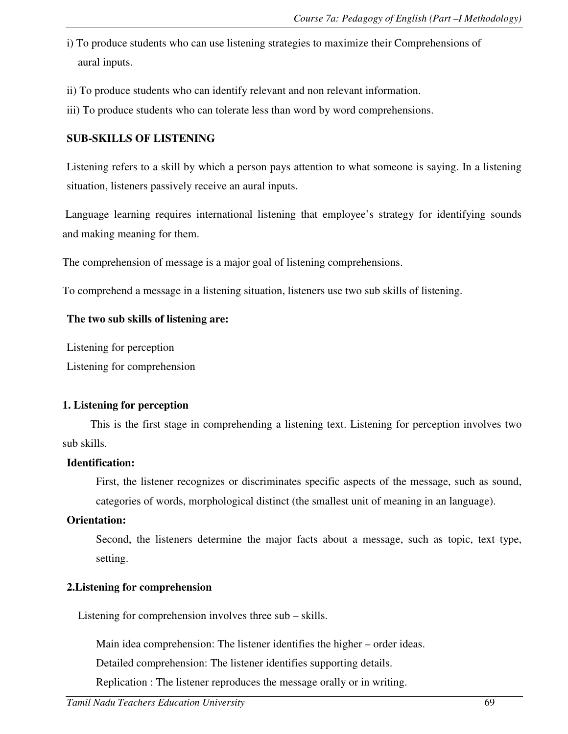- i) To produce students who can use listening strategies to maximize their Comprehensions of aural inputs.
- ii) To produce students who can identify relevant and non relevant information.
- iii) To produce students who can tolerate less than word by word comprehensions.

## **SUB-SKILLS OF LISTENING**

Listening refers to a skill by which a person pays attention to what someone is saying. In a listening situation, listeners passively receive an aural inputs.

 Language learning requires international listening that employee's strategy for identifying sounds and making meaning for them.

The comprehension of message is a major goal of listening comprehensions.

To comprehend a message in a listening situation, listeners use two sub skills of listening.

## **The two sub skills of listening are:**

Listening for perception Listening for comprehension

## **1. Listening for perception**

 This is the first stage in comprehending a listening text. Listening for perception involves two sub skills.

### **Identification:**

First, the listener recognizes or discriminates specific aspects of the message, such as sound, categories of words, morphological distinct (the smallest unit of meaning in an language).

## **Orientation:**

Second, the listeners determine the major facts about a message, such as topic, text type, setting.

## **2.Listening for comprehension**

Listening for comprehension involves three sub – skills.

Main idea comprehension: The listener identifies the higher – order ideas.

Detailed comprehension: The listener identifies supporting details.

Replication : The listener reproduces the message orally or in writing.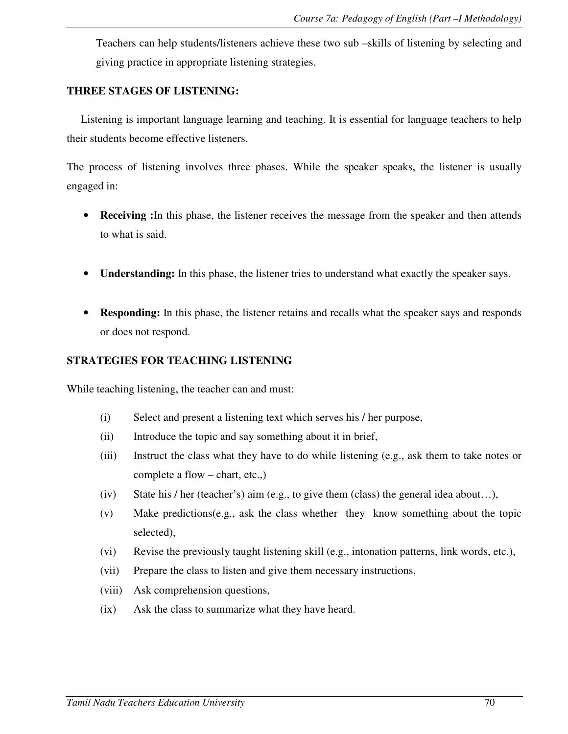Teachers can help students/listeners achieve these two sub –skills of listening by selecting and giving practice in appropriate listening strategies.

### **THREE STAGES OF LISTENING:**

 Listening is important language learning and teaching. It is essential for language teachers to help their students become effective listeners.

The process of listening involves three phases. While the speaker speaks, the listener is usually engaged in:

- **Receiving :**In this phase, the listener receives the message from the speaker and then attends to what is said.
- **Understanding:** In this phase, the listener tries to understand what exactly the speaker says.
- **Responding:** In this phase, the listener retains and recalls what the speaker says and responds or does not respond.

### **STRATEGIES FOR TEACHING LISTENING**

While teaching listening, the teacher can and must:

- (i) Select and present a listening text which serves his / her purpose,
- (ii) Introduce the topic and say something about it in brief,
- (iii) Instruct the class what they have to do while listening (e.g., ask them to take notes or complete a flow – chart, etc.,)
- (iv) State his / her (teacher's) aim (e.g., to give them (class) the general idea about…),
- (v) Make predictions(e.g., ask the class whether they know something about the topic selected),
- (vi) Revise the previously taught listening skill (e.g., intonation patterns, link words, etc.),
- (vii) Prepare the class to listen and give them necessary instructions,
- (viii) Ask comprehension questions,
- (ix) Ask the class to summarize what they have heard.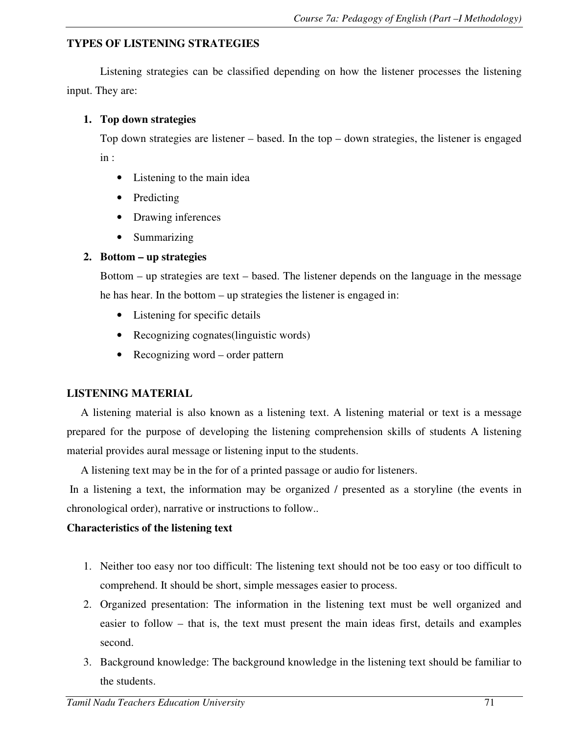## **TYPES OF LISTENING STRATEGIES**

 Listening strategies can be classified depending on how the listener processes the listening input. They are:

## **1. Top down strategies**

Top down strategies are listener – based. In the top – down strategies, the listener is engaged in :

- Listening to the main idea
- Predicting
- Drawing inferences
- Summarizing

## **2. Bottom – up strategies**

Bottom – up strategies are text – based. The listener depends on the language in the message he has hear. In the bottom – up strategies the listener is engaged in:

- Listening for specific details
- Recognizing cognates (linguistic words)
- Recognizing word order pattern

## **LISTENING MATERIAL**

 A listening material is also known as a listening text. A listening material or text is a message prepared for the purpose of developing the listening comprehension skills of students A listening material provides aural message or listening input to the students.

A listening text may be in the for of a printed passage or audio for listeners.

 In a listening a text, the information may be organized / presented as a storyline (the events in chronological order), narrative or instructions to follow..

## **Characteristics of the listening text**

- 1. Neither too easy nor too difficult: The listening text should not be too easy or too difficult to comprehend. It should be short, simple messages easier to process.
- 2. Organized presentation: The information in the listening text must be well organized and easier to follow – that is, the text must present the main ideas first, details and examples second.
- 3. Background knowledge: The background knowledge in the listening text should be familiar to the students.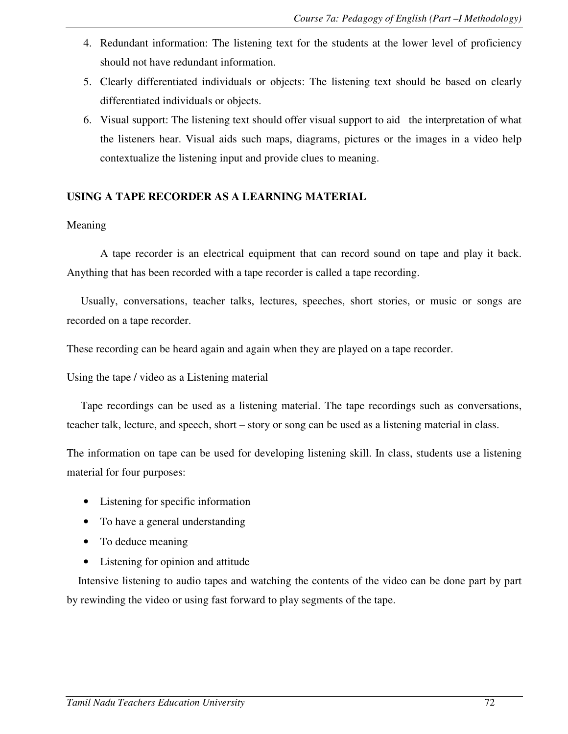- 4. Redundant information: The listening text for the students at the lower level of proficiency should not have redundant information.
- 5. Clearly differentiated individuals or objects: The listening text should be based on clearly differentiated individuals or objects.
- 6. Visual support: The listening text should offer visual support to aid the interpretation of what the listeners hear. Visual aids such maps, diagrams, pictures or the images in a video help contextualize the listening input and provide clues to meaning.

## **USING A TAPE RECORDER AS A LEARNING MATERIAL**

## Meaning

 A tape recorder is an electrical equipment that can record sound on tape and play it back. Anything that has been recorded with a tape recorder is called a tape recording.

 Usually, conversations, teacher talks, lectures, speeches, short stories, or music or songs are recorded on a tape recorder.

These recording can be heard again and again when they are played on a tape recorder.

Using the tape / video as a Listening material

 Tape recordings can be used as a listening material. The tape recordings such as conversations, teacher talk, lecture, and speech, short – story or song can be used as a listening material in class.

The information on tape can be used for developing listening skill. In class, students use a listening material for four purposes:

- Listening for specific information
- To have a general understanding
- To deduce meaning
- Listening for opinion and attitude

 Intensive listening to audio tapes and watching the contents of the video can be done part by part by rewinding the video or using fast forward to play segments of the tape.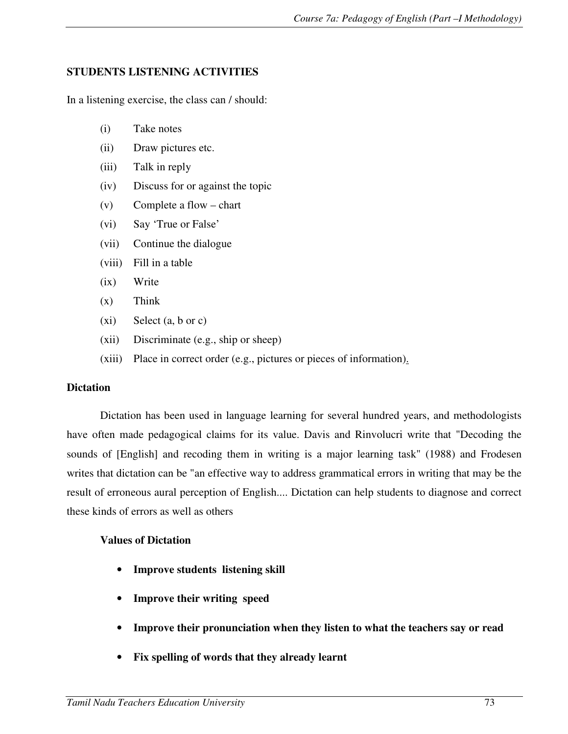## **STUDENTS LISTENING ACTIVITIES**

In a listening exercise, the class can / should:

- (i) Take notes
- (ii) Draw pictures etc.
- (iii) Talk in reply
- (iv) Discuss for or against the topic
- (v) Complete a flow chart
- (vi) Say 'True or False'
- (vii) Continue the dialogue
- (viii) Fill in a table
- (ix) Write
- (x) Think
- $(xi)$  Select  $(a, b \text{ or } c)$
- (xii) Discriminate (e.g., ship or sheep)
- (xiii) Place in correct order (e.g., pictures or pieces of information).

#### **Dictation**

Dictation has been used in language learning for several hundred years, and methodologists have often made pedagogical claims for its value. Davis and Rinvolucri write that "Decoding the sounds of [English] and recoding them in writing is a major learning task" (1988) and Frodesen writes that dictation can be "an effective way to address grammatical errors in writing that may be the result of erroneous aural perception of English.... Dictation can help students to diagnose and correct these kinds of errors as well as others

## **Values of Dictation**

- **Improve students listening skill**
- **Improve their writing speed**
- **Improve their pronunciation when they listen to what the teachers say or read**
- **Fix spelling of words that they already learnt**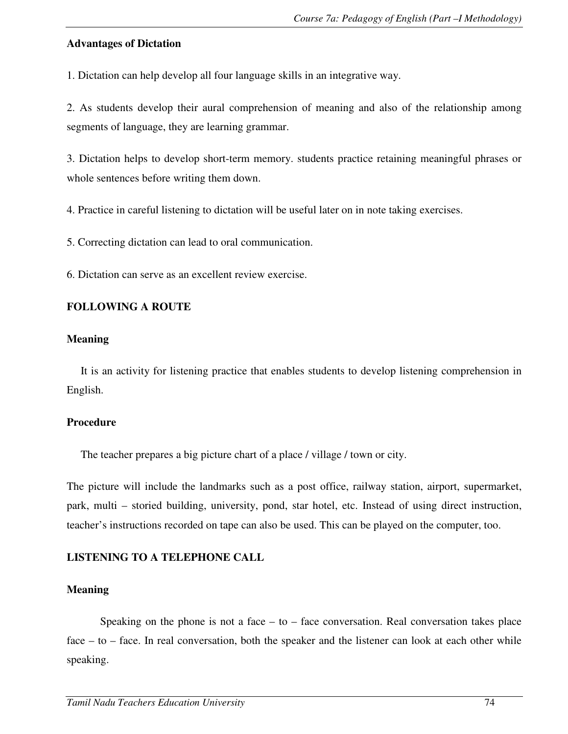## **Advantages of Dictation**

1. Dictation can help develop all four language skills in an integrative way.

2. As students develop their aural comprehension of meaning and also of the relationship among segments of language, they are learning grammar.

3. Dictation helps to develop short-term memory. students practice retaining meaningful phrases or whole sentences before writing them down.

4. Practice in careful listening to dictation will be useful later on in note taking exercises.

5. Correcting dictation can lead to oral communication.

6. Dictation can serve as an excellent review exercise.

## **FOLLOWING A ROUTE**

## **Meaning**

 It is an activity for listening practice that enables students to develop listening comprehension in English.

## **Procedure**

The teacher prepares a big picture chart of a place / village / town or city.

The picture will include the landmarks such as a post office, railway station, airport, supermarket, park, multi – storied building, university, pond, star hotel, etc. Instead of using direct instruction, teacher's instructions recorded on tape can also be used. This can be played on the computer, too.

## **LISTENING TO A TELEPHONE CALL**

## **Meaning**

Speaking on the phone is not a face  $-$  to  $-$  face conversation. Real conversation takes place face – to – face. In real conversation, both the speaker and the listener can look at each other while speaking.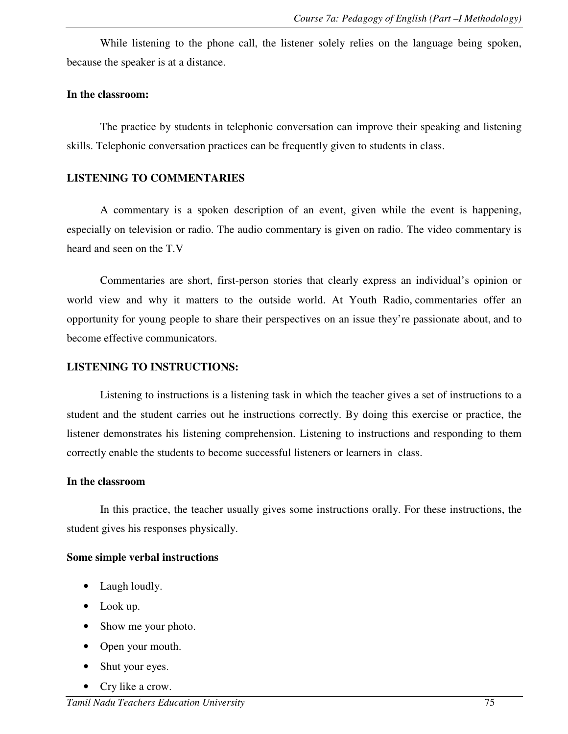While listening to the phone call, the listener solely relies on the language being spoken, because the speaker is at a distance.

#### **In the classroom:**

 The practice by students in telephonic conversation can improve their speaking and listening skills. Telephonic conversation practices can be frequently given to students in class.

## **LISTENING TO COMMENTARIES**

 A commentary is a spoken description of an event, given while the event is happening, especially on television or radio. The audio commentary is given on radio. The video commentary is heard and seen on the T.V

Commentaries are short, first-person stories that clearly express an individual's opinion or world view and why it matters to the outside world. At Youth Radio, commentaries offer an opportunity for young people to share their perspectives on an issue they're passionate about, and to become effective communicators.

#### **LISTENING TO INSTRUCTIONS:**

 Listening to instructions is a listening task in which the teacher gives a set of instructions to a student and the student carries out he instructions correctly. By doing this exercise or practice, the listener demonstrates his listening comprehension. Listening to instructions and responding to them correctly enable the students to become successful listeners or learners in class.

#### **In the classroom**

 In this practice, the teacher usually gives some instructions orally. For these instructions, the student gives his responses physically.

#### **Some simple verbal instructions**

- Laugh loudly.
- Look up.
- Show me your photo.
- Open your mouth.
- Shut your eyes.
- Cry like a crow.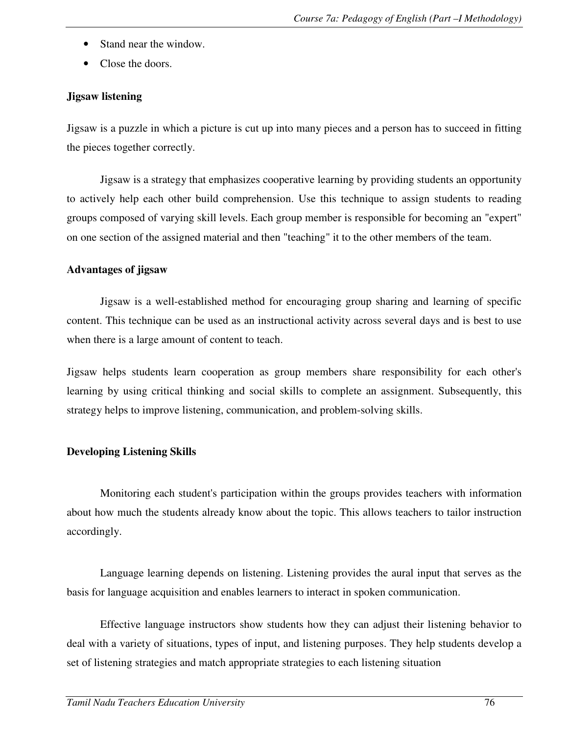- Stand near the window.
- Close the doors.

## **Jigsaw listening**

Jigsaw is a puzzle in which a picture is cut up into many pieces and a person has to succeed in fitting the pieces together correctly.

Jigsaw is a strategy that emphasizes cooperative learning by providing students an opportunity to actively help each other build comprehension. Use this technique to assign students to reading groups composed of varying skill levels. Each group member is responsible for becoming an "expert" on one section of the assigned material and then "teaching" it to the other members of the team.

## **Advantages of jigsaw**

Jigsaw is a well-established method for encouraging group sharing and learning of specific content. This technique can be used as an instructional activity across several days and is best to use when there is a large amount of content to teach.

Jigsaw helps students learn cooperation as group members share responsibility for each other's learning by using critical thinking and social skills to complete an assignment. Subsequently, this strategy helps to improve listening, communication, and problem-solving skills.

## **Developing Listening Skills**

Monitoring each student's participation within the groups provides teachers with information about how much the students already know about the topic. This allows teachers to tailor instruction accordingly.

Language learning depends on listening. Listening provides the aural input that serves as the basis for language acquisition and enables learners to interact in spoken communication.

Effective language instructors show students how they can adjust their listening behavior to deal with a variety of situations, types of input, and listening purposes. They help students develop a set of listening strategies and match appropriate strategies to each listening situation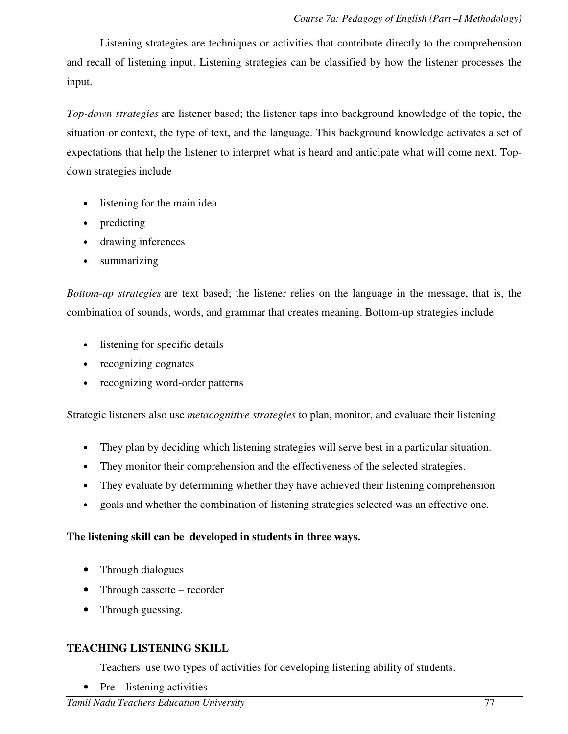Listening strategies are techniques or activities that contribute directly to the comprehension and recall of listening input. Listening strategies can be classified by how the listener processes the input.

*Top-down strategies* are listener based; the listener taps into background knowledge of the topic, the situation or context, the type of text, and the language. This background knowledge activates a set of expectations that help the listener to interpret what is heard and anticipate what will come next. Topdown strategies include

- listening for the main idea
- predicting
- drawing inferences
- summarizing

*Bottom-up strategies* are text based; the listener relies on the language in the message, that is, the combination of sounds, words, and grammar that creates meaning. Bottom-up strategies include

- listening for specific details
- recognizing cognates
- recognizing word-order patterns

Strategic listeners also use *metacognitive strategies* to plan, monitor, and evaluate their listening.

- They plan by deciding which listening strategies will serve best in a particular situation.
- They monitor their comprehension and the effectiveness of the selected strategies.
- They evaluate by determining whether they have achieved their listening comprehension
- goals and whether the combination of listening strategies selected was an effective one.

## **The listening skill can be developed in students in three ways.**

- Through dialogues
- Through cassette recorder
- Through guessing.

## **TEACHING LISTENING SKILL**

Teachers use two types of activities for developing listening ability of students.

• Pre – listening activities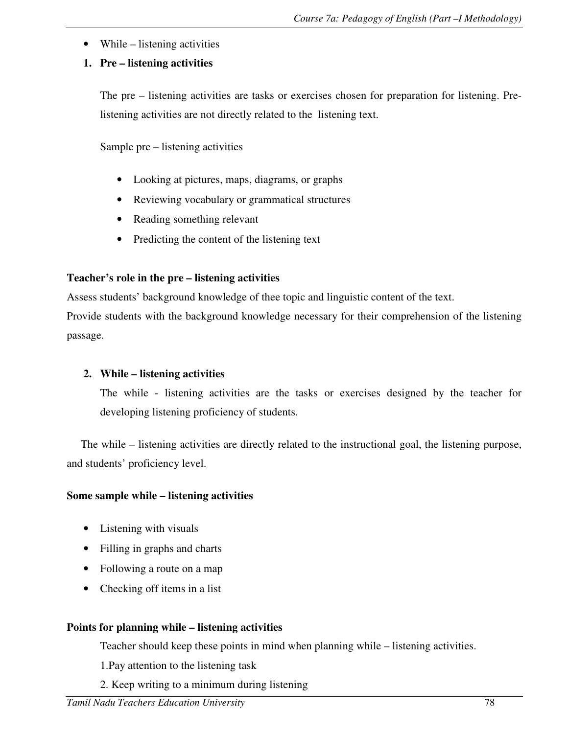• While – listening activities

## **1. Pre – listening activities**

The pre – listening activities are tasks or exercises chosen for preparation for listening. Prelistening activities are not directly related to the listening text.

Sample pre – listening activities

- Looking at pictures, maps, diagrams, or graphs
- Reviewing vocabulary or grammatical structures
- Reading something relevant
- Predicting the content of the listening text

## **Teacher's role in the pre – listening activities**

Assess students' background knowledge of thee topic and linguistic content of the text.

Provide students with the background knowledge necessary for their comprehension of the listening passage.

## **2. While – listening activities**

The while - listening activities are the tasks or exercises designed by the teacher for developing listening proficiency of students.

 The while – listening activities are directly related to the instructional goal, the listening purpose, and students' proficiency level.

## **Some sample while – listening activities**

- Listening with visuals
- Filling in graphs and charts
- Following a route on a map
- Checking off items in a list

## **Points for planning while – listening activities**

Teacher should keep these points in mind when planning while – listening activities.

1.Pay attention to the listening task

2. Keep writing to a minimum during listening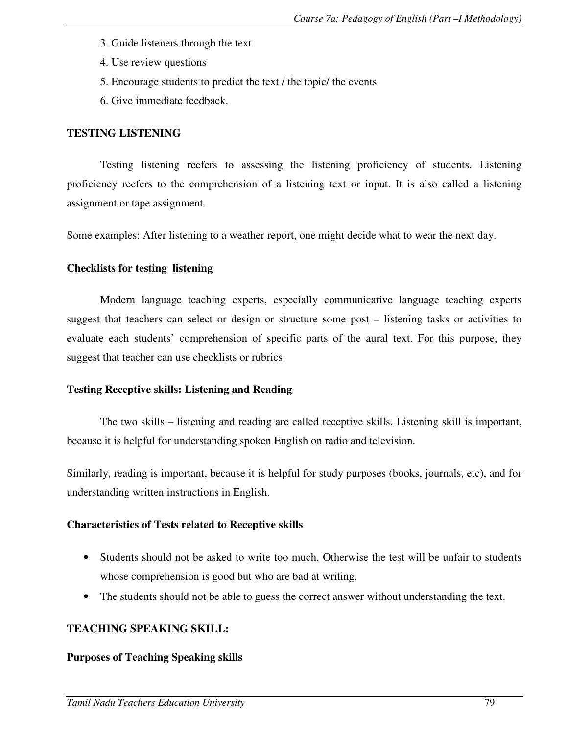- 3. Guide listeners through the text
- 4. Use review questions
- 5. Encourage students to predict the text / the topic/ the events
- 6. Give immediate feedback.

#### **TESTING LISTENING**

Testing listening reefers to assessing the listening proficiency of students. Listening proficiency reefers to the comprehension of a listening text or input. It is also called a listening assignment or tape assignment.

Some examples: After listening to a weather report, one might decide what to wear the next day.

#### **Checklists for testing listening**

 Modern language teaching experts, especially communicative language teaching experts suggest that teachers can select or design or structure some post – listening tasks or activities to evaluate each students' comprehension of specific parts of the aural text. For this purpose, they suggest that teacher can use checklists or rubrics.

#### **Testing Receptive skills: Listening and Reading**

 The two skills – listening and reading are called receptive skills. Listening skill is important, because it is helpful for understanding spoken English on radio and television.

Similarly, reading is important, because it is helpful for study purposes (books, journals, etc), and for understanding written instructions in English.

## **Characteristics of Tests related to Receptive skills**

- Students should not be asked to write too much. Otherwise the test will be unfair to students whose comprehension is good but who are bad at writing.
- The students should not be able to guess the correct answer without understanding the text.

## **TEACHING SPEAKING SKILL:**

#### **Purposes of Teaching Speaking skills**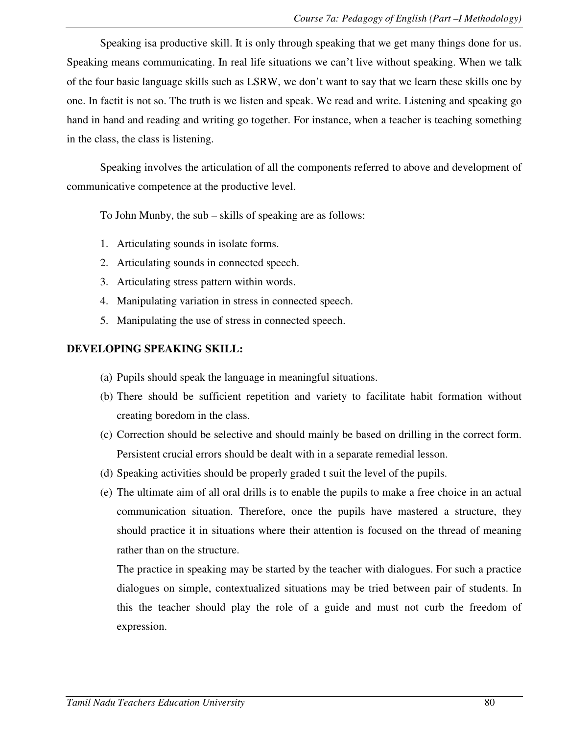Speaking isa productive skill. It is only through speaking that we get many things done for us. Speaking means communicating. In real life situations we can't live without speaking. When we talk of the four basic language skills such as LSRW, we don't want to say that we learn these skills one by one. In factit is not so. The truth is we listen and speak. We read and write. Listening and speaking go hand in hand and reading and writing go together. For instance, when a teacher is teaching something in the class, the class is listening.

 Speaking involves the articulation of all the components referred to above and development of communicative competence at the productive level.

To John Munby, the sub – skills of speaking are as follows:

- 1. Articulating sounds in isolate forms.
- 2. Articulating sounds in connected speech.
- 3. Articulating stress pattern within words.
- 4. Manipulating variation in stress in connected speech.
- 5. Manipulating the use of stress in connected speech.

#### **DEVELOPING SPEAKING SKILL:**

- (a) Pupils should speak the language in meaningful situations.
- (b) There should be sufficient repetition and variety to facilitate habit formation without creating boredom in the class.
- (c) Correction should be selective and should mainly be based on drilling in the correct form. Persistent crucial errors should be dealt with in a separate remedial lesson.
- (d) Speaking activities should be properly graded t suit the level of the pupils.
- (e) The ultimate aim of all oral drills is to enable the pupils to make a free choice in an actual communication situation. Therefore, once the pupils have mastered a structure, they should practice it in situations where their attention is focused on the thread of meaning rather than on the structure.

The practice in speaking may be started by the teacher with dialogues. For such a practice dialogues on simple, contextualized situations may be tried between pair of students. In this the teacher should play the role of a guide and must not curb the freedom of expression.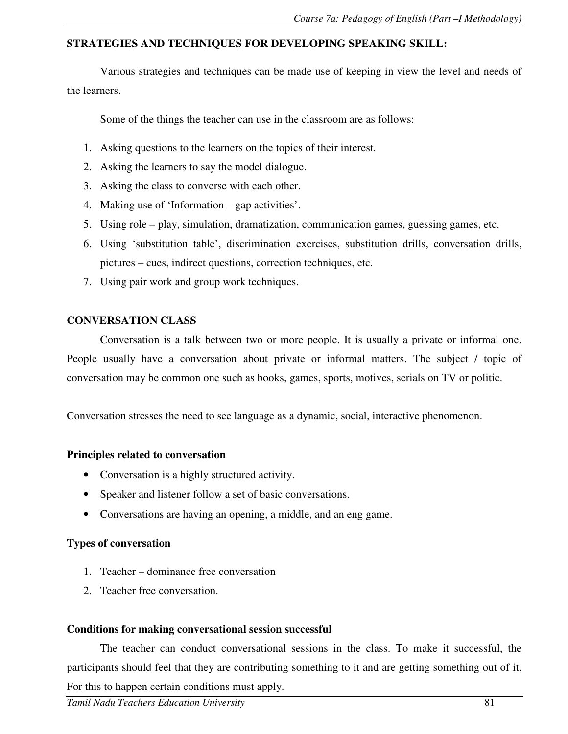## **STRATEGIES AND TECHNIQUES FOR DEVELOPING SPEAKING SKILL:**

 Various strategies and techniques can be made use of keeping in view the level and needs of the learners.

Some of the things the teacher can use in the classroom are as follows:

- 1. Asking questions to the learners on the topics of their interest.
- 2. Asking the learners to say the model dialogue.
- 3. Asking the class to converse with each other.
- 4. Making use of 'Information gap activities'.
- 5. Using role play, simulation, dramatization, communication games, guessing games, etc.
- 6. Using 'substitution table', discrimination exercises, substitution drills, conversation drills, pictures – cues, indirect questions, correction techniques, etc.
- 7. Using pair work and group work techniques.

#### **CONVERSATION CLASS**

 Conversation is a talk between two or more people. It is usually a private or informal one. People usually have a conversation about private or informal matters. The subject / topic of conversation may be common one such as books, games, sports, motives, serials on TV or politic.

Conversation stresses the need to see language as a dynamic, social, interactive phenomenon.

#### **Principles related to conversation**

- Conversation is a highly structured activity.
- Speaker and listener follow a set of basic conversations.
- Conversations are having an opening, a middle, and an eng game.

#### **Types of conversation**

- 1. Teacher dominance free conversation
- 2. Teacher free conversation.

#### **Conditions for making conversational session successful**

 The teacher can conduct conversational sessions in the class. To make it successful, the participants should feel that they are contributing something to it and are getting something out of it. For this to happen certain conditions must apply.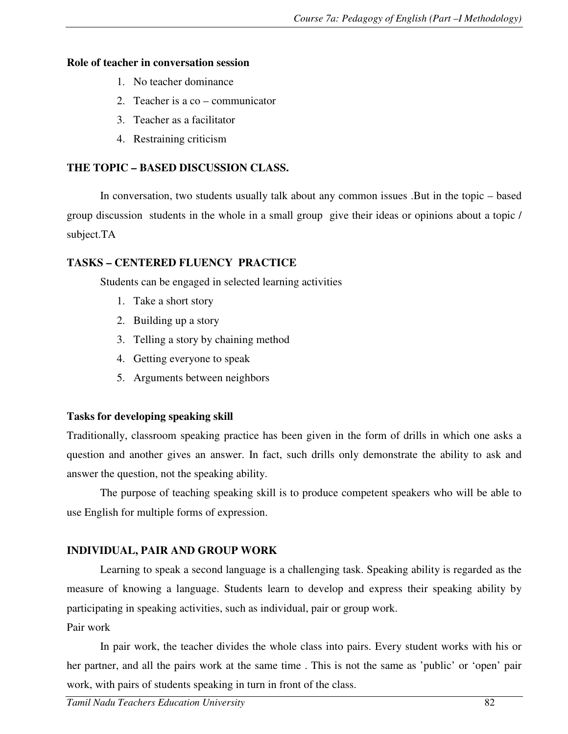#### **Role of teacher in conversation session**

- 1. No teacher dominance
- 2. Teacher is a co communicator
- 3. Teacher as a facilitator
- 4. Restraining criticism

## **THE TOPIC – BASED DISCUSSION CLASS.**

 In conversation, two students usually talk about any common issues .But in the topic – based group discussion students in the whole in a small group give their ideas or opinions about a topic / subject.TA

## **TASKS – CENTERED FLUENCY PRACTICE**

Students can be engaged in selected learning activities

- 1. Take a short story
- 2. Building up a story
- 3. Telling a story by chaining method
- 4. Getting everyone to speak
- 5. Arguments between neighbors

## **Tasks for developing speaking skill**

Traditionally, classroom speaking practice has been given in the form of drills in which one asks a question and another gives an answer. In fact, such drills only demonstrate the ability to ask and answer the question, not the speaking ability.

 The purpose of teaching speaking skill is to produce competent speakers who will be able to use English for multiple forms of expression.

## **INDIVIDUAL, PAIR AND GROUP WORK**

 Learning to speak a second language is a challenging task. Speaking ability is regarded as the measure of knowing a language. Students learn to develop and express their speaking ability by participating in speaking activities, such as individual, pair or group work.

## Pair work

 In pair work, the teacher divides the whole class into pairs. Every student works with his or her partner, and all the pairs work at the same time . This is not the same as 'public' or 'open' pair work, with pairs of students speaking in turn in front of the class.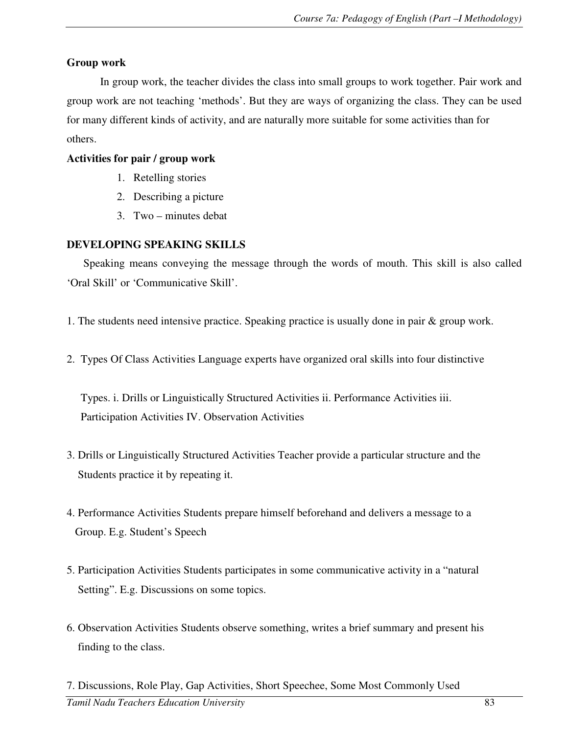## **Group work**

 In group work, the teacher divides the class into small groups to work together. Pair work and group work are not teaching 'methods'. But they are ways of organizing the class. They can be used for many different kinds of activity, and are naturally more suitable for some activities than for others.

## **Activities for pair / group work**

- 1. Retelling stories
- 2. Describing a picture
- 3. Two minutes debat

# **DEVELOPING SPEAKING SKILLS**

Speaking means conveying the message through the words of mouth. This skill is also called 'Oral Skill' or 'Communicative Skill'.

- 1. The students need intensive practice. Speaking practice is usually done in pair & group work.
- 2. Types Of Class Activities Language experts have organized oral skills into four distinctive

 Types. i. Drills or Linguistically Structured Activities ii. Performance Activities iii. Participation Activities IV. Observation Activities

- 3. Drills or Linguistically Structured Activities Teacher provide a particular structure and the Students practice it by repeating it.
- 4. Performance Activities Students prepare himself beforehand and delivers a message to a Group. E.g. Student's Speech
- 5. Participation Activities Students participates in some communicative activity in a "natural Setting". E.g. Discussions on some topics.
- 6. Observation Activities Students observe something, writes a brief summary and present his finding to the class.
- *Tamil Nadu Teachers Education University* 83 7. Discussions, Role Play, Gap Activities, Short Speechee, Some Most Commonly Used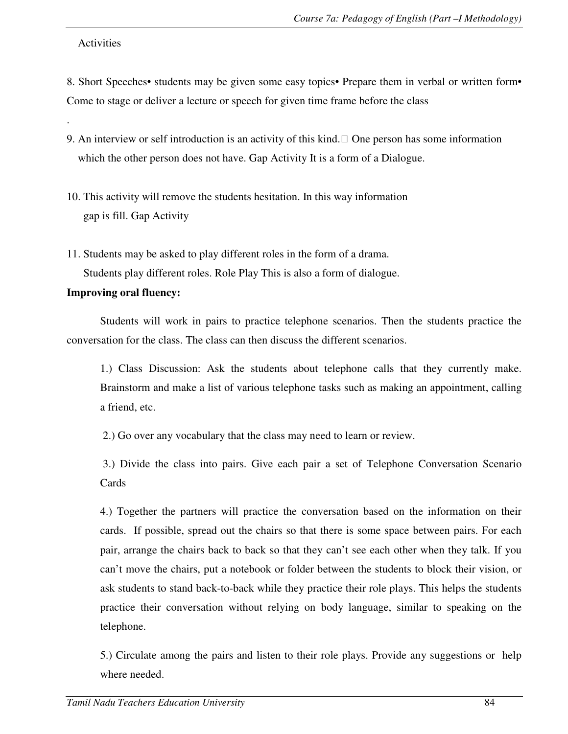## Activities

.

8. Short Speeches• students may be given some easy topics• Prepare them in verbal or written form• Come to stage or deliver a lecture or speech for given time frame before the class

- 9. An interview or self introduction is an activity of this kind.  $\Box$  One person has some information which the other person does not have. Gap Activity It is a form of a Dialogue.
- 10. This activity will remove the students hesitation. In this way information gap is fill. Gap Activity
- 11. Students may be asked to play different roles in the form of a drama. Students play different roles. Role Play This is also a form of dialogue.

#### **Improving oral fluency:**

Students will work in pairs to practice telephone scenarios. Then the students practice the conversation for the class. The class can then discuss the different scenarios.

1.) Class Discussion: Ask the students about telephone calls that they currently make. Brainstorm and make a list of various telephone tasks such as making an appointment, calling a friend, etc.

2.) Go over any vocabulary that the class may need to learn or review.

 3.) Divide the class into pairs. Give each pair a set of Telephone Conversation Scenario Cards

4.) Together the partners will practice the conversation based on the information on their cards. If possible, spread out the chairs so that there is some space between pairs. For each pair, arrange the chairs back to back so that they can't see each other when they talk. If you can't move the chairs, put a notebook or folder between the students to block their vision, or ask students to stand back-to-back while they practice their role plays. This helps the students practice their conversation without relying on body language, similar to speaking on the telephone.

5.) Circulate among the pairs and listen to their role plays. Provide any suggestions or help where needed.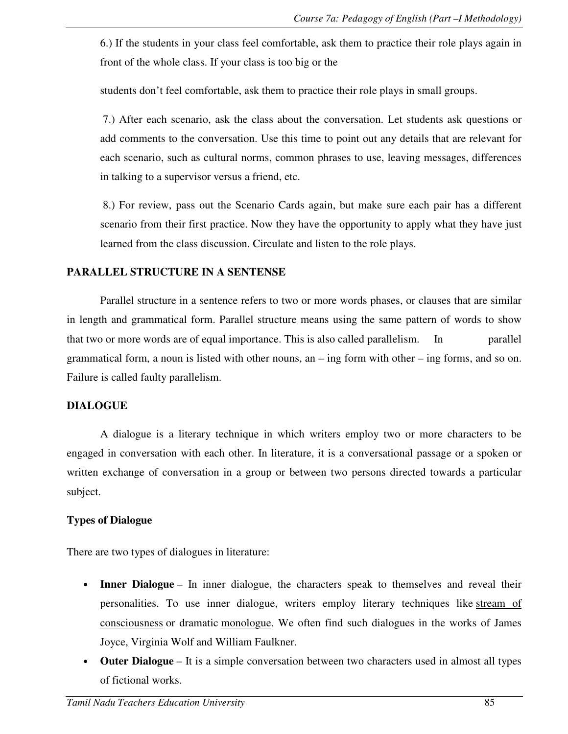6.) If the students in your class feel comfortable, ask them to practice their role plays again in front of the whole class. If your class is too big or the

students don't feel comfortable, ask them to practice their role plays in small groups.

 7.) After each scenario, ask the class about the conversation. Let students ask questions or add comments to the conversation. Use this time to point out any details that are relevant for each scenario, such as cultural norms, common phrases to use, leaving messages, differences in talking to a supervisor versus a friend, etc.

 8.) For review, pass out the Scenario Cards again, but make sure each pair has a different scenario from their first practice. Now they have the opportunity to apply what they have just learned from the class discussion. Circulate and listen to the role plays.

#### **PARALLEL STRUCTURE IN A SENTENSE**

Parallel structure in a sentence refers to two or more words phases, or clauses that are similar in length and grammatical form. Parallel structure means using the same pattern of words to show that two or more words are of equal importance. This is also called parallelism. In parallel grammatical form, a noun is listed with other nouns, an – ing form with other – ing forms, and so on. Failure is called faulty parallelism.

#### **DIALOGUE**

A dialogue is a literary technique in which writers employ two or more characters to be engaged in conversation with each other. In literature, it is a conversational passage or a spoken or written exchange of conversation in a group or between two persons directed towards a particular subject.

## **Types of Dialogue**

There are two types of dialogues in literature:

- **Inner Dialogue** In inner dialogue, the characters speak to themselves and reveal their personalities. To use inner dialogue, writers employ literary techniques like stream of consciousness or dramatic monologue. We often find such dialogues in the works of James Joyce, Virginia Wolf and William Faulkner.
- **Outer Dialogue** It is a simple conversation between two characters used in almost all types of fictional works.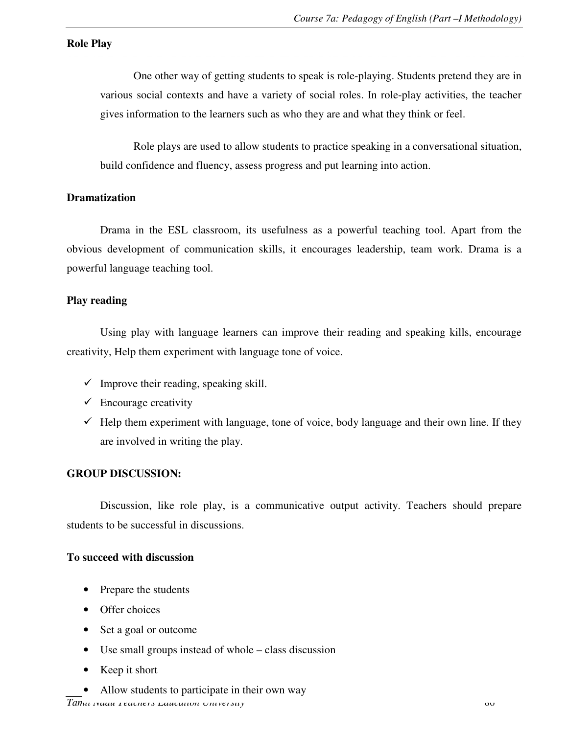#### **Role Play**

One other way of getting students to speak is role-playing. Students pretend they are in various social contexts and have a variety of social roles. In role-play activities, the teacher gives information to the learners such as who they are and what they think or feel.

Role plays are used to allow students to practice speaking in a conversational situation, build confidence and fluency, assess progress and put learning into action.

#### **Dramatization**

 Drama in the ESL classroom, its usefulness as a powerful teaching tool. Apart from the obvious development of communication skills, it encourages leadership, team work. Drama is a powerful language teaching tool.

#### **Play reading**

 Using play with language learners can improve their reading and speaking kills, encourage creativity, Help them experiment with language tone of voice.

- $\checkmark$  Improve their reading, speaking skill.
- Encourage creativity
- $\checkmark$  Help them experiment with language, tone of voice, body language and their own line. If they are involved in writing the play.

#### **GROUP DISCUSSION:**

Discussion, like role play, is a communicative output activity. Teachers should prepare students to be successful in discussions.

#### **To succeed with discussion**

- Prepare the students
- Offer choices
- Set a goal or outcome
- Use small groups instead of whole class discussion
- Keep it short
- Allow students to participate in their own way

*Tamil Nadu Teachers Education University* 86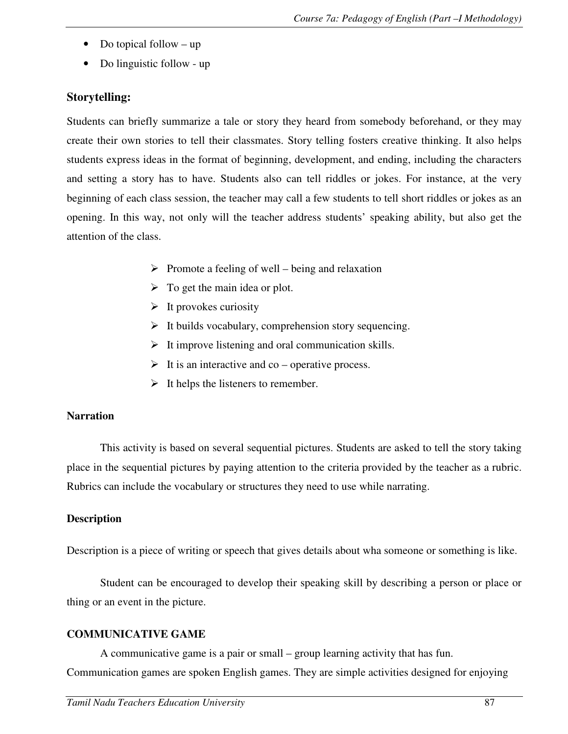- Do topical follow up
- Do linguistic follow up

#### **Storytelling:**

Students can briefly summarize a tale or story they heard from somebody beforehand, or they may create their own stories to tell their classmates. Story telling fosters creative thinking. It also helps students express ideas in the format of beginning, development, and ending, including the characters and setting a story has to have. Students also can tell riddles or jokes. For instance, at the very beginning of each class session, the teacher may call a few students to tell short riddles or jokes as an opening. In this way, not only will the teacher address students' speaking ability, but also get the attention of the class.

- $\triangleright$  Promote a feeling of well being and relaxation
- $\triangleright$  To get the main idea or plot.
- $\triangleright$  It provokes curiosity
- $\triangleright$  It builds vocabulary, comprehension story sequencing.
- $\triangleright$  It improve listening and oral communication skills.
- $\triangleright$  It is an interactive and co operative process.
- $\triangleright$  It helps the listeners to remember.

#### **Narration**

This activity is based on several sequential pictures. Students are asked to tell the story taking place in the sequential pictures by paying attention to the criteria provided by the teacher as a rubric. Rubrics can include the vocabulary or structures they need to use while narrating.

#### **Description**

Description is a piece of writing or speech that gives details about wha someone or something is like.

Student can be encouraged to develop their speaking skill by describing a person or place or thing or an event in the picture.

#### **COMMUNICATIVE GAME**

 A communicative game is a pair or small – group learning activity that has fun. Communication games are spoken English games. They are simple activities designed for enjoying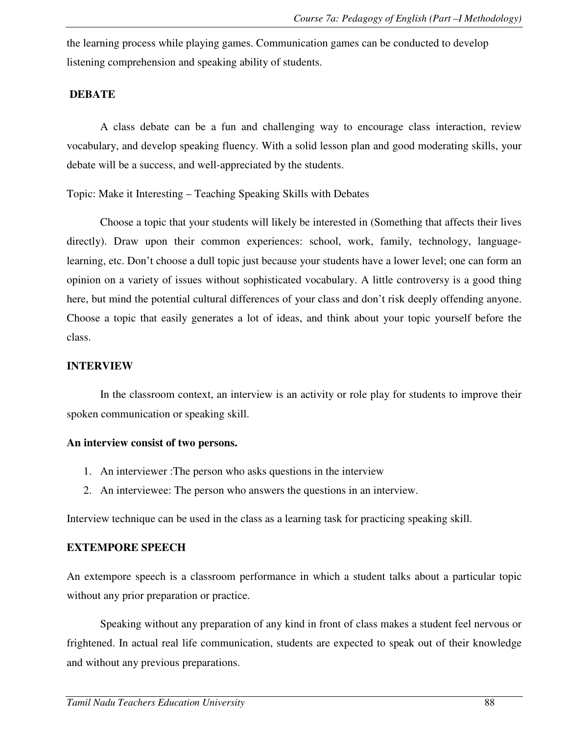the learning process while playing games. Communication games can be conducted to develop listening comprehension and speaking ability of students.

## **DEBATE**

 A class debate can be a fun and challenging way to encourage class interaction, review vocabulary, and develop speaking fluency. With a solid lesson plan and good moderating skills, your debate will be a success, and well-appreciated by the students.

Topic: Make it Interesting – Teaching Speaking Skills with Debates

Choose a topic that your students will likely be interested in (Something that affects their lives directly). Draw upon their common experiences: school, work, family, technology, languagelearning, etc. Don't choose a dull topic just because your students have a lower level; one can form an opinion on a variety of issues without sophisticated vocabulary. A little controversy is a good thing here, but mind the potential cultural differences of your class and don't risk deeply offending anyone. Choose a topic that easily generates a lot of ideas, and think about your topic yourself before the class.

#### **INTERVIEW**

 In the classroom context, an interview is an activity or role play for students to improve their spoken communication or speaking skill.

#### **An interview consist of two persons.**

- 1. An interviewer :The person who asks questions in the interview
- 2. An interviewee: The person who answers the questions in an interview.

Interview technique can be used in the class as a learning task for practicing speaking skill.

## **EXTEMPORE SPEECH**

An extempore speech is a classroom performance in which a student talks about a particular topic without any prior preparation or practice.

 Speaking without any preparation of any kind in front of class makes a student feel nervous or frightened. In actual real life communication, students are expected to speak out of their knowledge and without any previous preparations.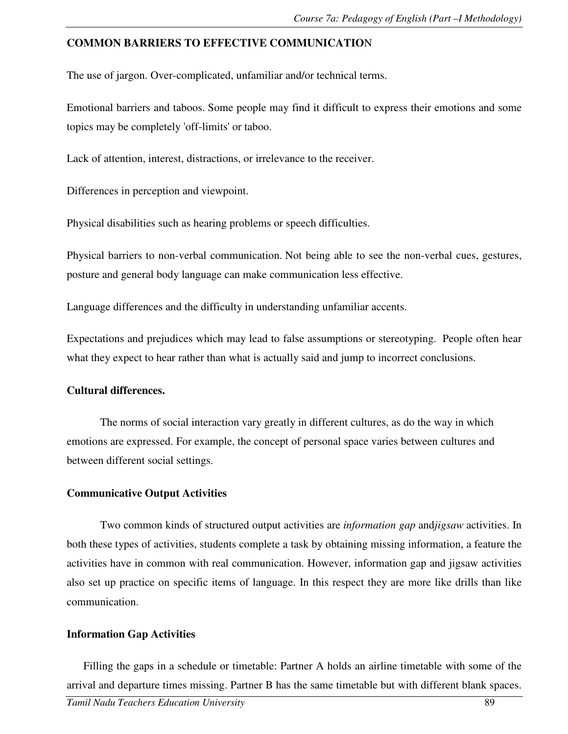## **COMMON BARRIERS TO EFFECTIVE COMMUNICATIO**N

The use of jargon. Over-complicated, unfamiliar and/or technical terms.

Emotional barriers and taboos. Some people may find it difficult to express their emotions and some topics may be completely 'off-limits' or taboo.

Lack of attention, interest, distractions, or irrelevance to the receiver.

Differences in perception and viewpoint.

Physical disabilities such as hearing problems or speech difficulties.

Physical barriers to non-verbal communication. Not being able to see the non-verbal cues, gestures, posture and general body language can make communication less effective.

Language differences and the difficulty in understanding unfamiliar accents.

Expectations and prejudices which may lead to false assumptions or stereotyping. People often hear what they expect to hear rather than what is actually said and jump to incorrect conclusions.

## **Cultural differences.**

The norms of social interaction vary greatly in different cultures, as do the way in which emotions are expressed. For example, the concept of personal space varies between cultures and between different social settings.

## **Communicative Output Activities**

Two common kinds of structured output activities are *information gap* and*jigsaw* activities. In both these types of activities, students complete a task by obtaining missing information, a feature the activities have in common with real communication. However, information gap and jigsaw activities also set up practice on specific items of language. In this respect they are more like drills than like communication.

#### **Information Gap Activities**

Filling the gaps in a schedule or timetable: Partner A holds an airline timetable with some of the arrival and departure times missing. Partner B has the same timetable but with different blank spaces.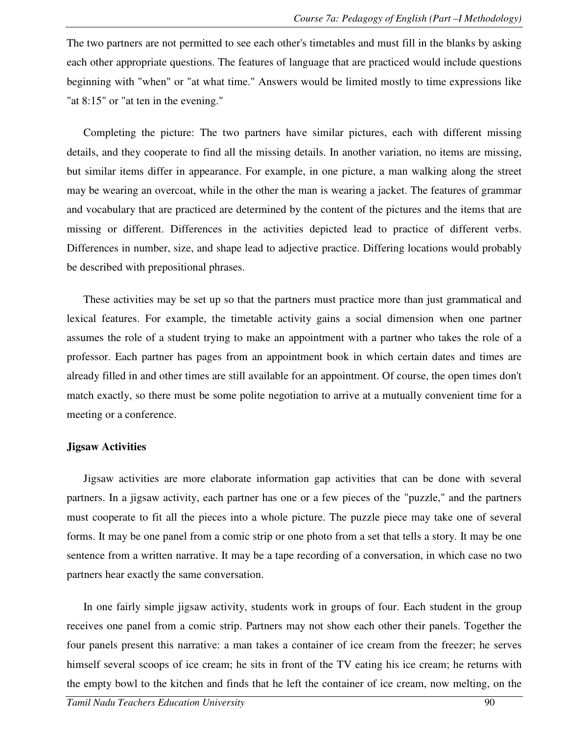The two partners are not permitted to see each other's timetables and must fill in the blanks by asking each other appropriate questions. The features of language that are practiced would include questions beginning with "when" or "at what time." Answers would be limited mostly to time expressions like "at 8:15" or "at ten in the evening."

Completing the picture: The two partners have similar pictures, each with different missing details, and they cooperate to find all the missing details. In another variation, no items are missing, but similar items differ in appearance. For example, in one picture, a man walking along the street may be wearing an overcoat, while in the other the man is wearing a jacket. The features of grammar and vocabulary that are practiced are determined by the content of the pictures and the items that are missing or different. Differences in the activities depicted lead to practice of different verbs. Differences in number, size, and shape lead to adjective practice. Differing locations would probably be described with prepositional phrases.

These activities may be set up so that the partners must practice more than just grammatical and lexical features. For example, the timetable activity gains a social dimension when one partner assumes the role of a student trying to make an appointment with a partner who takes the role of a professor. Each partner has pages from an appointment book in which certain dates and times are already filled in and other times are still available for an appointment. Of course, the open times don't match exactly, so there must be some polite negotiation to arrive at a mutually convenient time for a meeting or a conference.

#### **Jigsaw Activities**

Jigsaw activities are more elaborate information gap activities that can be done with several partners. In a jigsaw activity, each partner has one or a few pieces of the "puzzle," and the partners must cooperate to fit all the pieces into a whole picture. The puzzle piece may take one of several forms. It may be one panel from a comic strip or one photo from a set that tells a story. It may be one sentence from a written narrative. It may be a tape recording of a conversation, in which case no two partners hear exactly the same conversation.

In one fairly simple jigsaw activity, students work in groups of four. Each student in the group receives one panel from a comic strip. Partners may not show each other their panels. Together the four panels present this narrative: a man takes a container of ice cream from the freezer; he serves himself several scoops of ice cream; he sits in front of the TV eating his ice cream; he returns with the empty bowl to the kitchen and finds that he left the container of ice cream, now melting, on the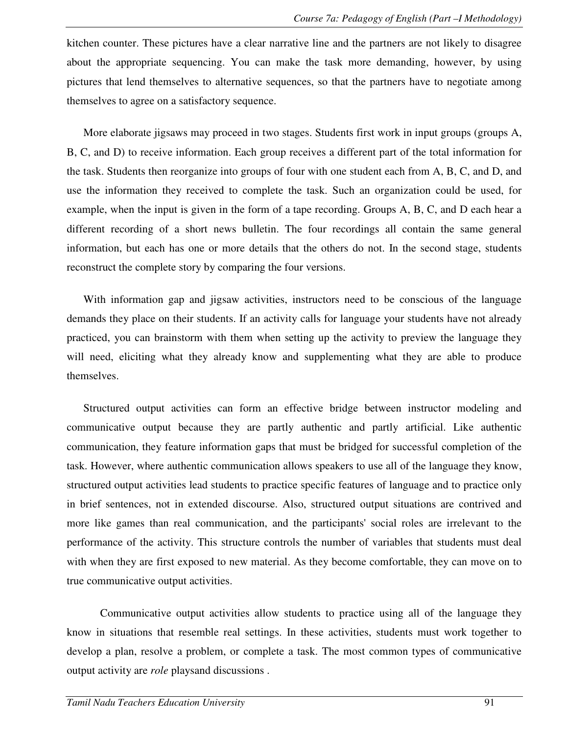kitchen counter. These pictures have a clear narrative line and the partners are not likely to disagree about the appropriate sequencing. You can make the task more demanding, however, by using pictures that lend themselves to alternative sequences, so that the partners have to negotiate among themselves to agree on a satisfactory sequence.

More elaborate jigsaws may proceed in two stages. Students first work in input groups (groups A, B, C, and D) to receive information. Each group receives a different part of the total information for the task. Students then reorganize into groups of four with one student each from A, B, C, and D, and use the information they received to complete the task. Such an organization could be used, for example, when the input is given in the form of a tape recording. Groups A, B, C, and D each hear a different recording of a short news bulletin. The four recordings all contain the same general information, but each has one or more details that the others do not. In the second stage, students reconstruct the complete story by comparing the four versions.

With information gap and jigsaw activities, instructors need to be conscious of the language demands they place on their students. If an activity calls for language your students have not already practiced, you can brainstorm with them when setting up the activity to preview the language they will need, eliciting what they already know and supplementing what they are able to produce themselves.

Structured output activities can form an effective bridge between instructor modeling and communicative output because they are partly authentic and partly artificial. Like authentic communication, they feature information gaps that must be bridged for successful completion of the task. However, where authentic communication allows speakers to use all of the language they know, structured output activities lead students to practice specific features of language and to practice only in brief sentences, not in extended discourse. Also, structured output situations are contrived and more like games than real communication, and the participants' social roles are irrelevant to the performance of the activity. This structure controls the number of variables that students must deal with when they are first exposed to new material. As they become comfortable, they can move on to true communicative output activities.

Communicative output activities allow students to practice using all of the language they know in situations that resemble real settings. In these activities, students must work together to develop a plan, resolve a problem, or complete a task. The most common types of communicative output activity are *role* playsand discussions .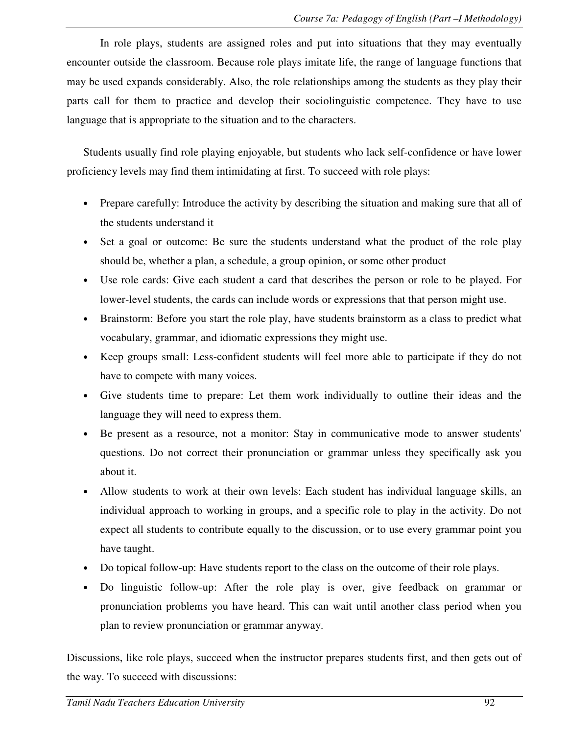In role plays, students are assigned roles and put into situations that they may eventually encounter outside the classroom. Because role plays imitate life, the range of language functions that may be used expands considerably. Also, the role relationships among the students as they play their parts call for them to practice and develop their sociolinguistic competence. They have to use language that is appropriate to the situation and to the characters.

Students usually find role playing enjoyable, but students who lack self-confidence or have lower proficiency levels may find them intimidating at first. To succeed with role plays:

- Prepare carefully: Introduce the activity by describing the situation and making sure that all of the students understand it
- Set a goal or outcome: Be sure the students understand what the product of the role play should be, whether a plan, a schedule, a group opinion, or some other product
- Use role cards: Give each student a card that describes the person or role to be played. For lower-level students, the cards can include words or expressions that that person might use.
- Brainstorm: Before you start the role play, have students brainstorm as a class to predict what vocabulary, grammar, and idiomatic expressions they might use.
- Keep groups small: Less-confident students will feel more able to participate if they do not have to compete with many voices.
- Give students time to prepare: Let them work individually to outline their ideas and the language they will need to express them.
- Be present as a resource, not a monitor: Stay in communicative mode to answer students' questions. Do not correct their pronunciation or grammar unless they specifically ask you about it.
- Allow students to work at their own levels: Each student has individual language skills, an individual approach to working in groups, and a specific role to play in the activity. Do not expect all students to contribute equally to the discussion, or to use every grammar point you have taught.
- Do topical follow-up: Have students report to the class on the outcome of their role plays.
- Do linguistic follow-up: After the role play is over, give feedback on grammar or pronunciation problems you have heard. This can wait until another class period when you plan to review pronunciation or grammar anyway.

Discussions, like role plays, succeed when the instructor prepares students first, and then gets out of the way. To succeed with discussions: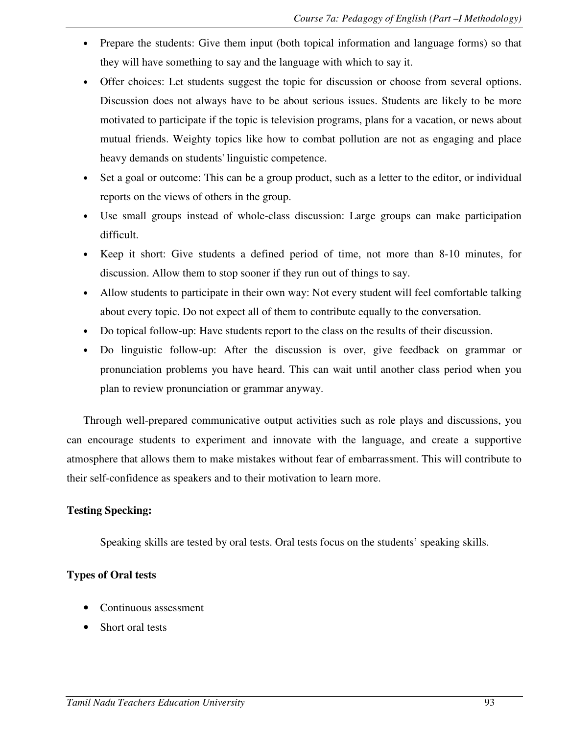- Prepare the students: Give them input (both topical information and language forms) so that they will have something to say and the language with which to say it.
- Offer choices: Let students suggest the topic for discussion or choose from several options. Discussion does not always have to be about serious issues. Students are likely to be more motivated to participate if the topic is television programs, plans for a vacation, or news about mutual friends. Weighty topics like how to combat pollution are not as engaging and place heavy demands on students' linguistic competence.
- Set a goal or outcome: This can be a group product, such as a letter to the editor, or individual reports on the views of others in the group.
- Use small groups instead of whole-class discussion: Large groups can make participation difficult.
- Keep it short: Give students a defined period of time, not more than 8-10 minutes, for discussion. Allow them to stop sooner if they run out of things to say.
- Allow students to participate in their own way: Not every student will feel comfortable talking about every topic. Do not expect all of them to contribute equally to the conversation.
- Do topical follow-up: Have students report to the class on the results of their discussion.
- Do linguistic follow-up: After the discussion is over, give feedback on grammar or pronunciation problems you have heard. This can wait until another class period when you plan to review pronunciation or grammar anyway.

Through well-prepared communicative output activities such as role plays and discussions, you can encourage students to experiment and innovate with the language, and create a supportive atmosphere that allows them to make mistakes without fear of embarrassment. This will contribute to their self-confidence as speakers and to their motivation to learn more.

## **Testing Specking:**

Speaking skills are tested by oral tests. Oral tests focus on the students' speaking skills.

## **Types of Oral tests**

- Continuous assessment
- Short oral tests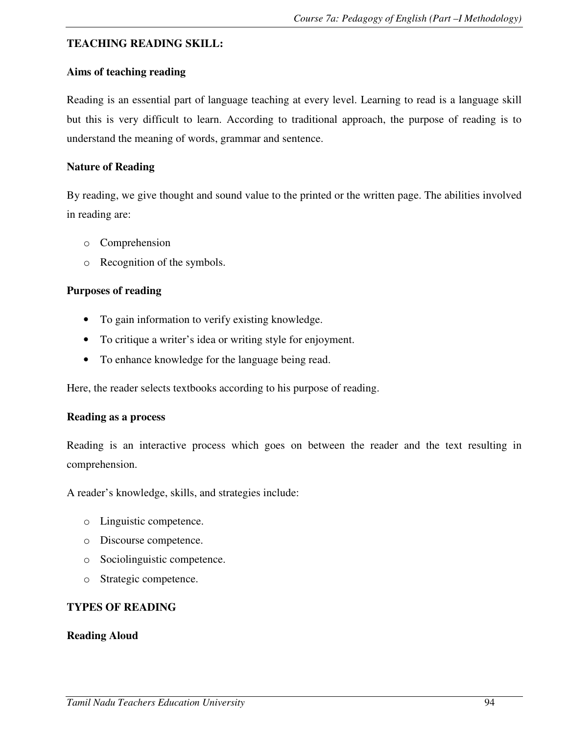## **TEACHING READING SKILL:**

## **Aims of teaching reading**

Reading is an essential part of language teaching at every level. Learning to read is a language skill but this is very difficult to learn. According to traditional approach, the purpose of reading is to understand the meaning of words, grammar and sentence.

## **Nature of Reading**

By reading, we give thought and sound value to the printed or the written page. The abilities involved in reading are:

- o Comprehension
- o Recognition of the symbols.

## **Purposes of reading**

- To gain information to verify existing knowledge.
- To critique a writer's idea or writing style for enjoyment.
- To enhance knowledge for the language being read.

Here, the reader selects textbooks according to his purpose of reading.

#### **Reading as a process**

Reading is an interactive process which goes on between the reader and the text resulting in comprehension.

A reader's knowledge, skills, and strategies include:

- o Linguistic competence.
- o Discourse competence.
- o Sociolinguistic competence.
- o Strategic competence.

## **TYPES OF READING**

## **Reading Aloud**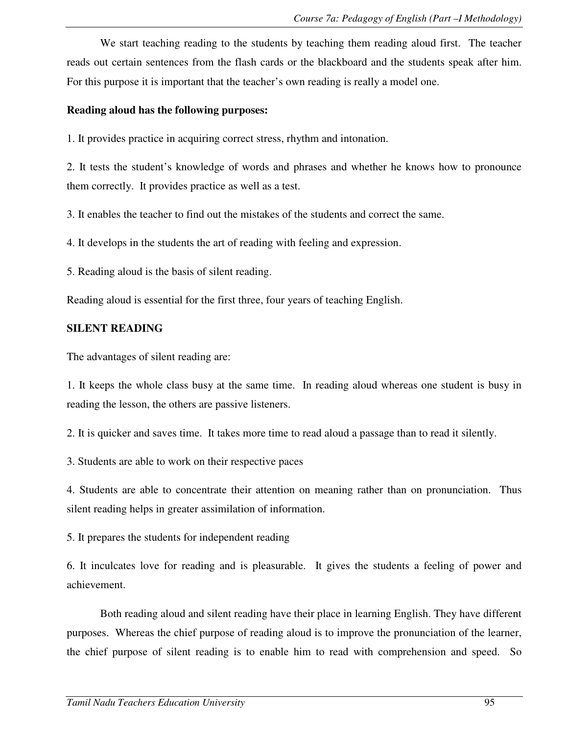We start teaching reading to the students by teaching them reading aloud first. The teacher reads out certain sentences from the flash cards or the blackboard and the students speak after him. For this purpose it is important that the teacher's own reading is really a model one.

#### **Reading aloud has the following purposes:**

1. It provides practice in acquiring correct stress, rhythm and intonation.

2. It tests the student's knowledge of words and phrases and whether he knows how to pronounce them correctly. It provides practice as well as a test.

3. It enables the teacher to find out the mistakes of the students and correct the same.

4. It develops in the students the art of reading with feeling and expression.

5. Reading aloud is the basis of silent reading.

Reading aloud is essential for the first three, four years of teaching English.

#### **SILENT READING**

The advantages of silent reading are:

1. It keeps the whole class busy at the same time. In reading aloud whereas one student is busy in reading the lesson, the others are passive listeners.

2. It is quicker and saves time. It takes more time to read aloud a passage than to read it silently.

3. Students are able to work on their respective paces

4. Students are able to concentrate their attention on meaning rather than on pronunciation. Thus silent reading helps in greater assimilation of information.

5. It prepares the students for independent reading

6. It inculcates love for reading and is pleasurable. It gives the students a feeling of power and achievement.

 Both reading aloud and silent reading have their place in learning English. They have different purposes. Whereas the chief purpose of reading aloud is to improve the pronunciation of the learner, the chief purpose of silent reading is to enable him to read with comprehension and speed. So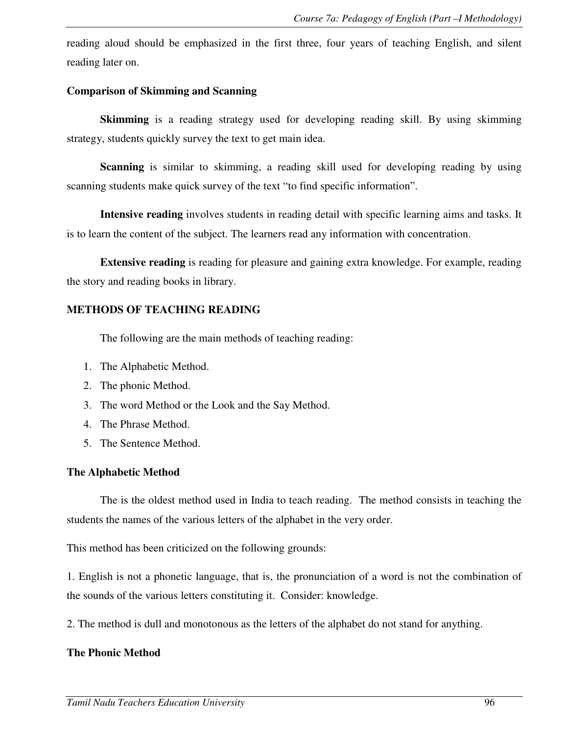reading aloud should be emphasized in the first three, four years of teaching English, and silent reading later on.

#### **Comparison of Skimming and Scanning**

**Skimming** is a reading strategy used for developing reading skill. By using skimming strategy, students quickly survey the text to get main idea.

 **Scanning** is similar to skimming, a reading skill used for developing reading by using scanning students make quick survey of the text "to find specific information".

 **Intensive reading** involves students in reading detail with specific learning aims and tasks. It is to learn the content of the subject. The learners read any information with concentration.

 **Extensive reading** is reading for pleasure and gaining extra knowledge. For example, reading the story and reading books in library.

## **METHODS OF TEACHING READING**

The following are the main methods of teaching reading:

- 1. The Alphabetic Method.
- 2. The phonic Method.
- 3. The word Method or the Look and the Say Method.
- 4. The Phrase Method.
- 5. The Sentence Method.

## **The Alphabetic Method**

 The is the oldest method used in India to teach reading. The method consists in teaching the students the names of the various letters of the alphabet in the very order.

This method has been criticized on the following grounds:

1. English is not a phonetic language, that is, the pronunciation of a word is not the combination of the sounds of the various letters constituting it. Consider: knowledge.

2. The method is dull and monotonous as the letters of the alphabet do not stand for anything.

## **The Phonic Method**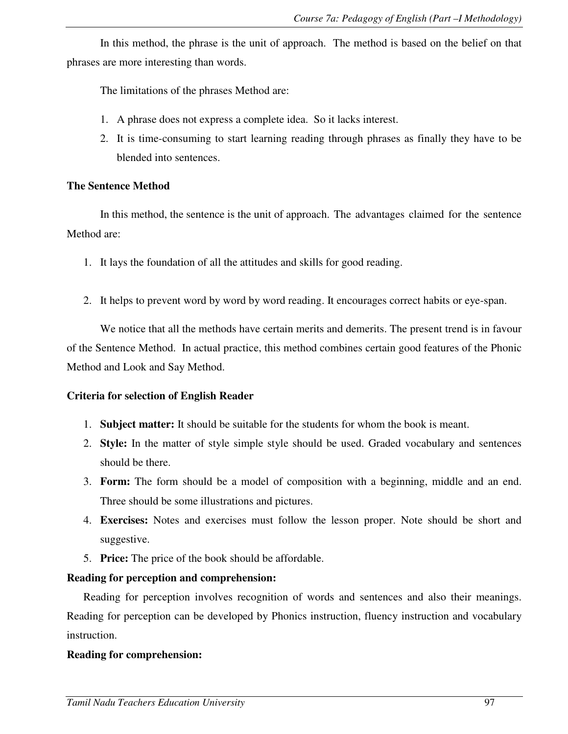In this method, the phrase is the unit of approach. The method is based on the belief on that phrases are more interesting than words.

The limitations of the phrases Method are:

- 1. A phrase does not express a complete idea. So it lacks interest.
- 2. It is time-consuming to start learning reading through phrases as finally they have to be blended into sentences.

#### **The Sentence Method**

 In this method, the sentence is the unit of approach. The advantages claimed for the sentence Method are:

- 1. It lays the foundation of all the attitudes and skills for good reading.
- 2. It helps to prevent word by word by word reading. It encourages correct habits or eye-span.

 We notice that all the methods have certain merits and demerits. The present trend is in favour of the Sentence Method. In actual practice, this method combines certain good features of the Phonic Method and Look and Say Method.

## **Criteria for selection of English Reader**

- 1. **Subject matter:** It should be suitable for the students for whom the book is meant.
- 2. **Style:** In the matter of style simple style should be used. Graded vocabulary and sentences should be there.
- 3. **Form:** The form should be a model of composition with a beginning, middle and an end. Three should be some illustrations and pictures.
- 4. **Exercises:** Notes and exercises must follow the lesson proper. Note should be short and suggestive.
- 5. **Price:** The price of the book should be affordable.

## **Reading for perception and comprehension:**

Reading for perception involves recognition of words and sentences and also their meanings. Reading for perception can be developed by Phonics instruction, fluency instruction and vocabulary instruction.

## **Reading for comprehension:**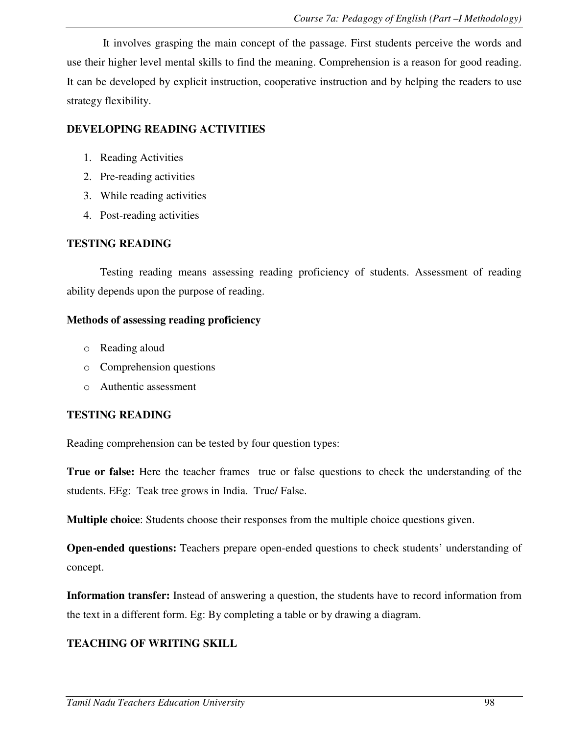It involves grasping the main concept of the passage. First students perceive the words and use their higher level mental skills to find the meaning. Comprehension is a reason for good reading. It can be developed by explicit instruction, cooperative instruction and by helping the readers to use strategy flexibility.

#### **DEVELOPING READING ACTIVITIES**

- 1. Reading Activities
- 2. Pre-reading activities
- 3. While reading activities
- 4. Post-reading activities

## **TESTING READING**

 Testing reading means assessing reading proficiency of students. Assessment of reading ability depends upon the purpose of reading.

## **Methods of assessing reading proficiency**

- o Reading aloud
- o Comprehension questions
- o Authentic assessment

## **TESTING READING**

Reading comprehension can be tested by four question types:

**True or false:** Here the teacher frames true or false questions to check the understanding of the students. EEg: Teak tree grows in India. True/ False.

**Multiple choice**: Students choose their responses from the multiple choice questions given.

**Open-ended questions:** Teachers prepare open-ended questions to check students' understanding of concept.

**Information transfer:** Instead of answering a question, the students have to record information from the text in a different form. Eg: By completing a table or by drawing a diagram.

## **TEACHING OF WRITING SKILL**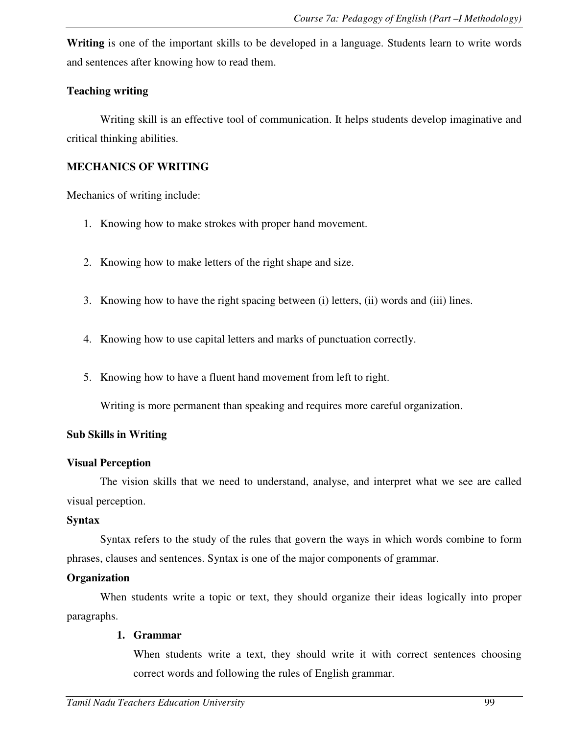**Writing** is one of the important skills to be developed in a language. Students learn to write words and sentences after knowing how to read them.

## **Teaching writing**

 Writing skill is an effective tool of communication. It helps students develop imaginative and critical thinking abilities.

## **MECHANICS OF WRITING**

Mechanics of writing include:

- 1. Knowing how to make strokes with proper hand movement.
- 2. Knowing how to make letters of the right shape and size.
- 3. Knowing how to have the right spacing between (i) letters, (ii) words and (iii) lines.
- 4. Knowing how to use capital letters and marks of punctuation correctly.
- 5. Knowing how to have a fluent hand movement from left to right.

Writing is more permanent than speaking and requires more careful organization.

## **Sub Skills in Writing**

## **Visual Perception**

The vision skills that we need to understand, analyse, and interpret what we see are called visual perception.

## **Syntax**

Syntax refers to the study of the rules that govern the ways in which words combine to form phrases, clauses and sentences. Syntax is one of the major components of grammar.

## **Organization**

When students write a topic or text, they should organize their ideas logically into proper paragraphs.

## **1. Grammar**

When students write a text, they should write it with correct sentences choosing correct words and following the rules of English grammar.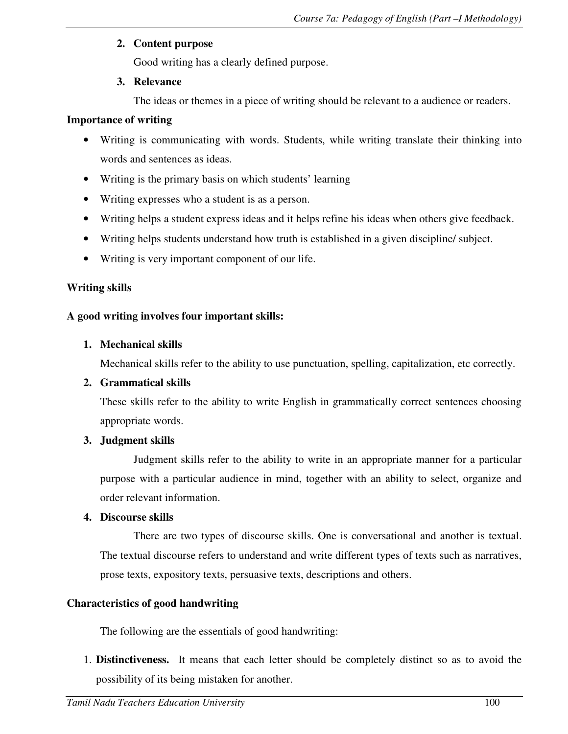#### **2. Content purpose**

Good writing has a clearly defined purpose.

## **3. Relevance**

The ideas or themes in a piece of writing should be relevant to a audience or readers.

## **Importance of writing**

- Writing is communicating with words. Students, while writing translate their thinking into words and sentences as ideas.
- Writing is the primary basis on which students' learning
- Writing expresses who a student is as a person.
- Writing helps a student express ideas and it helps refine his ideas when others give feedback.
- Writing helps students understand how truth is established in a given discipline/ subject.
- Writing is very important component of our life.

# **Writing skills**

# **A good writing involves four important skills:**

# **1. Mechanical skills**

Mechanical skills refer to the ability to use punctuation, spelling, capitalization, etc correctly.

## **2. Grammatical skills**

These skills refer to the ability to write English in grammatically correct sentences choosing appropriate words.

## **3. Judgment skills**

Judgment skills refer to the ability to write in an appropriate manner for a particular purpose with a particular audience in mind, together with an ability to select, organize and order relevant information.

## **4. Discourse skills**

There are two types of discourse skills. One is conversational and another is textual. The textual discourse refers to understand and write different types of texts such as narratives, prose texts, expository texts, persuasive texts, descriptions and others.

# **Characteristics of good handwriting**

The following are the essentials of good handwriting:

1. **Distinctiveness.** It means that each letter should be completely distinct so as to avoid the possibility of its being mistaken for another.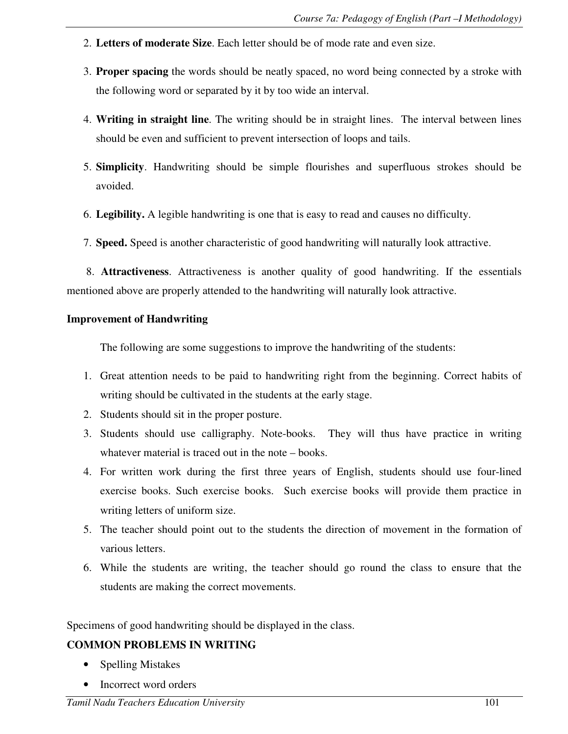- 2. **Letters of moderate Size**. Each letter should be of mode rate and even size.
- 3. **Proper spacing** the words should be neatly spaced, no word being connected by a stroke with the following word or separated by it by too wide an interval.
- 4. **Writing in straight line**. The writing should be in straight lines. The interval between lines should be even and sufficient to prevent intersection of loops and tails.
- 5. **Simplicity**. Handwriting should be simple flourishes and superfluous strokes should be avoided.
- 6. **Legibility.** A legible handwriting is one that is easy to read and causes no difficulty.
- 7. **Speed.** Speed is another characteristic of good handwriting will naturally look attractive.

 8. **Attractiveness**. Attractiveness is another quality of good handwriting. If the essentials mentioned above are properly attended to the handwriting will naturally look attractive.

#### **Improvement of Handwriting**

The following are some suggestions to improve the handwriting of the students:

- 1. Great attention needs to be paid to handwriting right from the beginning. Correct habits of writing should be cultivated in the students at the early stage.
- 2. Students should sit in the proper posture.
- 3. Students should use calligraphy. Note-books. They will thus have practice in writing whatever material is traced out in the note – books.
- 4. For written work during the first three years of English, students should use four-lined exercise books. Such exercise books. Such exercise books will provide them practice in writing letters of uniform size.
- 5. The teacher should point out to the students the direction of movement in the formation of various letters.
- 6. While the students are writing, the teacher should go round the class to ensure that the students are making the correct movements.

Specimens of good handwriting should be displayed in the class.

## **COMMON PROBLEMS IN WRITING**

- Spelling Mistakes
- Incorrect word orders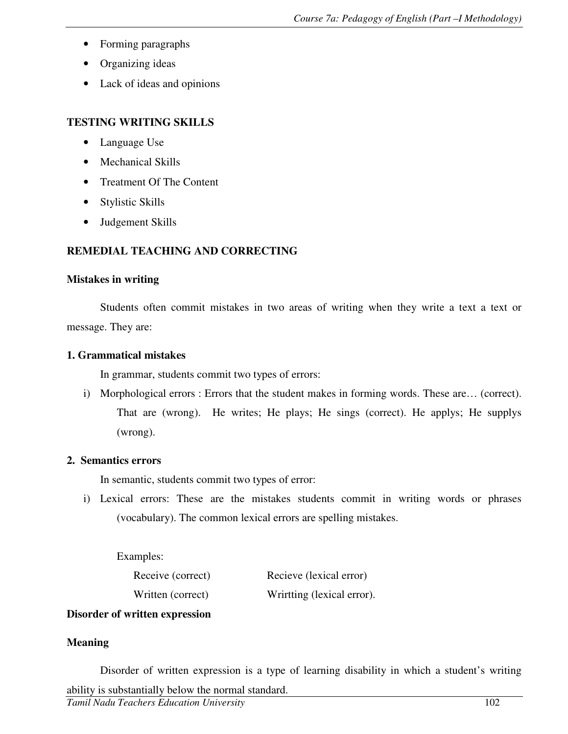- Forming paragraphs
- Organizing ideas
- Lack of ideas and opinions

## **TESTING WRITING SKILLS**

- Language Use
- Mechanical Skills
- Treatment Of The Content
- Stylistic Skills
- Judgement Skills

## **REMEDIAL TEACHING AND CORRECTING**

#### **Mistakes in writing**

Students often commit mistakes in two areas of writing when they write a text a text or message. They are:

#### **1. Grammatical mistakes**

In grammar, students commit two types of errors:

i) Morphological errors : Errors that the student makes in forming words. These are… (correct). That are (wrong). He writes; He plays; He sings (correct). He applys; He supplys (wrong).

## **2. Semantics errors**

In semantic, students commit two types of error:

i) Lexical errors: These are the mistakes students commit in writing words or phrases (vocabulary). The common lexical errors are spelling mistakes.

Examples:

| Receive (correct) | Recieve (lexical error)    |
|-------------------|----------------------------|
| Written (correct) | Wrirtting (lexical error). |

## **Disorder of written expression**

## **Meaning**

 Disorder of written expression is a type of learning disability in which a student's writing ability is substantially below the normal standard.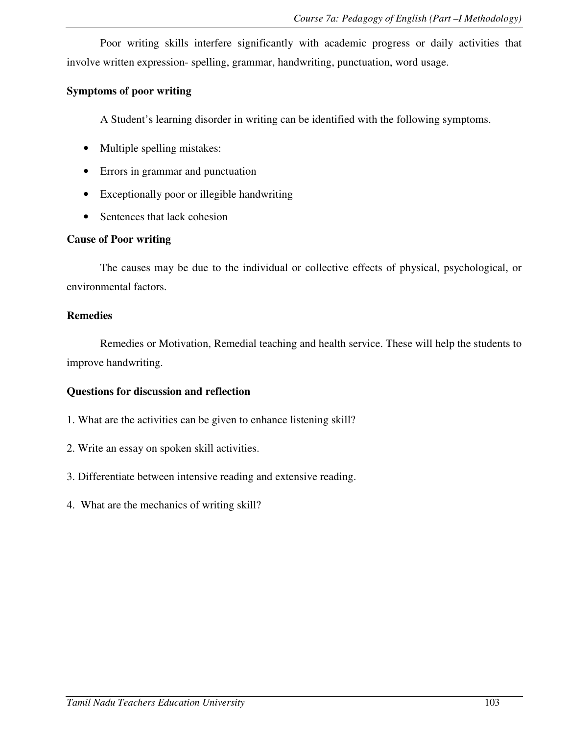Poor writing skills interfere significantly with academic progress or daily activities that involve written expression- spelling, grammar, handwriting, punctuation, word usage.

#### **Symptoms of poor writing**

A Student's learning disorder in writing can be identified with the following symptoms.

- Multiple spelling mistakes:
- Errors in grammar and punctuation
- Exceptionally poor or illegible handwriting
- Sentences that lack cohesion

#### **Cause of Poor writing**

The causes may be due to the individual or collective effects of physical, psychological, or environmental factors.

#### **Remedies**

 Remedies or Motivation, Remedial teaching and health service. These will help the students to improve handwriting.

## **Questions for discussion and reflection**

- 1. What are the activities can be given to enhance listening skill?
- 2. Write an essay on spoken skill activities.
- 3. Differentiate between intensive reading and extensive reading.
- 4. What are the mechanics of writing skill?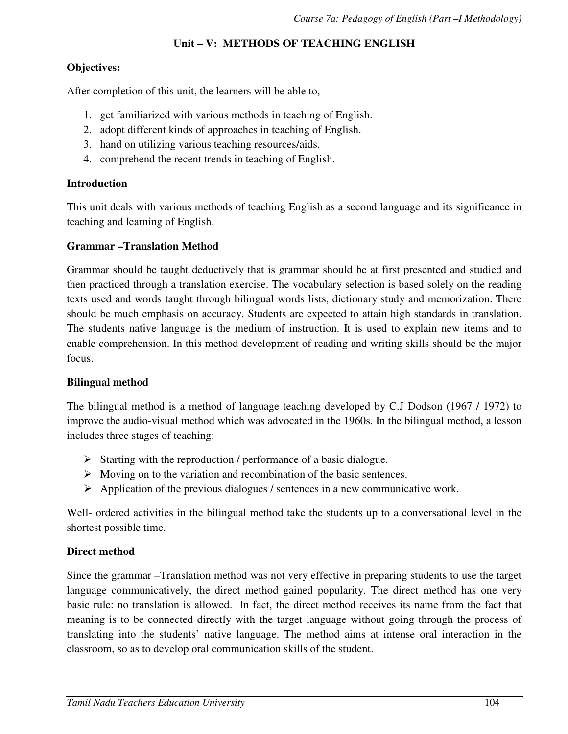# **Unit – V: METHODS OF TEACHING ENGLISH**

## **Objectives:**

After completion of this unit, the learners will be able to,

- 1. get familiarized with various methods in teaching of English.
- 2. adopt different kinds of approaches in teaching of English.
- 3. hand on utilizing various teaching resources/aids.
- 4. comprehend the recent trends in teaching of English.

## **Introduction**

This unit deals with various methods of teaching English as a second language and its significance in teaching and learning of English.

## **Grammar –Translation Method**

Grammar should be taught deductively that is grammar should be at first presented and studied and then practiced through a translation exercise. The vocabulary selection is based solely on the reading texts used and words taught through bilingual words lists, dictionary study and memorization. There should be much emphasis on accuracy. Students are expected to attain high standards in translation. The students native language is the medium of instruction. It is used to explain new items and to enable comprehension. In this method development of reading and writing skills should be the major focus.

## **Bilingual method**

The bilingual method is a method of language teaching developed by C.J Dodson (1967 / 1972) to improve the audio-visual method which was advocated in the 1960s. In the bilingual method, a lesson includes three stages of teaching:

- $\triangleright$  Starting with the reproduction / performance of a basic dialogue.
- $\triangleright$  Moving on to the variation and recombination of the basic sentences.
- $\triangleright$  Application of the previous dialogues / sentences in a new communicative work.

Well- ordered activities in the bilingual method take the students up to a conversational level in the shortest possible time.

## **Direct method**

Since the grammar –Translation method was not very effective in preparing students to use the target language communicatively, the direct method gained popularity. The direct method has one very basic rule: no translation is allowed. In fact, the direct method receives its name from the fact that meaning is to be connected directly with the target language without going through the process of translating into the students' native language. The method aims at intense oral interaction in the classroom, so as to develop oral communication skills of the student.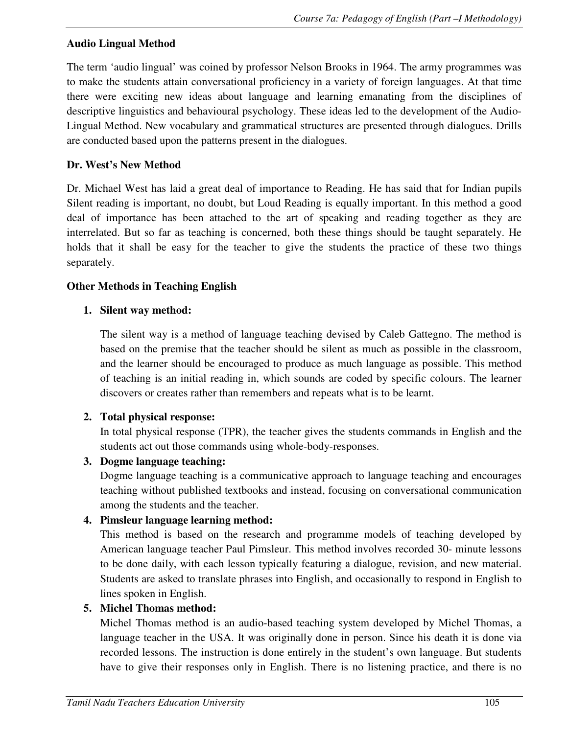#### **Audio Lingual Method**

The term 'audio lingual' was coined by professor Nelson Brooks in 1964. The army programmes was to make the students attain conversational proficiency in a variety of foreign languages. At that time there were exciting new ideas about language and learning emanating from the disciplines of descriptive linguistics and behavioural psychology. These ideas led to the development of the Audio-Lingual Method. New vocabulary and grammatical structures are presented through dialogues. Drills are conducted based upon the patterns present in the dialogues.

#### **Dr. West's New Method**

Dr. Michael West has laid a great deal of importance to Reading. He has said that for Indian pupils Silent reading is important, no doubt, but Loud Reading is equally important. In this method a good deal of importance has been attached to the art of speaking and reading together as they are interrelated. But so far as teaching is concerned, both these things should be taught separately. He holds that it shall be easy for the teacher to give the students the practice of these two things separately.

## **Other Methods in Teaching English**

#### **1. Silent way method:**

The silent way is a method of language teaching devised by Caleb Gattegno. The method is based on the premise that the teacher should be silent as much as possible in the classroom, and the learner should be encouraged to produce as much language as possible. This method of teaching is an initial reading in, which sounds are coded by specific colours. The learner discovers or creates rather than remembers and repeats what is to be learnt.

## **2. Total physical response:**

In total physical response (TPR), the teacher gives the students commands in English and the students act out those commands using whole-body-responses.

## **3. Dogme language teaching:**

Dogme language teaching is a communicative approach to language teaching and encourages teaching without published textbooks and instead, focusing on conversational communication among the students and the teacher.

## **4. Pimsleur language learning method:**

This method is based on the research and programme models of teaching developed by American language teacher Paul Pimsleur. This method involves recorded 30- minute lessons to be done daily, with each lesson typically featuring a dialogue, revision, and new material. Students are asked to translate phrases into English, and occasionally to respond in English to lines spoken in English.

## **5. Michel Thomas method:**

Michel Thomas method is an audio-based teaching system developed by Michel Thomas, a language teacher in the USA. It was originally done in person. Since his death it is done via recorded lessons. The instruction is done entirely in the student's own language. But students have to give their responses only in English. There is no listening practice, and there is no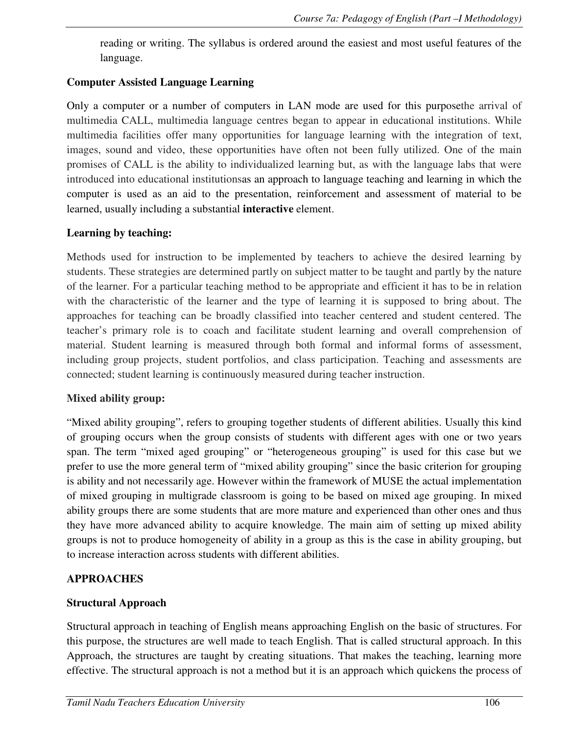reading or writing. The syllabus is ordered around the easiest and most useful features of the language.

#### **Computer Assisted Language Learning**

Only a computer or a number of computers in LAN mode are used for this purposethe arrival of multimedia CALL, multimedia language centres began to appear in educational institutions. While multimedia facilities offer many opportunities for language learning with the integration of text, images, sound and video, these opportunities have often not been fully utilized. One of the main promises of CALL is the ability to individualized learning but, as with the language labs that were introduced into educational institutionsas an approach to language teaching and learning in which the computer is used as an aid to the presentation, reinforcement and assessment of material to be learned, usually including a substantial **interactive** element.

#### **Learning by teaching:**

Methods used for instruction to be implemented by teachers to achieve the desired learning by students. These strategies are determined partly on subject matter to be taught and partly by the nature of the learner. For a particular teaching method to be appropriate and efficient it has to be in relation with the characteristic of the learner and the type of learning it is supposed to bring about. The approaches for teaching can be broadly classified into teacher centered and student centered. The teacher's primary role is to coach and facilitate student learning and overall comprehension of material. Student learning is measured through both formal and informal forms of assessment, including group projects, student portfolios, and class participation. Teaching and assessments are connected; student learning is continuously measured during teacher instruction.

## **Mixed ability group:**

"Mixed ability grouping", refers to grouping together students of different abilities. Usually this kind of grouping occurs when the group consists of students with different ages with one or two years span. The term "mixed aged grouping" or "heterogeneous grouping" is used for this case but we prefer to use the more general term of "mixed ability grouping" since the basic criterion for grouping is ability and not necessarily age. However within the framework of MUSE the actual implementation of mixed grouping in multigrade classroom is going to be based on mixed age grouping. In mixed ability groups there are some students that are more mature and experienced than other ones and thus they have more advanced ability to acquire knowledge. The main aim of setting up mixed ability groups is not to produce homogeneity of ability in a group as this is the case in ability grouping, but to increase interaction across students with different abilities.

## **APPROACHES**

#### **Structural Approach**

Structural approach in teaching of English means approaching English on the basic of structures. For this purpose, the structures are well made to teach English. That is called structural approach. In this Approach, the structures are taught by creating situations. That makes the teaching, learning more effective. The structural approach is not a method but it is an approach which quickens the process of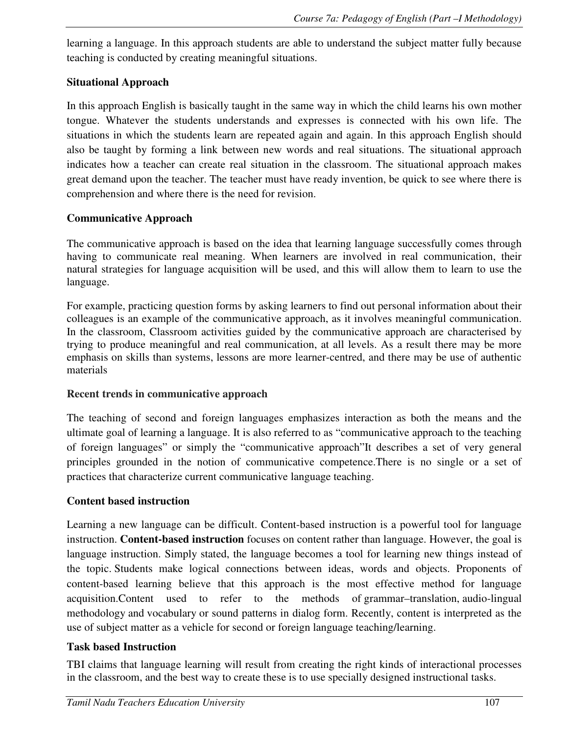learning a language. In this approach students are able to understand the subject matter fully because teaching is conducted by creating meaningful situations.

#### **Situational Approach**

In this approach English is basically taught in the same way in which the child learns his own mother tongue. Whatever the students understands and expresses is connected with his own life. The situations in which the students learn are repeated again and again. In this approach English should also be taught by forming a link between new words and real situations. The situational approach indicates how a teacher can create real situation in the classroom. The situational approach makes great demand upon the teacher. The teacher must have ready invention, be quick to see where there is comprehension and where there is the need for revision.

#### **Communicative Approach**

The communicative approach is based on the idea that learning language successfully comes through having to communicate real meaning. When learners are involved in real communication, their natural strategies for language acquisition will be used, and this will allow them to learn to use the language.

For example, practicing question forms by asking learners to find out personal information about their colleagues is an example of the communicative approach, as it involves meaningful communication. In the classroom, Classroom activities guided by the communicative approach are characterised by trying to produce meaningful and real communication, at all levels. As a result there may be more emphasis on skills than systems, lessons are more learner-centred, and there may be use of authentic materials

#### **Recent trends in communicative approach**

The teaching of second and foreign languages emphasizes interaction as both the means and the ultimate goal of learning a language. It is also referred to as "communicative approach to the teaching of foreign languages" or simply the "communicative approach"It describes a set of very general principles grounded in the notion of communicative competence.There is no single or a set of practices that characterize current communicative language teaching.

#### **Content based instruction**

Learning a new language can be difficult. Content-based instruction is a powerful tool for language instruction. **Content-based instruction** focuses on content rather than language. However, the goal is language instruction. Simply stated, the language becomes a tool for learning new things instead of the topic. Students make logical connections between ideas, words and objects. Proponents of content-based learning believe that this approach is the most effective method for language acquisition.Content used to refer to the methods of grammar–translation, audio-lingual methodology and vocabulary or sound patterns in dialog form. Recently, content is interpreted as the use of subject matter as a vehicle for second or foreign language teaching/learning.

## **Task based Instruction**

TBI claims that language learning will result from creating the right kinds of interactional processes in the classroom, and the best way to create these is to use specially designed instructional tasks.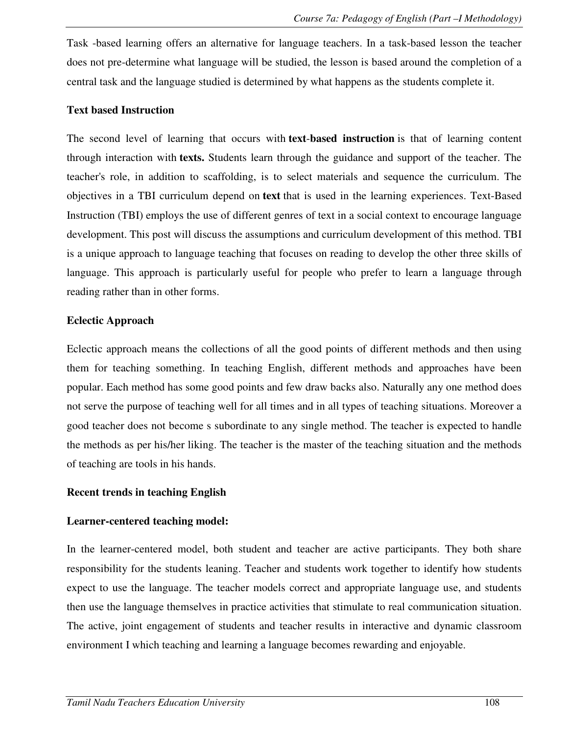Task -based learning offers an alternative for language teachers. In a task-based lesson the teacher does not pre-determine what language will be studied, the lesson is based around the completion of a central task and the language studied is determined by what happens as the students complete it.

## **Text based Instruction**

The second level of learning that occurs with **text**-**based instruction** is that of learning content through interaction with **texts.** Students learn through the guidance and support of the teacher. The teacher's role, in addition to scaffolding, is to select materials and sequence the curriculum. The objectives in a TBI curriculum depend on **text** that is used in the learning experiences. Text-Based Instruction (TBI) employs the use of different genres of text in a social context to encourage language development. This post will discuss the assumptions and curriculum development of this method. TBI is a unique approach to language teaching that focuses on reading to develop the other three skills of language. This approach is particularly useful for people who prefer to learn a language through reading rather than in other forms.

## **Eclectic Approach**

Eclectic approach means the collections of all the good points of different methods and then using them for teaching something. In teaching English, different methods and approaches have been popular. Each method has some good points and few draw backs also. Naturally any one method does not serve the purpose of teaching well for all times and in all types of teaching situations. Moreover a good teacher does not become s subordinate to any single method. The teacher is expected to handle the methods as per his/her liking. The teacher is the master of the teaching situation and the methods of teaching are tools in his hands.

## **Recent trends in teaching English**

#### **Learner-centered teaching model:**

In the learner-centered model, both student and teacher are active participants. They both share responsibility for the students leaning. Teacher and students work together to identify how students expect to use the language. The teacher models correct and appropriate language use, and students then use the language themselves in practice activities that stimulate to real communication situation. The active, joint engagement of students and teacher results in interactive and dynamic classroom environment I which teaching and learning a language becomes rewarding and enjoyable.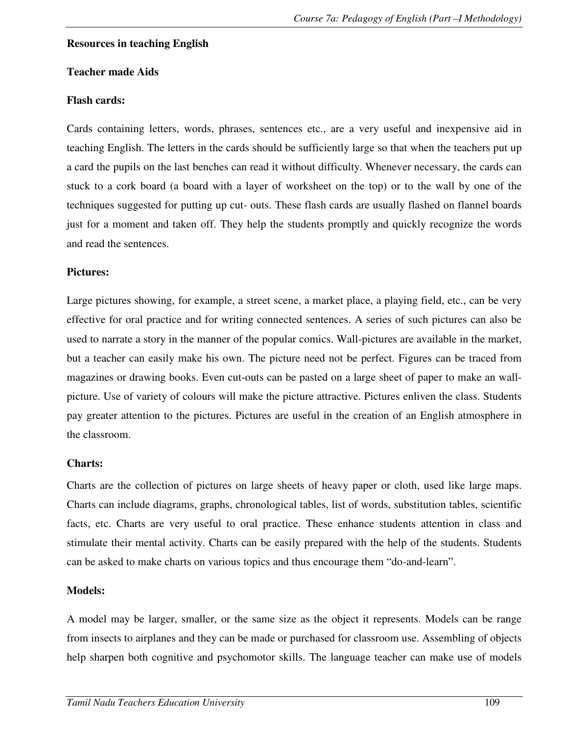#### **Resources in teaching English**

#### **Teacher made Aids**

## **Flash cards:**

Cards containing letters, words, phrases, sentences etc., are a very useful and inexpensive aid in teaching English. The letters in the cards should be sufficiently large so that when the teachers put up a card the pupils on the last benches can read it without difficulty. Whenever necessary, the cards can stuck to a cork board (a board with a layer of worksheet on the top) or to the wall by one of the techniques suggested for putting up cut- outs. These flash cards are usually flashed on flannel boards just for a moment and taken off. They help the students promptly and quickly recognize the words and read the sentences.

#### **Pictures:**

Large pictures showing, for example, a street scene, a market place, a playing field, etc., can be very effective for oral practice and for writing connected sentences. A series of such pictures can also be used to narrate a story in the manner of the popular comics. Wall-pictures are available in the market, but a teacher can easily make his own. The picture need not be perfect. Figures can be traced from magazines or drawing books. Even cut-outs can be pasted on a large sheet of paper to make an wallpicture. Use of variety of colours will make the picture attractive. Pictures enliven the class. Students pay greater attention to the pictures. Pictures are useful in the creation of an English atmosphere in the classroom.

#### **Charts:**

Charts are the collection of pictures on large sheets of heavy paper or cloth, used like large maps. Charts can include diagrams, graphs, chronological tables, list of words, substitution tables, scientific facts, etc. Charts are very useful to oral practice. These enhance students attention in class and stimulate their mental activity. Charts can be easily prepared with the help of the students. Students can be asked to make charts on various topics and thus encourage them "do-and-learn".

#### **Models:**

A model may be larger, smaller, or the same size as the object it represents. Models can be range from insects to airplanes and they can be made or purchased for classroom use. Assembling of objects help sharpen both cognitive and psychomotor skills. The language teacher can make use of models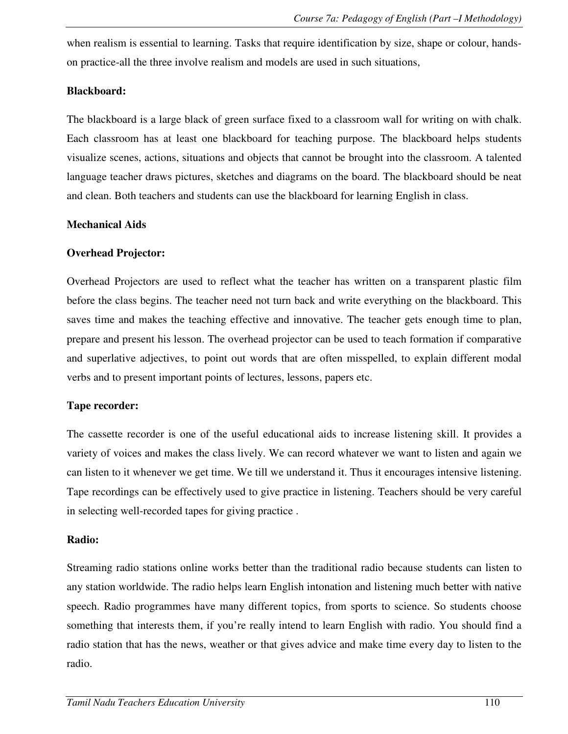when realism is essential to learning. Tasks that require identification by size, shape or colour, handson practice-all the three involve realism and models are used in such situations,

#### **Blackboard:**

The blackboard is a large black of green surface fixed to a classroom wall for writing on with chalk. Each classroom has at least one blackboard for teaching purpose. The blackboard helps students visualize scenes, actions, situations and objects that cannot be brought into the classroom. A talented language teacher draws pictures, sketches and diagrams on the board. The blackboard should be neat and clean. Both teachers and students can use the blackboard for learning English in class.

#### **Mechanical Aids**

#### **Overhead Projector:**

Overhead Projectors are used to reflect what the teacher has written on a transparent plastic film before the class begins. The teacher need not turn back and write everything on the blackboard. This saves time and makes the teaching effective and innovative. The teacher gets enough time to plan, prepare and present his lesson. The overhead projector can be used to teach formation if comparative and superlative adjectives, to point out words that are often misspelled, to explain different modal verbs and to present important points of lectures, lessons, papers etc.

#### **Tape recorder:**

The cassette recorder is one of the useful educational aids to increase listening skill. It provides a variety of voices and makes the class lively. We can record whatever we want to listen and again we can listen to it whenever we get time. We till we understand it. Thus it encourages intensive listening. Tape recordings can be effectively used to give practice in listening. Teachers should be very careful in selecting well-recorded tapes for giving practice .

#### **Radio:**

Streaming radio stations online works better than the traditional radio because students can listen to any station worldwide. The radio helps learn English intonation and listening much better with native speech. Radio programmes have many different topics, from sports to science. So students choose something that interests them, if you're really intend to learn English with radio. You should find a radio station that has the news, weather or that gives advice and make time every day to listen to the radio.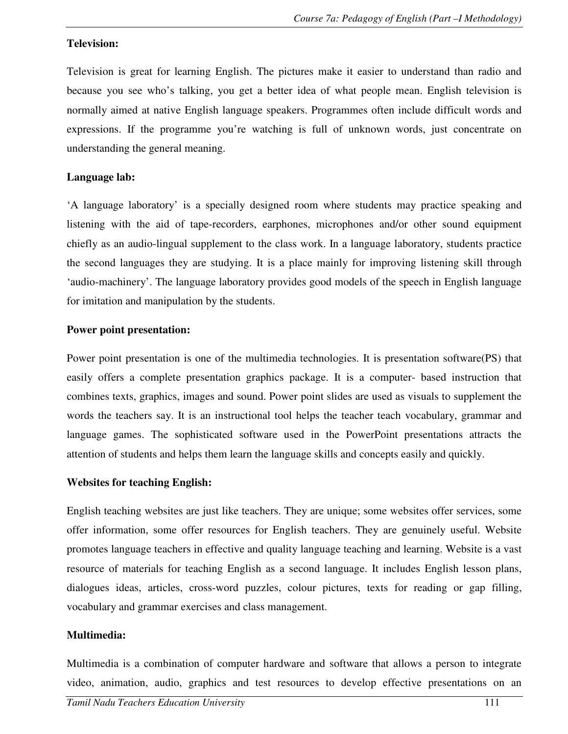#### **Television:**

Television is great for learning English. The pictures make it easier to understand than radio and because you see who's talking, you get a better idea of what people mean. English television is normally aimed at native English language speakers. Programmes often include difficult words and expressions. If the programme you're watching is full of unknown words, just concentrate on understanding the general meaning.

#### **Language lab:**

'A language laboratory' is a specially designed room where students may practice speaking and listening with the aid of tape-recorders, earphones, microphones and/or other sound equipment chiefly as an audio-lingual supplement to the class work. In a language laboratory, students practice the second languages they are studying. It is a place mainly for improving listening skill through 'audio-machinery'. The language laboratory provides good models of the speech in English language for imitation and manipulation by the students.

#### **Power point presentation:**

Power point presentation is one of the multimedia technologies. It is presentation software(PS) that easily offers a complete presentation graphics package. It is a computer- based instruction that combines texts, graphics, images and sound. Power point slides are used as visuals to supplement the words the teachers say. It is an instructional tool helps the teacher teach vocabulary, grammar and language games. The sophisticated software used in the PowerPoint presentations attracts the attention of students and helps them learn the language skills and concepts easily and quickly.

#### **Websites for teaching English:**

English teaching websites are just like teachers. They are unique; some websites offer services, some offer information, some offer resources for English teachers. They are genuinely useful. Website promotes language teachers in effective and quality language teaching and learning. Website is a vast resource of materials for teaching English as a second language. It includes English lesson plans, dialogues ideas, articles, cross-word puzzles, colour pictures, texts for reading or gap filling, vocabulary and grammar exercises and class management.

## **Multimedia:**

Multimedia is a combination of computer hardware and software that allows a person to integrate video, animation, audio, graphics and test resources to develop effective presentations on an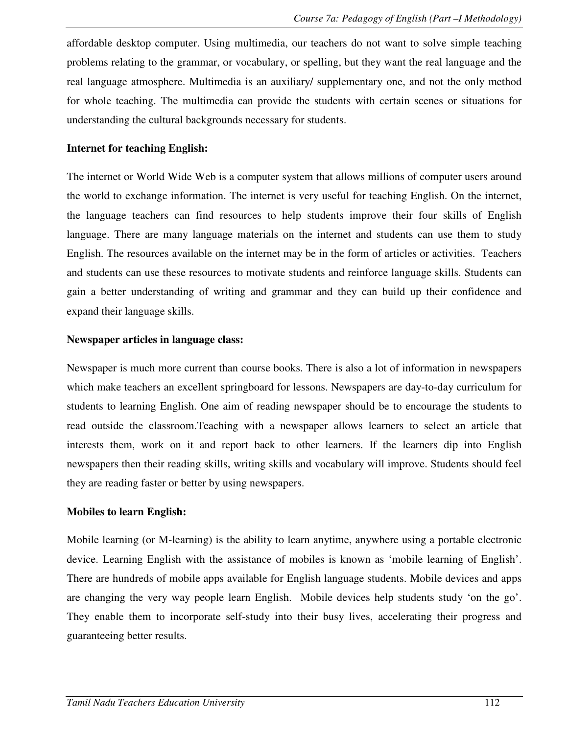affordable desktop computer. Using multimedia, our teachers do not want to solve simple teaching problems relating to the grammar, or vocabulary, or spelling, but they want the real language and the real language atmosphere. Multimedia is an auxiliary/ supplementary one, and not the only method for whole teaching. The multimedia can provide the students with certain scenes or situations for understanding the cultural backgrounds necessary for students.

#### **Internet for teaching English:**

The internet or World Wide Web is a computer system that allows millions of computer users around the world to exchange information. The internet is very useful for teaching English. On the internet, the language teachers can find resources to help students improve their four skills of English language. There are many language materials on the internet and students can use them to study English. The resources available on the internet may be in the form of articles or activities. Teachers and students can use these resources to motivate students and reinforce language skills. Students can gain a better understanding of writing and grammar and they can build up their confidence and expand their language skills.

#### **Newspaper articles in language class:**

Newspaper is much more current than course books. There is also a lot of information in newspapers which make teachers an excellent springboard for lessons. Newspapers are day-to-day curriculum for students to learning English. One aim of reading newspaper should be to encourage the students to read outside the classroom.Teaching with a newspaper allows learners to select an article that interests them, work on it and report back to other learners. If the learners dip into English newspapers then their reading skills, writing skills and vocabulary will improve. Students should feel they are reading faster or better by using newspapers.

## **Mobiles to learn English:**

Mobile learning (or M-learning) is the ability to learn anytime, anywhere using a portable electronic device. Learning English with the assistance of mobiles is known as 'mobile learning of English'. There are hundreds of mobile apps available for English language students. Mobile devices and apps are changing the very way people learn English. Mobile devices help students study 'on the go'. They enable them to incorporate self-study into their busy lives, accelerating their progress and guaranteeing better results.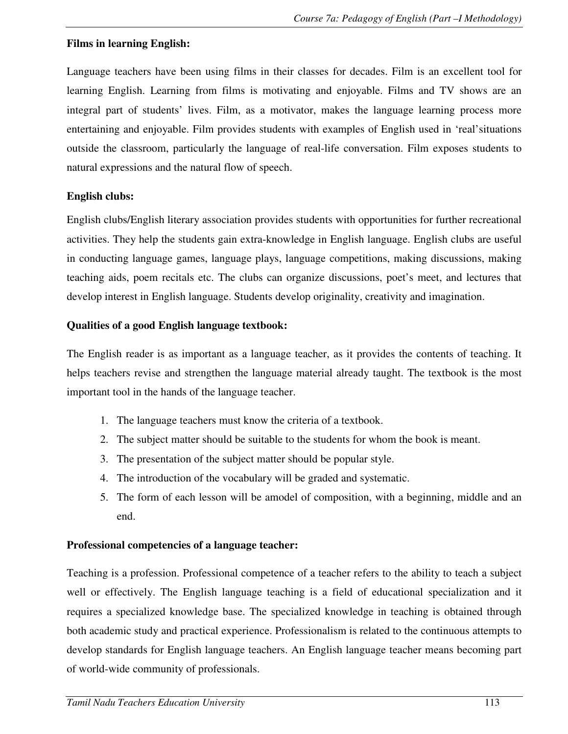## **Films in learning English:**

Language teachers have been using films in their classes for decades. Film is an excellent tool for learning English. Learning from films is motivating and enjoyable. Films and TV shows are an integral part of students' lives. Film, as a motivator, makes the language learning process more entertaining and enjoyable. Film provides students with examples of English used in 'real'situations outside the classroom, particularly the language of real-life conversation. Film exposes students to natural expressions and the natural flow of speech.

## **English clubs:**

English clubs/English literary association provides students with opportunities for further recreational activities. They help the students gain extra-knowledge in English language. English clubs are useful in conducting language games, language plays, language competitions, making discussions, making teaching aids, poem recitals etc. The clubs can organize discussions, poet's meet, and lectures that develop interest in English language. Students develop originality, creativity and imagination.

## **Qualities of a good English language textbook:**

The English reader is as important as a language teacher, as it provides the contents of teaching. It helps teachers revise and strengthen the language material already taught. The textbook is the most important tool in the hands of the language teacher.

- 1. The language teachers must know the criteria of a textbook.
- 2. The subject matter should be suitable to the students for whom the book is meant.
- 3. The presentation of the subject matter should be popular style.
- 4. The introduction of the vocabulary will be graded and systematic.
- 5. The form of each lesson will be amodel of composition, with a beginning, middle and an end.

# **Professional competencies of a language teacher:**

Teaching is a profession. Professional competence of a teacher refers to the ability to teach a subject well or effectively. The English language teaching is a field of educational specialization and it requires a specialized knowledge base. The specialized knowledge in teaching is obtained through both academic study and practical experience. Professionalism is related to the continuous attempts to develop standards for English language teachers. An English language teacher means becoming part of world-wide community of professionals.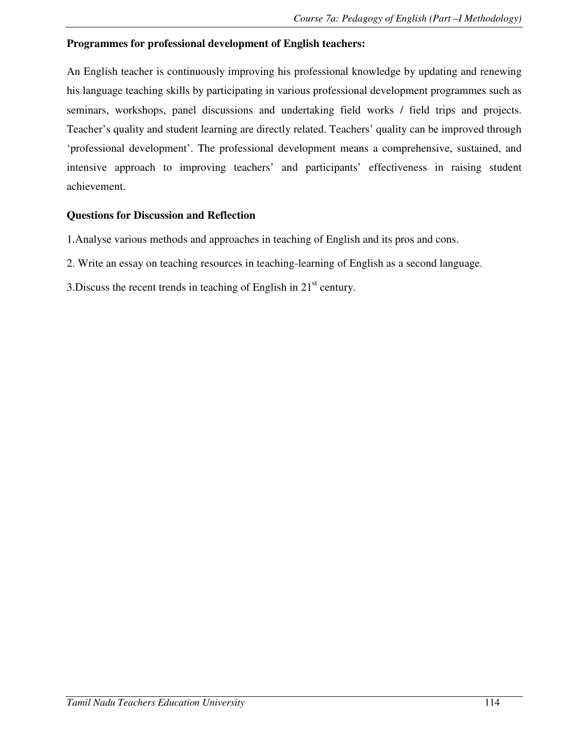## **Programmes for professional development of English teachers:**

An English teacher is continuously improving his professional knowledge by updating and renewing his language teaching skills by participating in various professional development programmes such as seminars, workshops, panel discussions and undertaking field works / field trips and projects. Teacher's quality and student learning are directly related. Teachers' quality can be improved through 'professional development'. The professional development means a comprehensive, sustained, and intensive approach to improving teachers' and participants' effectiveness in raising student achievement.

## **Questions for Discussion and Reflection**

1.Analyse various methods and approaches in teaching of English and its pros and cons.

2. Write an essay on teaching resources in teaching-learning of English as a second language.

3. Discuss the recent trends in teaching of English in  $21<sup>st</sup>$  century.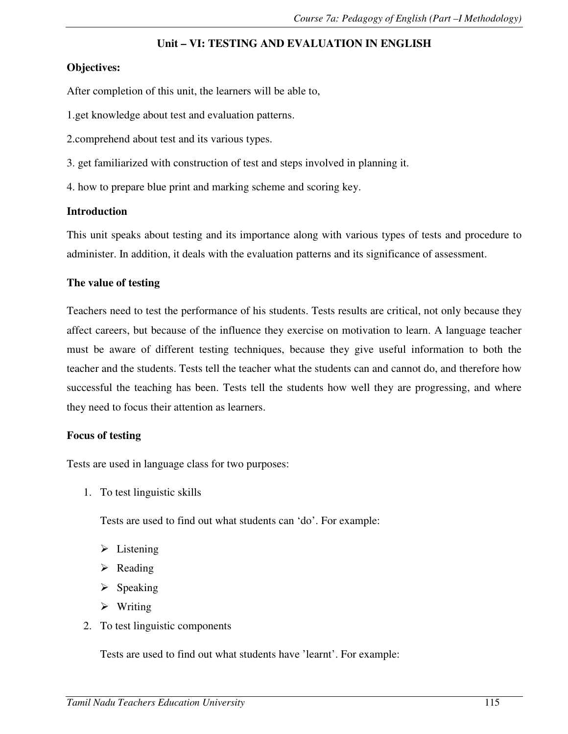# **Unit – VI: TESTING AND EVALUATION IN ENGLISH**

## **Objectives:**

After completion of this unit, the learners will be able to,

- 1.get knowledge about test and evaluation patterns.
- 2.comprehend about test and its various types.
- 3. get familiarized with construction of test and steps involved in planning it.
- 4. how to prepare blue print and marking scheme and scoring key.

## **Introduction**

This unit speaks about testing and its importance along with various types of tests and procedure to administer. In addition, it deals with the evaluation patterns and its significance of assessment.

## **The value of testing**

Teachers need to test the performance of his students. Tests results are critical, not only because they affect careers, but because of the influence they exercise on motivation to learn. A language teacher must be aware of different testing techniques, because they give useful information to both the teacher and the students. Tests tell the teacher what the students can and cannot do, and therefore how successful the teaching has been. Tests tell the students how well they are progressing, and where they need to focus their attention as learners.

## **Focus of testing**

Tests are used in language class for two purposes:

1. To test linguistic skills

Tests are used to find out what students can 'do'. For example:

- $\triangleright$  Listening
- $\triangleright$  Reading
- $\triangleright$  Speaking
- $\triangleright$  Writing
- 2. To test linguistic components

Tests are used to find out what students have 'learnt'. For example: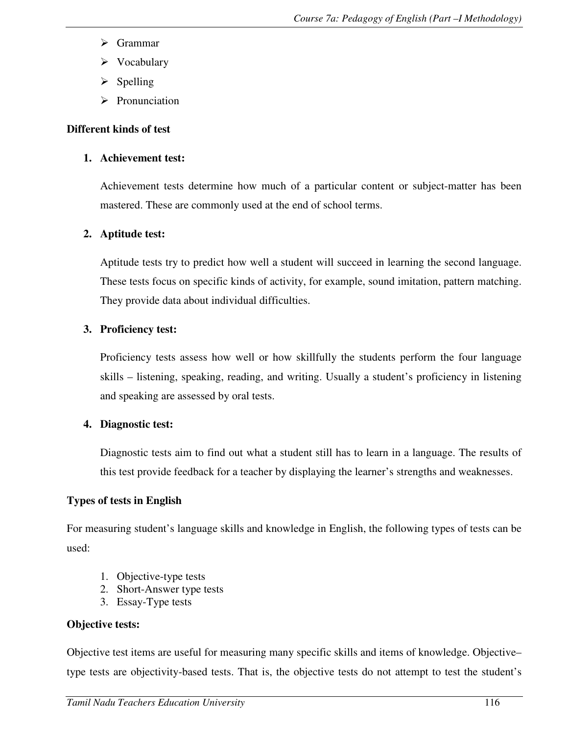- $\triangleright$  Grammar
- $\triangleright$  Vocabulary
- $\triangleright$  Spelling
- $\triangleright$  Pronunciation

## **Different kinds of test**

## **1. Achievement test:**

Achievement tests determine how much of a particular content or subject-matter has been mastered. These are commonly used at the end of school terms.

## **2. Aptitude test:**

Aptitude tests try to predict how well a student will succeed in learning the second language. These tests focus on specific kinds of activity, for example, sound imitation, pattern matching. They provide data about individual difficulties.

## **3. Proficiency test:**

Proficiency tests assess how well or how skillfully the students perform the four language skills – listening, speaking, reading, and writing. Usually a student's proficiency in listening and speaking are assessed by oral tests.

# **4. Diagnostic test:**

Diagnostic tests aim to find out what a student still has to learn in a language. The results of this test provide feedback for a teacher by displaying the learner's strengths and weaknesses.

# **Types of tests in English**

For measuring student's language skills and knowledge in English, the following types of tests can be used:

- 1. Objective-type tests
- 2. Short-Answer type tests
- 3. Essay-Type tests

# **Objective tests:**

Objective test items are useful for measuring many specific skills and items of knowledge. Objective– type tests are objectivity-based tests. That is, the objective tests do not attempt to test the student's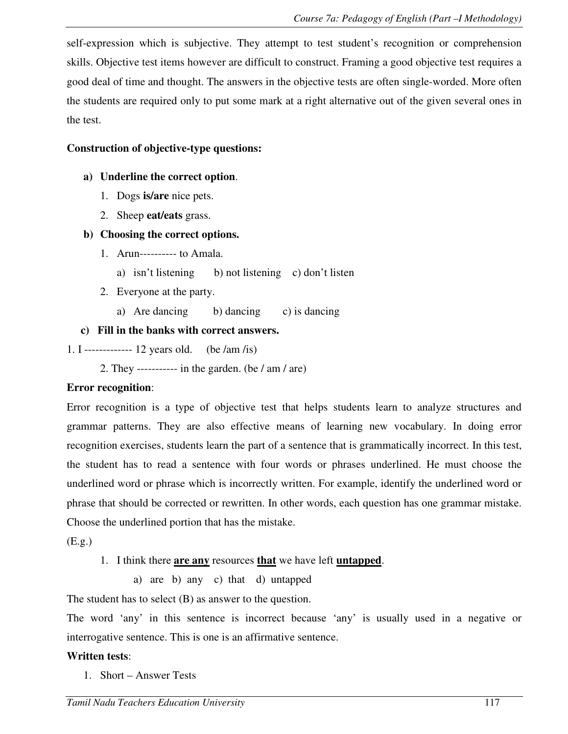self-expression which is subjective. They attempt to test student's recognition or comprehension skills. Objective test items however are difficult to construct. Framing a good objective test requires a good deal of time and thought. The answers in the objective tests are often single-worded. More often the students are required only to put some mark at a right alternative out of the given several ones in the test.

#### **Construction of objective-type questions:**

#### **a) Underline the correct option**.

- 1. Dogs **is/are** nice pets.
- 2. Sheep **eat/eats** grass.

## **b) Choosing the correct options.**

- 1. Arun---------- to Amala.
	- a) isn't listening b) not listening c) don't listen
- 2. Everyone at the party.
	- a) Are dancing b) dancing c) is dancing

#### **c) Fill in the banks with correct answers.**

1. I ------------- 12 years old. (be /am /is)

2. They ----------- in the garden. (be / am / are)

## **Error recognition**:

Error recognition is a type of objective test that helps students learn to analyze structures and grammar patterns. They are also effective means of learning new vocabulary. In doing error recognition exercises, students learn the part of a sentence that is grammatically incorrect. In this test, the student has to read a sentence with four words or phrases underlined. He must choose the underlined word or phrase which is incorrectly written. For example, identify the underlined word or phrase that should be corrected or rewritten. In other words, each question has one grammar mistake. Choose the underlined portion that has the mistake.

(E.g.)

1. I think there **are any** resources **that** we have left **untapped**.

a) are b) any c) that d) untapped

The student has to select (B) as answer to the question.

The word 'any' in this sentence is incorrect because 'any' is usually used in a negative or interrogative sentence. This is one is an affirmative sentence.

## **Written tests**:

1. Short – Answer Tests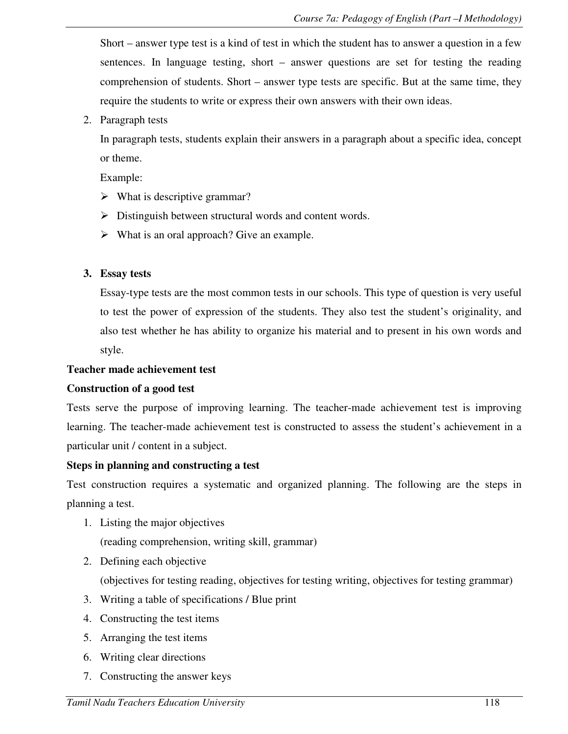Short – answer type test is a kind of test in which the student has to answer a question in a few sentences. In language testing, short – answer questions are set for testing the reading comprehension of students. Short – answer type tests are specific. But at the same time, they require the students to write or express their own answers with their own ideas.

2. Paragraph tests

In paragraph tests, students explain their answers in a paragraph about a specific idea, concept or theme.

Example:

- $\triangleright$  What is descriptive grammar?
- $\triangleright$  Distinguish between structural words and content words.
- $\triangleright$  What is an oral approach? Give an example.

#### **3. Essay tests**

Essay-type tests are the most common tests in our schools. This type of question is very useful to test the power of expression of the students. They also test the student's originality, and also test whether he has ability to organize his material and to present in his own words and style.

#### **Teacher made achievement test**

#### **Construction of a good test**

Tests serve the purpose of improving learning. The teacher-made achievement test is improving learning. The teacher-made achievement test is constructed to assess the student's achievement in a particular unit / content in a subject.

## **Steps in planning and constructing a test**

Test construction requires a systematic and organized planning. The following are the steps in planning a test.

1. Listing the major objectives

(reading comprehension, writing skill, grammar)

2. Defining each objective

(objectives for testing reading, objectives for testing writing, objectives for testing grammar)

- 3. Writing a table of specifications / Blue print
- 4. Constructing the test items
- 5. Arranging the test items
- 6. Writing clear directions
- 7. Constructing the answer keys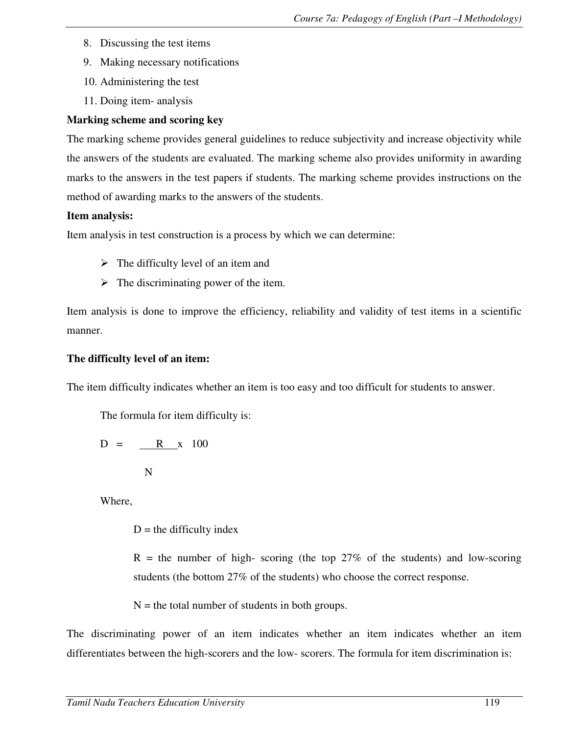- 8. Discussing the test items
- 9. Making necessary notifications
- 10. Administering the test
- 11. Doing item- analysis

## **Marking scheme and scoring key**

The marking scheme provides general guidelines to reduce subjectivity and increase objectivity while the answers of the students are evaluated. The marking scheme also provides uniformity in awarding marks to the answers in the test papers if students. The marking scheme provides instructions on the method of awarding marks to the answers of the students.

## **Item analysis:**

Item analysis in test construction is a process by which we can determine:

- $\triangleright$  The difficulty level of an item and
- $\triangleright$  The discriminating power of the item.

Item analysis is done to improve the efficiency, reliability and validity of test items in a scientific manner.

## **The difficulty level of an item:**

The item difficulty indicates whether an item is too easy and too difficult for students to answer.

The formula for item difficulty is:

$$
D = \underline{R} x 100
$$

N

Where,

 $D =$  the difficulty index

 $R =$  the number of high-scoring (the top 27% of the students) and low-scoring students (the bottom 27% of the students) who choose the correct response.

 $N =$  the total number of students in both groups.

The discriminating power of an item indicates whether an item indicates whether an item differentiates between the high-scorers and the low- scorers. The formula for item discrimination is: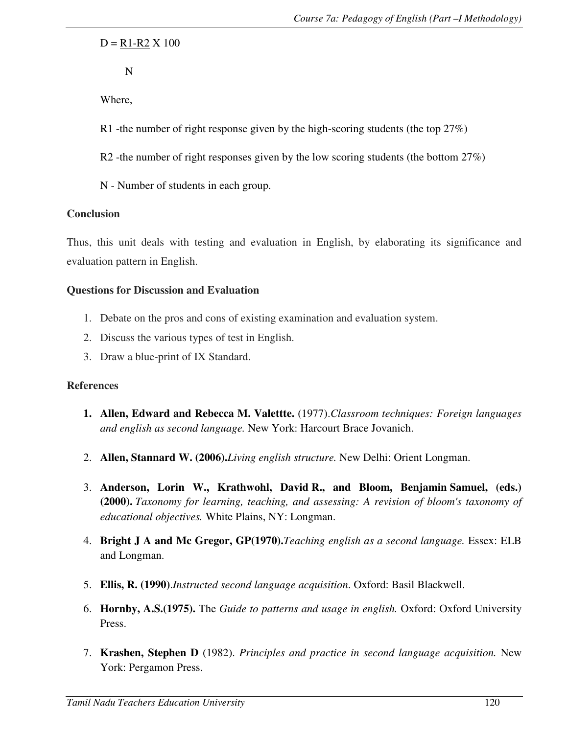$D = R1-R2 X 100$ 

N

Where,

R1 -the number of right response given by the high-scoring students (the top 27%)

R2 -the number of right responses given by the low scoring students (the bottom 27%)

N - Number of students in each group.

# **Conclusion**

Thus, this unit deals with testing and evaluation in English, by elaborating its significance and evaluation pattern in English.

# **Questions for Discussion and Evaluation**

- 1. Debate on the pros and cons of existing examination and evaluation system.
- 2. Discuss the various types of test in English.
- 3. Draw a blue-print of IX Standard.

# **References**

- **1. Allen, Edward and Rebecca M. Valettte.** (1977).*Classroom techniques: Foreign languages and english as second language.* New York: Harcourt Brace Jovanich.
- 2. **Allen, Stannard W. (2006).***Living english structure.* New Delhi: Orient Longman.
- 3. **Anderson, Lorin W., Krathwohl, David R., and Bloom, Benjamin Samuel, (eds.) (2000).** *Taxonomy for learning, teaching, and assessing: A revision of bloom's taxonomy of educational objectives.* White Plains, NY: Longman.
- 4. **Bright J A and Mc Gregor, GP(1970).***Teaching english as a second language.* Essex: ELB and Longman.
- 5. **Ellis, R. (1990)**.*Instructed second language acquisition*. Oxford: Basil Blackwell.
- 6. **Hornby, A.S.(1975).** The *Guide to patterns and usage in english.* Oxford: Oxford University Press.
- 7. **Krashen, Stephen D** (1982). *Principles and practice in second language acquisition.* New York: Pergamon Press.